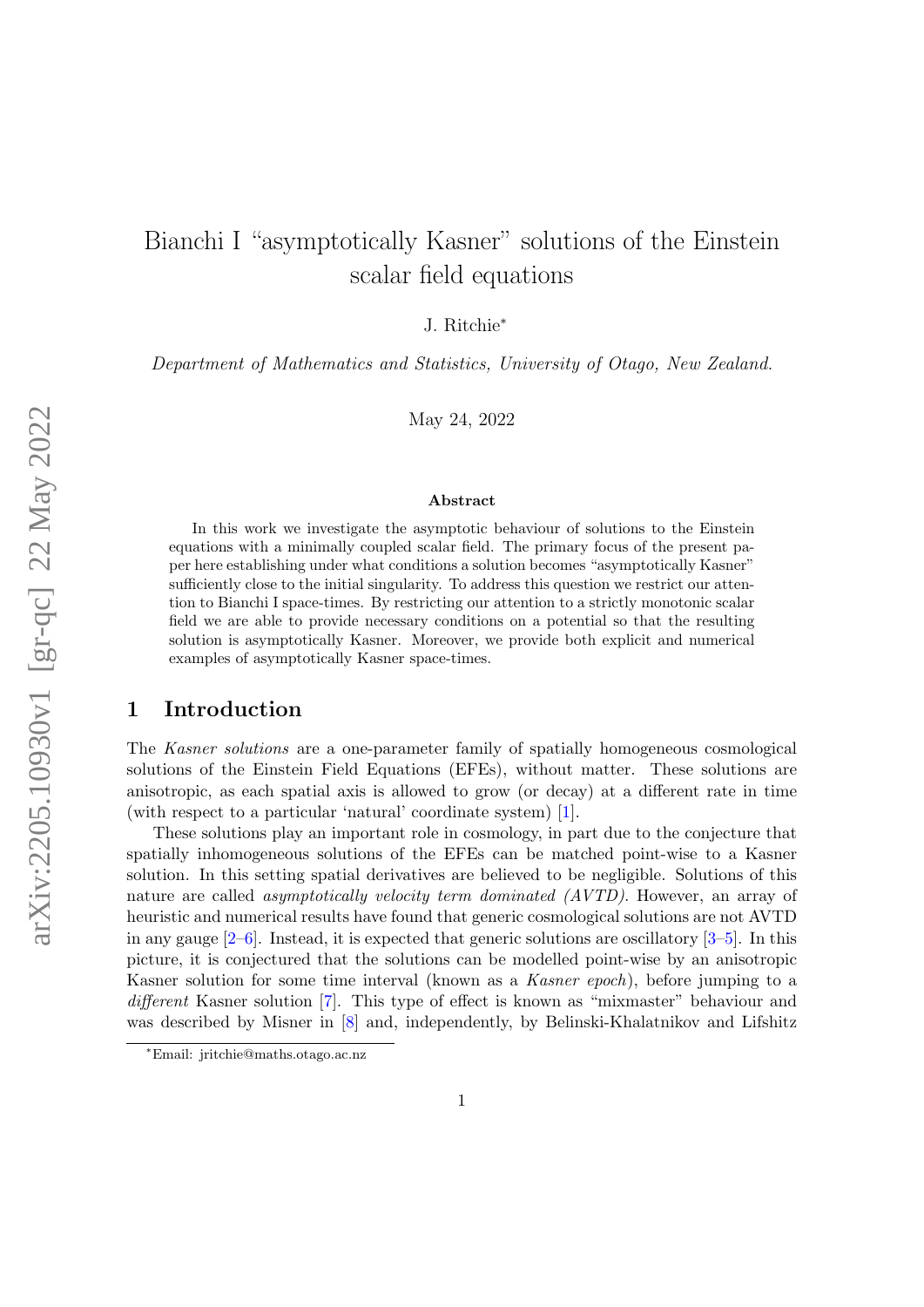# <span id="page-0-0"></span>Bianchi I "asymptotically Kasner" solutions of the Einstein scalar field equations

J. Ritchie<sup>∗</sup>

Department of Mathematics and Statistics, University of Otago, New Zealand.

May 24, 2022

#### Abstract

In this work we investigate the asymptotic behaviour of solutions to the Einstein equations with a minimally coupled scalar field. The primary focus of the present paper here establishing under what conditions a solution becomes "asymptotically Kasner" sufficiently close to the initial singularity. To address this question we restrict our attention to Bianchi I space-times. By restricting our attention to a strictly monotonic scalar field we are able to provide necessary conditions on a potential so that the resulting solution is asymptotically Kasner. Moreover, we provide both explicit and numerical examples of asymptotically Kasner space-times.

### 1 Introduction

The Kasner solutions are a one-parameter family of spatially homogeneous cosmological solutions of the Einstein Field Equations (EFEs), without matter. These solutions are anisotropic, as each spatial axis is allowed to grow (or decay) at a different rate in time (with respect to a particular 'natural' coordinate system) [\[1\]](#page-38-0).

These solutions play an important role in cosmology, in part due to the conjecture that spatially inhomogeneous solutions of the EFEs can be matched point-wise to a Kasner solution. In this setting spatial derivatives are believed to be negligible. Solutions of this nature are called *asymptotically velocity term dominated (AVTD)*. However, an array of heuristic and numerical results have found that generic cosmological solutions are not AVTD in any gauge [\[2–](#page-38-1)[6\]](#page-38-2). Instead, it is expected that generic solutions are oscillatory [\[3–](#page-38-3)[5\]](#page-38-4). In this picture, it is conjectured that the solutions can be modelled point-wise by an anisotropic Kasner solution for some time interval (known as a Kasner epoch), before jumping to a different Kasner solution [\[7\]](#page-39-0). This type of effect is known as "mixmaster" behaviour and was described by Misner in [\[8\]](#page-39-1) and, independently, by Belinski-Khalatnikov and Lifshitz

<sup>∗</sup>Email: jritchie@maths.otago.ac.nz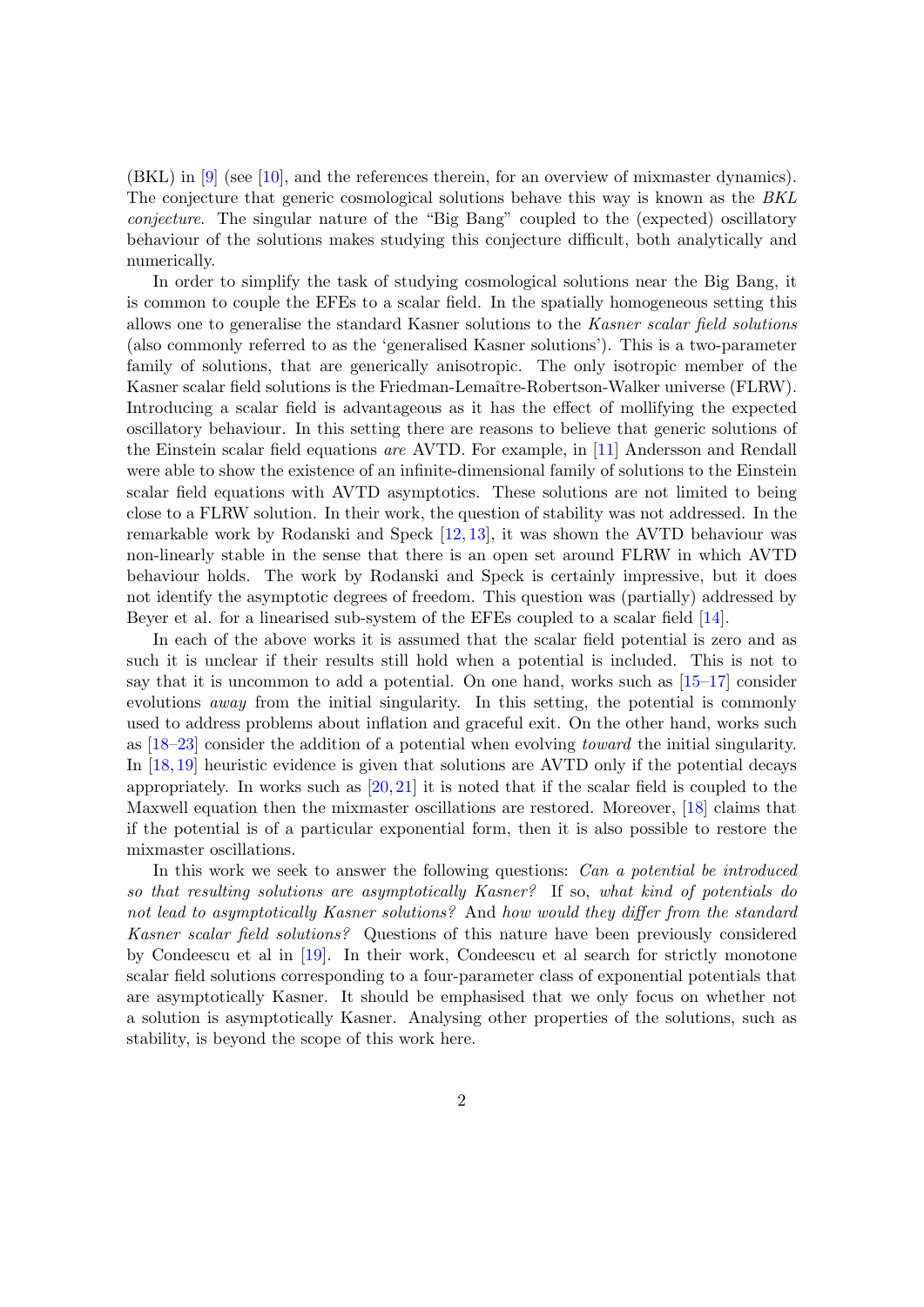(BKL) in [\[9\]](#page-39-2) (see [\[10\]](#page-39-3), and the references therein, for an overview of mixmaster dynamics). The conjecture that generic cosmological solutions behave this way is known as the BKL conjecture. The singular nature of the "Big Bang" coupled to the (expected) oscillatory behaviour of the solutions makes studying this conjecture difficult, both analytically and numerically.

In order to simplify the task of studying cosmological solutions near the Big Bang, it is common to couple the EFEs to a scalar field. In the spatially homogeneous setting this allows one to generalise the standard Kasner solutions to the Kasner scalar field solutions (also commonly referred to as the 'generalised Kasner solutions'). This is a two-parameter family of solutions, that are generically anisotropic. The only isotropic member of the Kasner scalar field solutions is the Friedman-Lemaître-Robertson-Walker universe (FLRW). Introducing a scalar field is advantageous as it has the effect of mollifying the expected oscillatory behaviour. In this setting there are reasons to believe that generic solutions of the Einstein scalar field equations are AVTD. For example, in [\[11\]](#page-39-4) Andersson and Rendall were able to show the existence of an infinite-dimensional family of solutions to the Einstein scalar field equations with AVTD asymptotics. These solutions are not limited to being close to a FLRW solution. In their work, the question of stability was not addressed. In the remarkable work by Rodanski and Speck [\[12,](#page-39-5) [13\]](#page-39-6), it was shown the AVTD behaviour was non-linearly stable in the sense that there is an open set around FLRW in which AVTD behaviour holds. The work by Rodanski and Speck is certainly impressive, but it does not identify the asymptotic degrees of freedom. This question was (partially) addressed by Beyer et al. for a linearised sub-system of the EFEs coupled to a scalar field [\[14\]](#page-39-7).

In each of the above works it is assumed that the scalar field potential is zero and as such it is unclear if their results still hold when a potential is included. This is not to say that it is uncommon to add a potential. On one hand, works such as  $[15-17]$  $[15-17]$  consider evolutions away from the initial singularity. In this setting, the potential is commonly used to address problems about inflation and graceful exit. On the other hand, works such as [\[18](#page-39-10)[–23\]](#page-40-0) consider the addition of a potential when evolving toward the initial singularity. In [\[18,](#page-39-10) [19\]](#page-39-11) heuristic evidence is given that solutions are AVTD only if the potential decays appropriately. In works such as  $[20, 21]$  $[20, 21]$  $[20, 21]$  it is noted that if the scalar field is coupled to the Maxwell equation then the mixmaster oscillations are restored. Moreover, [\[18\]](#page-39-10) claims that if the potential is of a particular exponential form, then it is also possible to restore the mixmaster oscillations.

In this work we seek to answer the following questions: Can a potential be introduced so that resulting solutions are asymptotically Kasner? If so, what kind of potentials do not lead to asymptotically Kasner solutions? And how would they differ from the standard Kasner scalar field solutions? Questions of this nature have been previously considered by Condeescu et al in [\[19\]](#page-39-11). In their work, Condeescu et al search for strictly monotone scalar field solutions corresponding to a four-parameter class of exponential potentials that are asymptotically Kasner. It should be emphasised that we only focus on whether not a solution is asymptotically Kasner. Analysing other properties of the solutions, such as stability, is beyond the scope of this work here.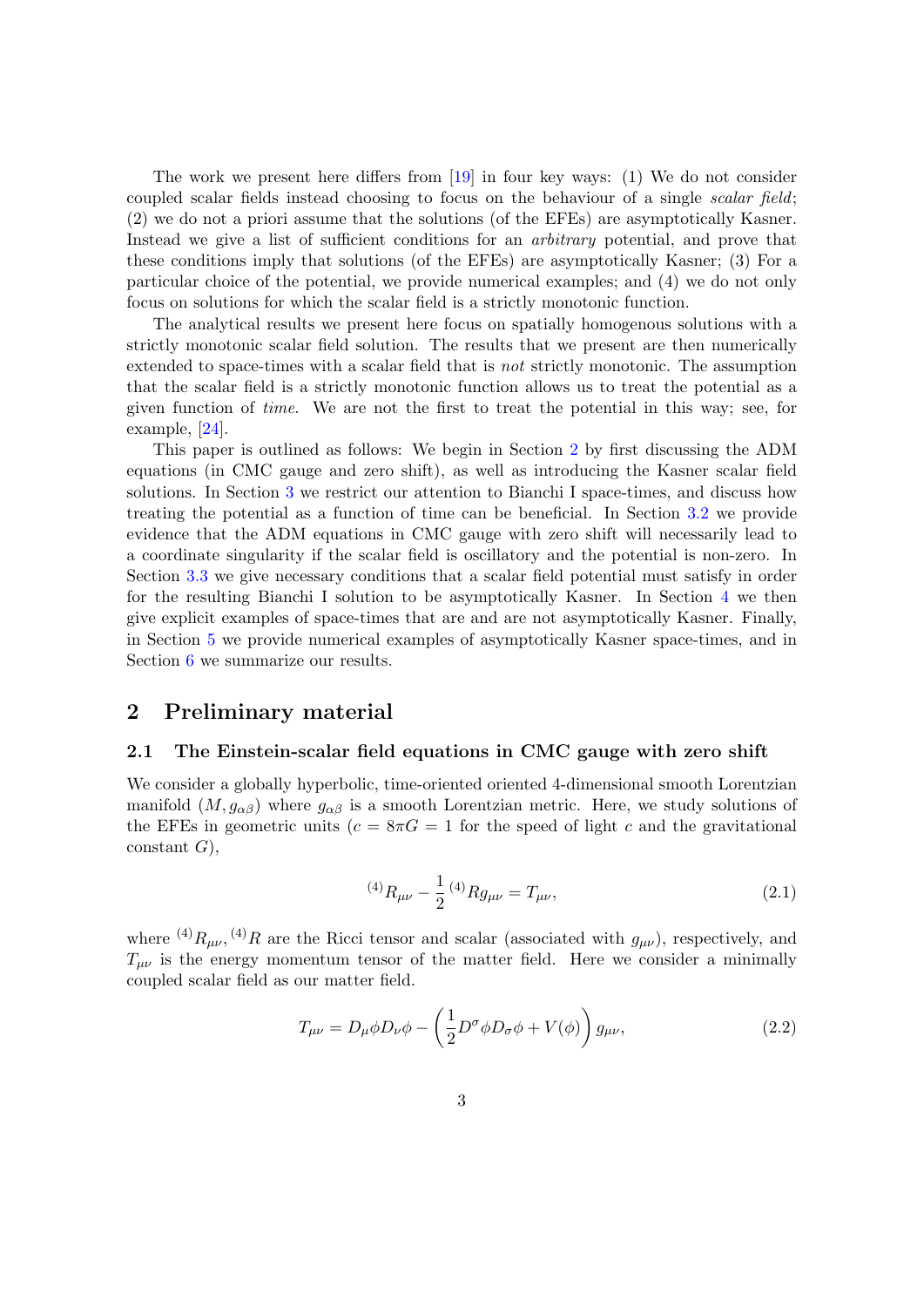The work we present here differs from [\[19\]](#page-39-11) in four key ways: (1) We do not consider coupled scalar fields instead choosing to focus on the behaviour of a single scalar field; (2) we do not a priori assume that the solutions (of the EFEs) are asymptotically Kasner. Instead we give a list of sufficient conditions for an *arbitrary* potential, and prove that these conditions imply that solutions (of the EFEs) are asymptotically Kasner; (3) For a particular choice of the potential, we provide numerical examples; and (4) we do not only focus on solutions for which the scalar field is a strictly monotonic function.

The analytical results we present here focus on spatially homogenous solutions with a strictly monotonic scalar field solution. The results that we present are then numerically extended to space-times with a scalar field that is not strictly monotonic. The assumption that the scalar field is a strictly monotonic function allows us to treat the potential as a given function of time. We are not the first to treat the potential in this way; see, for example, [\[24\]](#page-40-3).

This paper is outlined as follows: We begin in Section [2](#page-2-0) by first discussing the ADM equations (in CMC gauge and zero shift), as well as introducing the Kasner scalar field solutions. In Section [3](#page-8-0) we restrict our attention to Bianchi I space-times, and discuss how treating the potential as a function of time can be beneficial. In Section [3.2](#page-10-0) we provide evidence that the ADM equations in CMC gauge with zero shift will necessarily lead to a coordinate singularity if the scalar field is oscillatory and the potential is non-zero. In Section [3.3](#page-13-0) we give necessary conditions that a scalar field potential must satisfy in order for the resulting Bianchi I solution to be asymptotically Kasner. In Section [4](#page-16-0) we then give explicit examples of space-times that are and are not asymptotically Kasner. Finally, in Section [5](#page-22-0) we provide numerical examples of asymptotically Kasner space-times, and in Section [6](#page-37-0) we summarize our results.

### <span id="page-2-0"></span>2 Preliminary material

### 2.1 The Einstein-scalar field equations in CMC gauge with zero shift

We consider a globally hyperbolic, time-oriented oriented 4-dimensional smooth Lorentzian manifold  $(M, g_{\alpha\beta})$  where  $g_{\alpha\beta}$  is a smooth Lorentzian metric. Here, we study solutions of the EFEs in geometric units  $(c = 8\pi G = 1$  for the speed of light c and the gravitational constant  $G$ ),

<span id="page-2-1"></span>
$$
^{(4)}R_{\mu\nu} - \frac{1}{2} {}^{(4)}Rg_{\mu\nu} = T_{\mu\nu}, \qquad (2.1)
$$

where <sup>(4)</sup> $R_{\mu\nu}$ , <sup>(4)</sup>R are the Ricci tensor and scalar (associated with  $g_{\mu\nu}$ ), respectively, and  $T_{\mu\nu}$  is the energy momentum tensor of the matter field. Here we consider a minimally coupled scalar field as our matter field.

$$
T_{\mu\nu} = D_{\mu}\phi D_{\nu}\phi - \left(\frac{1}{2}D^{\sigma}\phi D_{\sigma}\phi + V(\phi)\right)g_{\mu\nu},\tag{2.2}
$$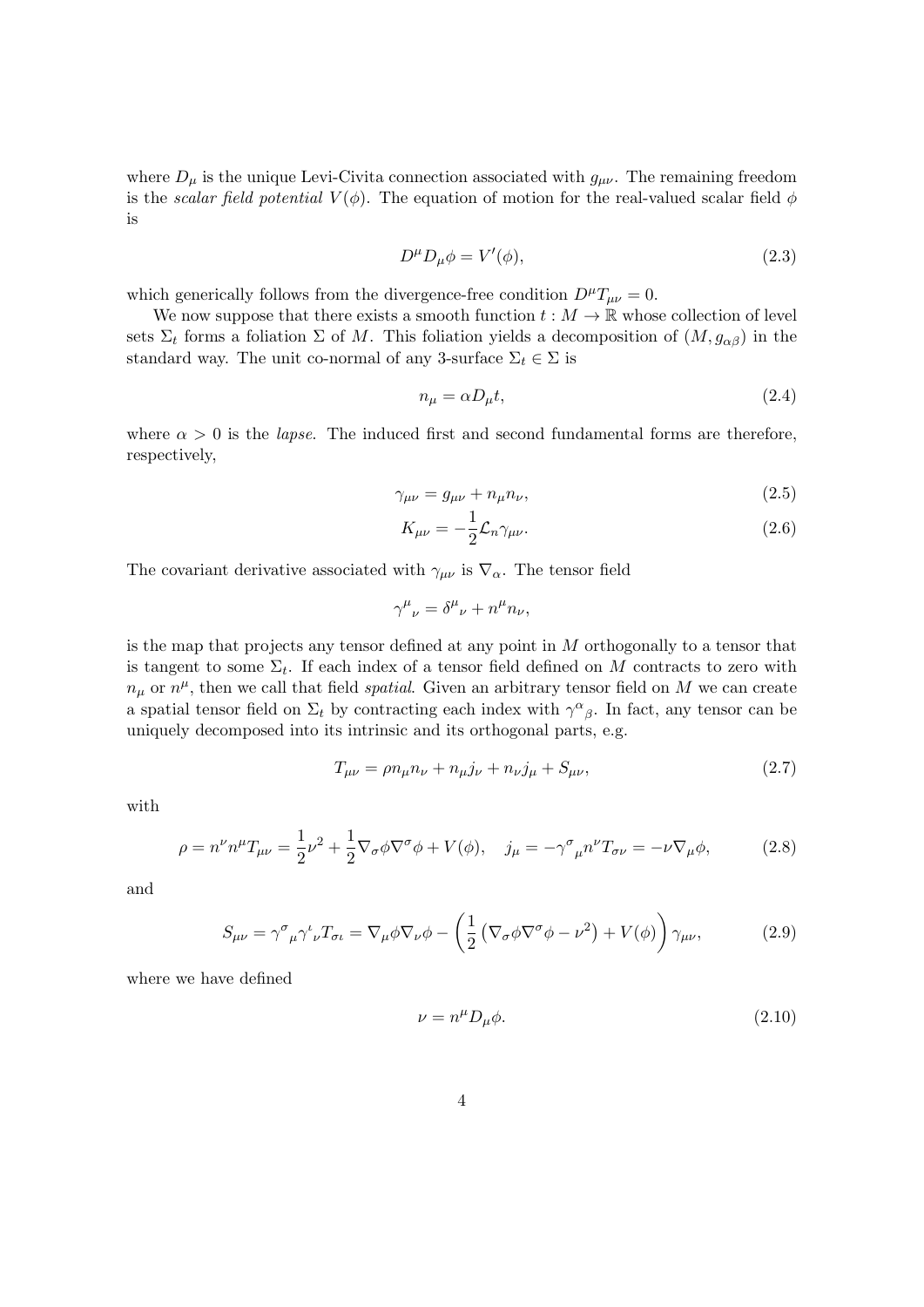where  $D_{\mu}$  is the unique Levi-Civita connection associated with  $g_{\mu\nu}$ . The remaining freedom is the scalar field potential  $V(\phi)$ . The equation of motion for the real-valued scalar field  $\phi$ is

<span id="page-3-1"></span>
$$
D^{\mu}D_{\mu}\phi = V'(\phi),\tag{2.3}
$$

which generically follows from the divergence-free condition  $D^{\mu}T_{\mu\nu} = 0$ .

We now suppose that there exists a smooth function  $t : M \to \mathbb{R}$  whose collection of level sets  $\Sigma_t$  forms a foliation  $\Sigma$  of M. This foliation yields a decomposition of  $(M, g_{\alpha\beta})$  in the standard way. The unit co-normal of any 3-surface  $\Sigma_t \in \Sigma$  is

<span id="page-3-0"></span>
$$
n_{\mu} = \alpha D_{\mu} t,\tag{2.4}
$$

where  $\alpha > 0$  is the *lapse*. The induced first and second fundamental forms are therefore, respectively,

$$
\gamma_{\mu\nu} = g_{\mu\nu} + n_{\mu} n_{\nu},\tag{2.5}
$$

$$
K_{\mu\nu} = -\frac{1}{2}\mathcal{L}_n \gamma_{\mu\nu}.
$$
\n(2.6)

The covariant derivative associated with  $\gamma_{\mu\nu}$  is  $\nabla_{\alpha}$ . The tensor field

$$
\gamma^{\mu}{}_{\nu} = \delta^{\mu}{}_{\nu} + n^{\mu}n_{\nu},
$$

is the map that projects any tensor defined at any point in M orthogonally to a tensor that is tangent to some  $\Sigma_t$ . If each index of a tensor field defined on M contracts to zero with  $n_{\mu}$  or  $n^{\mu}$ , then we call that field *spatial*. Given an arbitrary tensor field on M we can create a spatial tensor field on  $\Sigma_t$  by contracting each index with  $\gamma^{\alpha}{}_{\beta}$ . In fact, any tensor can be uniquely decomposed into its intrinsic and its orthogonal parts, e.g.

$$
T_{\mu\nu} = \rho n_{\mu} n_{\nu} + n_{\mu} j_{\nu} + n_{\nu} j_{\mu} + S_{\mu\nu}, \qquad (2.7)
$$

with

$$
\rho = n^{\nu} n^{\mu} T_{\mu\nu} = \frac{1}{2} \nu^2 + \frac{1}{2} \nabla_{\sigma} \phi \nabla^{\sigma} \phi + V(\phi), \quad j_{\mu} = -\gamma^{\sigma}{}_{\mu} n^{\nu} T_{\sigma\nu} = -\nu \nabla_{\mu} \phi,
$$
 (2.8)

and

$$
S_{\mu\nu} = \gamma^{\sigma}{}_{\mu}\gamma^{\iota}{}_{\nu}T_{\sigma\iota} = \nabla_{\mu}\phi\nabla_{\nu}\phi - \left(\frac{1}{2}\left(\nabla_{\sigma}\phi\nabla^{\sigma}\phi - \nu^{2}\right) + V(\phi)\right)\gamma_{\mu\nu},\tag{2.9}
$$

where we have defined

$$
\nu = n^{\mu} D_{\mu} \phi. \tag{2.10}
$$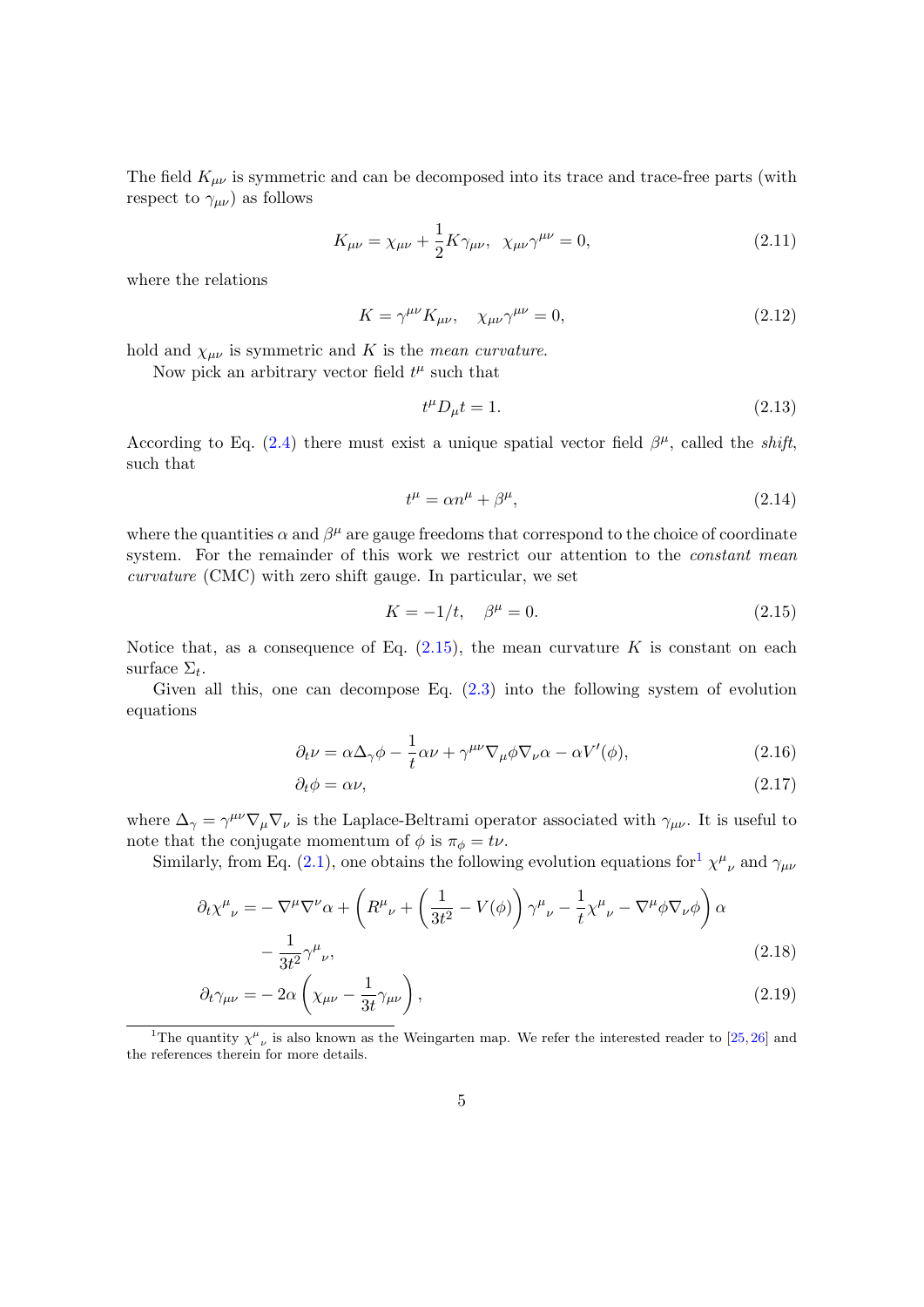The field  $K_{\mu\nu}$  is symmetric and can be decomposed into its trace and trace-free parts (with respect to  $\gamma_{\mu\nu}$ ) as follows

$$
K_{\mu\nu} = \chi_{\mu\nu} + \frac{1}{2} K \gamma_{\mu\nu}, \ \ \chi_{\mu\nu} \gamma^{\mu\nu} = 0,
$$
\n(2.11)

where the relations

$$
K = \gamma^{\mu\nu} K_{\mu\nu}, \quad \chi_{\mu\nu} \gamma^{\mu\nu} = 0,\tag{2.12}
$$

hold and  $\chi_{\mu\nu}$  is symmetric and K is the *mean curvature*.

Now pick an arbitrary vector field  $t^{\mu}$  such that

$$
t^{\mu}D_{\mu}t = 1. \tag{2.13}
$$

According to Eq. [\(2.4\)](#page-3-0) there must exist a unique spatial vector field  $\beta^{\mu}$ , called the *shift*, such that

<span id="page-4-0"></span>
$$
t^{\mu} = \alpha n^{\mu} + \beta^{\mu},\tag{2.14}
$$

where the quantities  $\alpha$  and  $\beta^{\mu}$  are gauge freedoms that correspond to the choice of coordinate system. For the remainder of this work we restrict our attention to the *constant mean* curvature (CMC) with zero shift gauge. In particular, we set

<span id="page-4-4"></span><span id="page-4-1"></span>
$$
K = -1/t, \quad \beta^{\mu} = 0. \tag{2.15}
$$

Notice that, as a consequence of Eq.  $(2.15)$ , the mean curvature K is constant on each surface  $\Sigma_t$ .

Given all this, one can decompose Eq.  $(2.3)$  into the following system of evolution equations

$$
\partial_t \nu = \alpha \Delta_\gamma \phi - \frac{1}{t} \alpha \nu + \gamma^{\mu \nu} \nabla_\mu \phi \nabla_\nu \alpha - \alpha V'(\phi), \tag{2.16}
$$

<span id="page-4-3"></span><span id="page-4-2"></span>
$$
\partial_t \phi = \alpha \nu, \tag{2.17}
$$

where  $\Delta_{\gamma} = \gamma^{\mu\nu} \nabla_{\mu} \nabla_{\nu}$  is the Laplace-Beltrami operator associated with  $\gamma_{\mu\nu}$ . It is useful to note that the conjugate momentum of  $\phi$  is  $\pi_{\phi} = t\nu$ .

Similarly, from Eq. [\(2.1\)](#page-2-1), one obtains the following evolution equations for  $\chi^{\mu}{}_{\nu}$  and  $\gamma_{\mu\nu}$ 

$$
\partial_t \chi^{\mu}{}_{\nu} = -\nabla^{\mu} \nabla^{\nu} \alpha + \left( R^{\mu}{}_{\nu} + \left( \frac{1}{3t^2} - V(\phi) \right) \gamma^{\mu}{}_{\nu} - \frac{1}{t} \chi^{\mu}{}_{\nu} - \nabla^{\mu} \phi \nabla_{\nu} \phi \right) \alpha - \frac{1}{3t^2} \gamma^{\mu}{}_{\nu},
$$
\n(2.18)

$$
\partial_t \gamma_{\mu\nu} = -2\alpha \left( \chi_{\mu\nu} - \frac{1}{3t} \gamma_{\mu\nu} \right), \tag{2.19}
$$

<sup>&</sup>lt;sup>1</sup>The quantity  $\chi^{\mu}{}_{\nu}$  is also known as the Weingarten map. We refer the interested reader to [\[25,](#page-40-4) [26\]](#page-40-5) and the references therein for more details.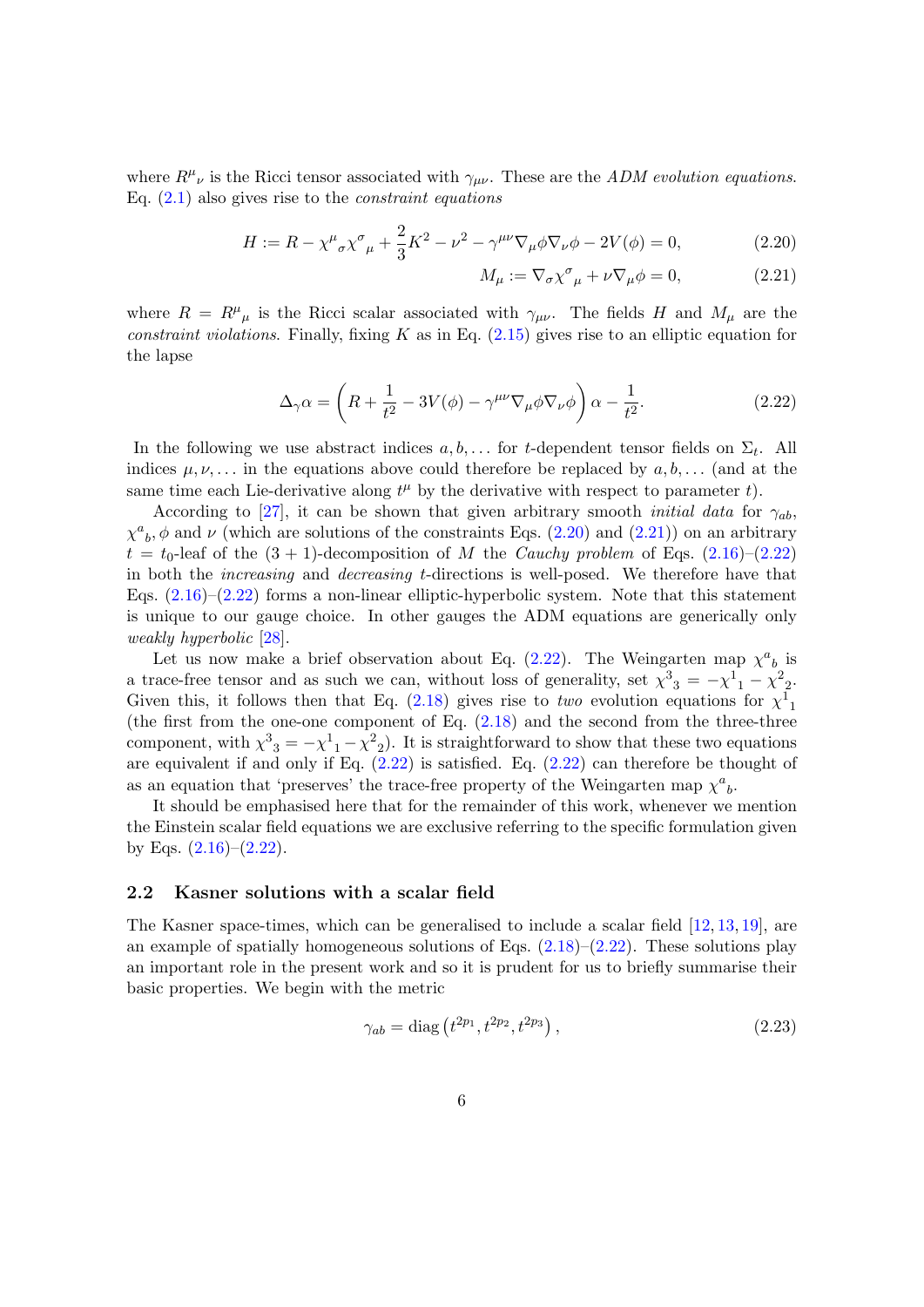where  $R^{\mu}{}_{\nu}$  is the Ricci tensor associated with  $\gamma_{\mu\nu}$ . These are the ADM evolution equations. Eq.  $(2.1)$  also gives rise to the *constraint equations* 

$$
H := R - \chi^{\mu}{}_{\sigma} \chi^{\sigma}{}_{\mu} + \frac{2}{3} K^{2} - \nu^{2} - \gamma^{\mu \nu} \nabla_{\mu} \phi \nabla_{\nu} \phi - 2V(\phi) = 0, \tag{2.20}
$$

<span id="page-5-2"></span><span id="page-5-1"></span><span id="page-5-0"></span>
$$
M_{\mu} := \nabla_{\sigma} \chi^{\sigma}{}_{\mu} + \nu \nabla_{\mu} \phi = 0, \tag{2.21}
$$

where  $R = R^{\mu}{}_{\mu}$  is the Ricci scalar associated with  $\gamma_{\mu\nu}$ . The fields H and  $M_{\mu}$  are the constraint violations. Finally, fixing K as in Eq.  $(2.15)$  gives rise to an elliptic equation for the lapse

$$
\Delta_{\gamma}\alpha = \left(R + \frac{1}{t^2} - 3V(\phi) - \gamma^{\mu\nu}\nabla_{\mu}\phi\nabla_{\nu}\phi\right)\alpha - \frac{1}{t^2}.
$$
\n(2.22)

In the following we use abstract indices  $a, b, \ldots$  for t-dependent tensor fields on  $\Sigma_t$ . All indices  $\mu, \nu, \ldots$  in the equations above could therefore be replaced by  $a, b, \ldots$  (and at the same time each Lie-derivative along  $t^{\mu}$  by the derivative with respect to parameter t).

According to [\[27\]](#page-40-6), it can be shown that given arbitrary smooth *initial data* for  $\gamma_{ab}$ ,  $\chi^a{}_b$ ,  $\phi$  and  $\nu$  (which are solutions of the constraints Eqs. [\(2.20\)](#page-5-0) and [\(2.21\)](#page-5-1)) on an arbitrary  $t = t_0$ -leaf of the  $(3 + 1)$ -decomposition of M the Cauchy problem of Eqs.  $(2.16)$ - $(2.22)$ in both the increasing and decreasing t-directions is well-posed. We therefore have that Eqs.  $(2.16)-(2.22)$  $(2.16)-(2.22)$  $(2.16)-(2.22)$  forms a non-linear elliptic-hyperbolic system. Note that this statement is unique to our gauge choice. In other gauges the ADM equations are generically only weakly hyperbolic [\[28\]](#page-40-7).

Let us now make a brief observation about Eq.  $(2.22)$ . The Weingarten map  $\chi^a{}_b$  is a trace-free tensor and as such we can, without loss of generality, set  $\chi^3{}_3 = -\chi^1{}_1 - \chi^2{}_2$ . Given this, it follows then that Eq. [\(2.18\)](#page-4-2) gives rise to *two* evolution equations for  $\chi^1_1$ (the first from the one-one component of Eq.  $(2.18)$  and the second from the three-three component, with  $\chi^3{}_{3} = -\chi^1{}_{1} - \chi^2{}_{2}$ ). It is straightforward to show that these two equations are equivalent if and only if Eq.  $(2.22)$  is satisfied. Eq.  $(2.22)$  can therefore be thought of as an equation that 'preserves' the trace-free property of the Weingarten map  $\chi^a{}_b$ .

It should be emphasised here that for the remainder of this work, whenever we mention the Einstein scalar field equations we are exclusive referring to the specific formulation given by Eqs.  $(2.16)$ – $(2.22)$ .

### <span id="page-5-3"></span>2.2 Kasner solutions with a scalar field

The Kasner space-times, which can be generalised to include a scalar field  $[12, 13, 19]$  $[12, 13, 19]$  $[12, 13, 19]$  $[12, 13, 19]$  $[12, 13, 19]$ , are an example of spatially homogeneous solutions of Eqs.  $(2.18)$ – $(2.22)$ . These solutions play an important role in the present work and so it is prudent for us to briefly summarise their basic properties. We begin with the metric

$$
\gamma_{ab} = \text{diag}\left(t^{2p_1}, t^{2p_2}, t^{2p_3}\right),\tag{2.23}
$$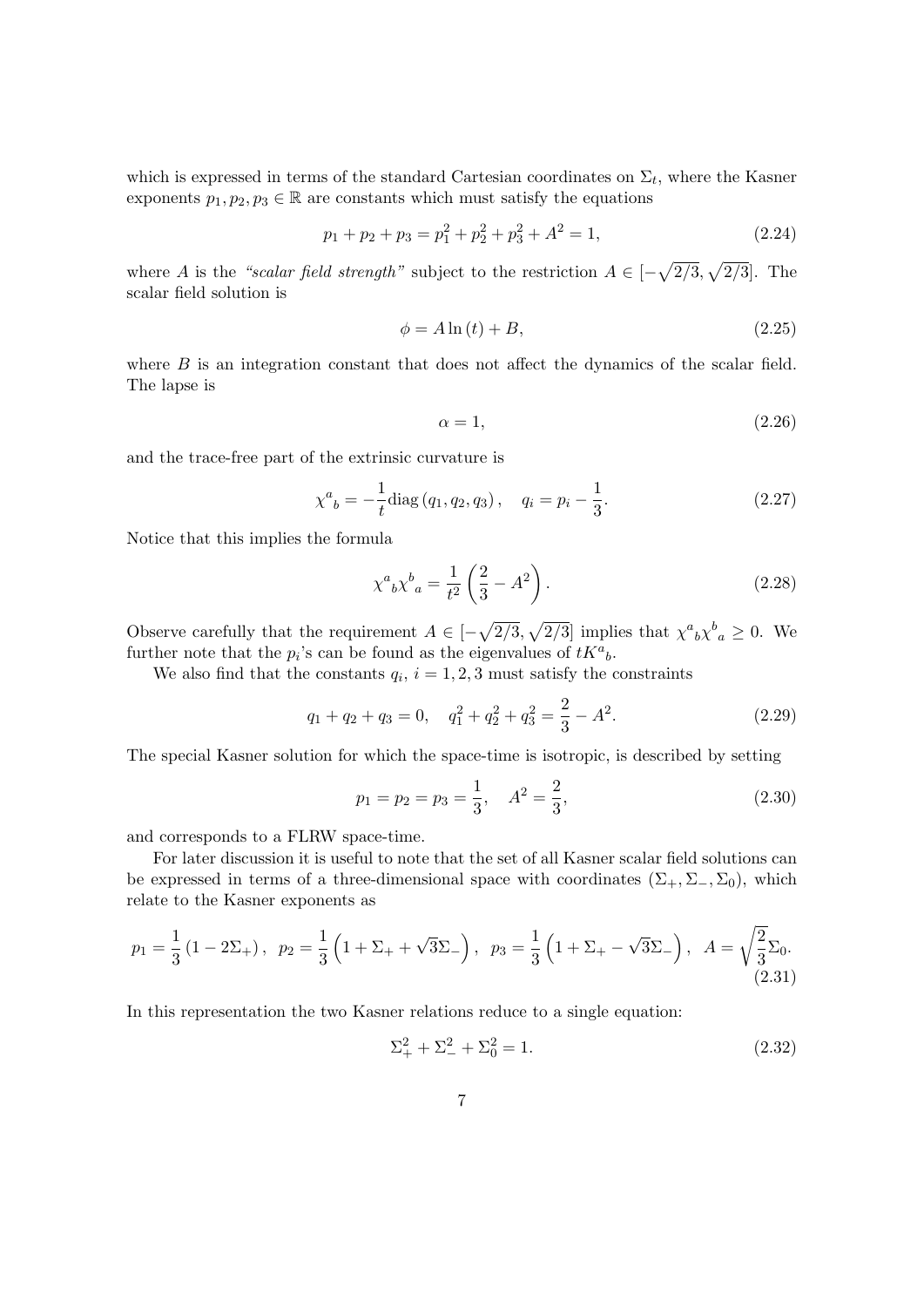which is expressed in terms of the standard Cartesian coordinates on  $\Sigma_t$ , where the Kasner exponents  $p_1, p_2, p_3 \in \mathbb{R}$  are constants which must satisfy the equations

$$
p_1 + p_2 + p_3 = p_1^2 + p_2^2 + p_3^2 + A^2 = 1,
$$
\n(2.24)

where A is the "scalar field strength" subject to the restriction  $A \in [-\sqrt{2/3}, \sqrt{2/3}]$ . The scalar field solution is

$$
\phi = A \ln(t) + B,\tag{2.25}
$$

where  $B$  is an integration constant that does not affect the dynamics of the scalar field. The lapse is

$$
\alpha = 1,\tag{2.26}
$$

and the trace-free part of the extrinsic curvature is

$$
\chi^{a}{}_{b} = -\frac{1}{t} \text{diag}(q_{1}, q_{2}, q_{3}), \quad q_{i} = p_{i} - \frac{1}{3}.
$$
 (2.27)

Notice that this implies the formula

$$
\chi^a{}_b \chi^b{}_a = \frac{1}{t^2} \left( \frac{2}{3} - A^2 \right). \tag{2.28}
$$

Observe carefully that the requirement  $A \in [-\sqrt{2/3}, \sqrt{2/3}]$  implies that  $\chi^a{}_b \chi^b{}_a \geq 0$ . We further note that the  $p_i$ 's can be found as the eigenvalues of  $tK^a{}_b$ .

We also find that the constants  $q_i$ ,  $i = 1, 2, 3$  must satisfy the constraints

$$
q_1 + q_2 + q_3 = 0, \quad q_1^2 + q_2^2 + q_3^2 = \frac{2}{3} - A^2. \tag{2.29}
$$

The special Kasner solution for which the space-time is isotropic, is described by setting

$$
p_1 = p_2 = p_3 = \frac{1}{3}, \quad A^2 = \frac{2}{3}, \tag{2.30}
$$

and corresponds to a FLRW space-time.

For later discussion it is useful to note that the set of all Kasner scalar field solutions can be expressed in terms of a three-dimensional space with coordinates  $(\Sigma_+, \Sigma_-, \Sigma_0)$ , which relate to the Kasner exponents as

$$
p_1 = \frac{1}{3} (1 - 2\Sigma_+), \quad p_2 = \frac{1}{3} \left( 1 + \Sigma_+ + \sqrt{3} \Sigma_- \right), \quad p_3 = \frac{1}{3} \left( 1 + \Sigma_+ - \sqrt{3} \Sigma_- \right), \quad A = \sqrt{\frac{2}{3}} \Sigma_0.
$$
\n(2.31)

In this representation the two Kasner relations reduce to a single equation:

$$
\Sigma_{+}^{2} + \Sigma_{-}^{2} + \Sigma_{0}^{2} = 1. \tag{2.32}
$$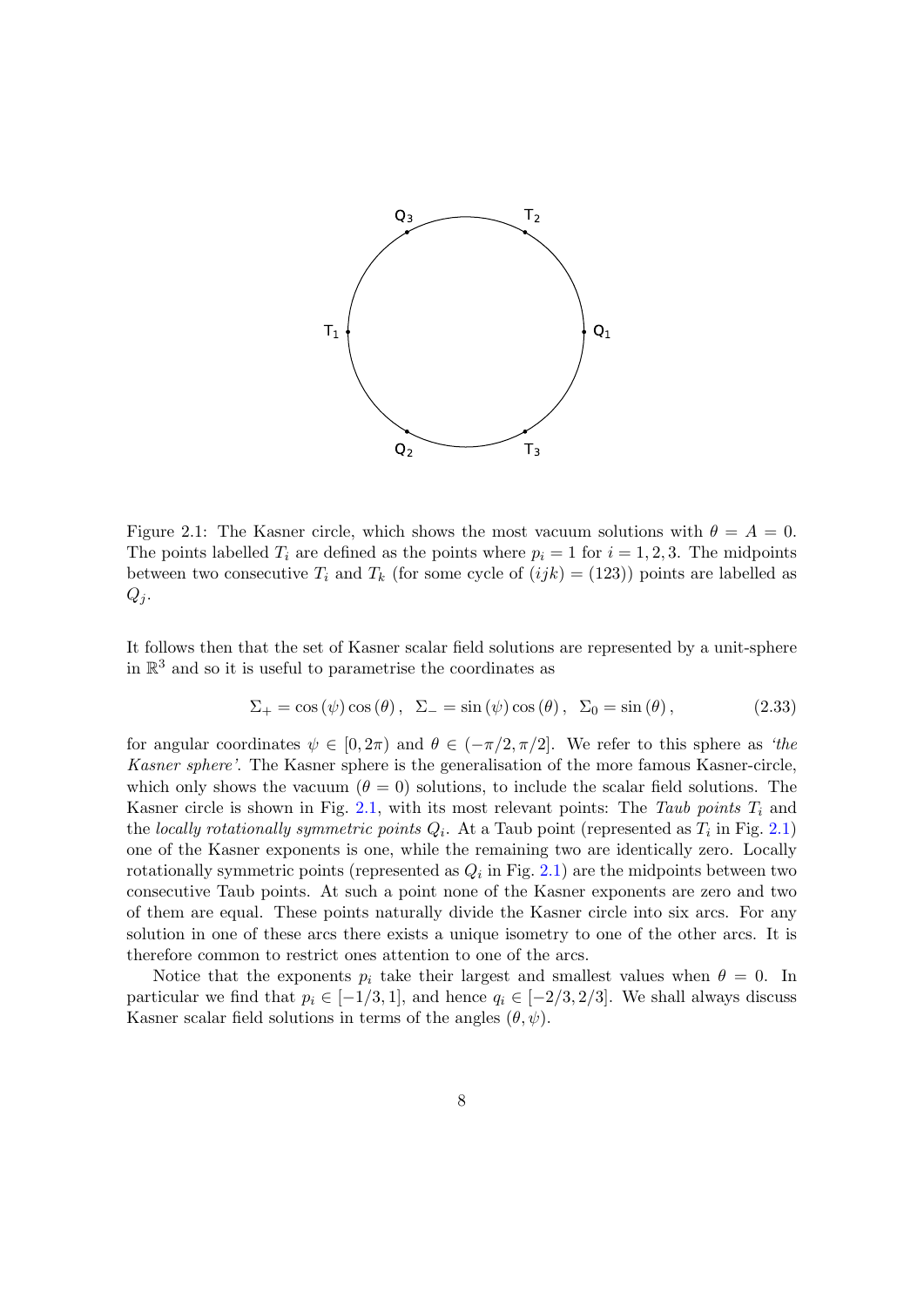

<span id="page-7-0"></span>Figure 2.1: The Kasner circle, which shows the most vacuum solutions with  $\theta = A = 0$ . The points labelled  $T_i$  are defined as the points where  $p_i = 1$  for  $i = 1, 2, 3$ . The midpoints between two consecutive  $T_i$  and  $T_k$  (for some cycle of  $(ijk) = (123)$ ) points are labelled as  $Q_j$ .

It follows then that the set of Kasner scalar field solutions are represented by a unit-sphere in  $\mathbb{R}^3$  and so it is useful to parametrise the coordinates as

$$
\Sigma_{+} = \cos(\psi)\cos(\theta), \quad \Sigma_{-} = \sin(\psi)\cos(\theta), \quad \Sigma_{0} = \sin(\theta), \tag{2.33}
$$

for angular coordinates  $\psi \in [0, 2\pi)$  and  $\theta \in (-\pi/2, \pi/2]$ . We refer to this sphere as 'the Kasner sphere'. The Kasner sphere is the generalisation of the more famous Kasner-circle, which only shows the vacuum ( $\theta = 0$ ) solutions, to include the scalar field solutions. The Kasner circle is shown in Fig. [2.1,](#page-7-0) with its most relevant points: The Taub points  $T_i$  and the locally rotationally symmetric points  $Q_i$ . At a Taub point (represented as  $T_i$  in Fig. [2.1\)](#page-7-0) one of the Kasner exponents is one, while the remaining two are identically zero. Locally rotationally symmetric points (represented as  $Q_i$  in Fig. [2.1\)](#page-7-0) are the midpoints between two consecutive Taub points. At such a point none of the Kasner exponents are zero and two of them are equal. These points naturally divide the Kasner circle into six arcs. For any solution in one of these arcs there exists a unique isometry to one of the other arcs. It is therefore common to restrict ones attention to one of the arcs.

Notice that the exponents  $p_i$  take their largest and smallest values when  $\theta = 0$ . In particular we find that  $p_i \in [-1/3, 1]$ , and hence  $q_i \in [-2/3, 2/3]$ . We shall always discuss Kasner scalar field solutions in terms of the angles  $(\theta, \psi)$ .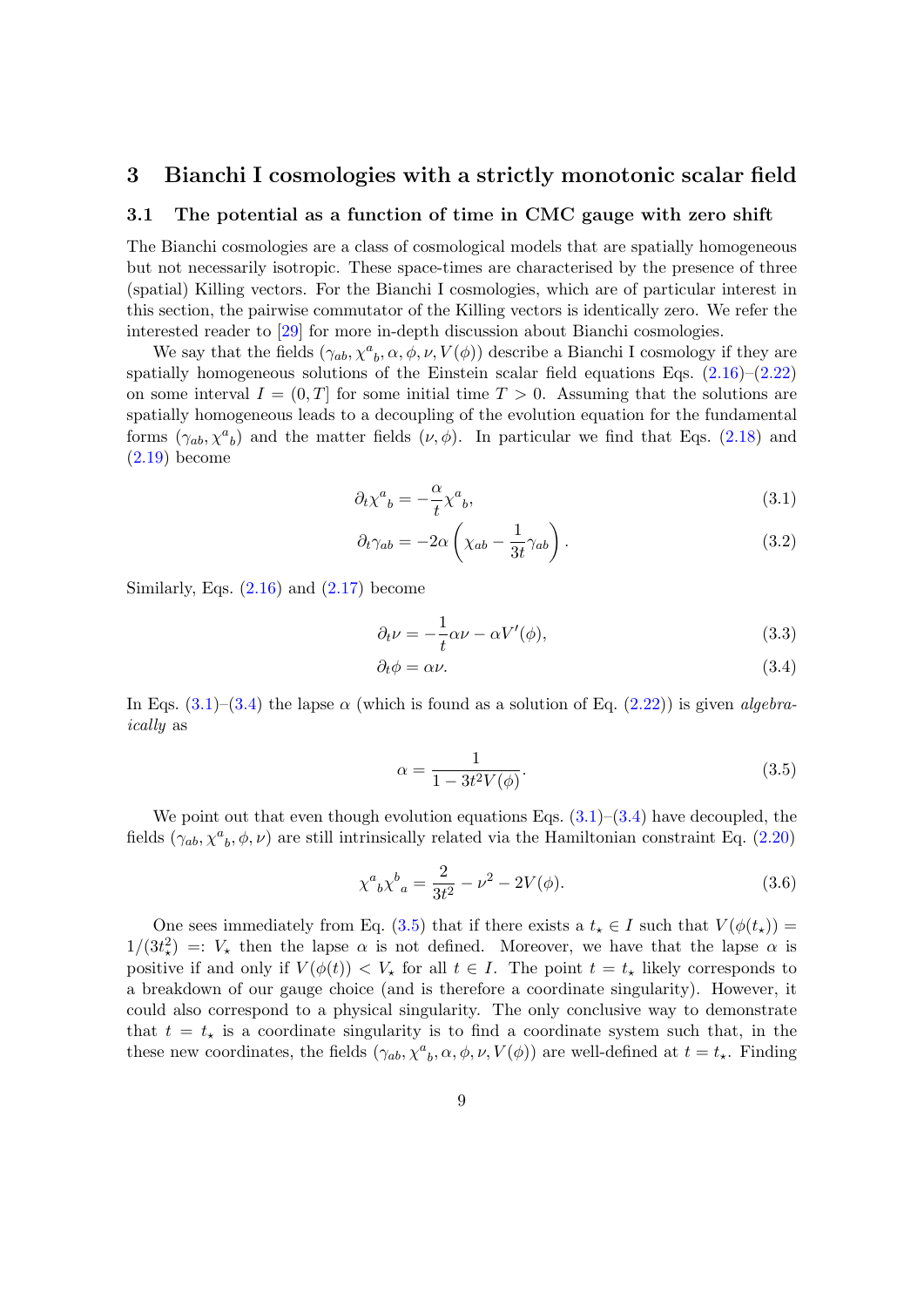### <span id="page-8-0"></span>3 Bianchi I cosmologies with a strictly monotonic scalar field

### 3.1 The potential as a function of time in CMC gauge with zero shift

The Bianchi cosmologies are a class of cosmological models that are spatially homogeneous but not necessarily isotropic. These space-times are characterised by the presence of three (spatial) Killing vectors. For the Bianchi I cosmologies, which are of particular interest in this section, the pairwise commutator of the Killing vectors is identically zero. We refer the interested reader to [\[29\]](#page-40-8) for more in-depth discussion about Bianchi cosmologies.

We say that the fields  $(\gamma_{ab}, \chi^a{}_b, \alpha, \phi, \nu, V(\phi))$  describe a Bianchi I cosmology if they are spatially homogeneous solutions of the Einstein scalar field equations Eqs.  $(2.16)$ – $(2.22)$ on some interval  $I = (0, T]$  for some initial time  $T > 0$ . Assuming that the solutions are spatially homogeneous leads to a decoupling of the evolution equation for the fundamental forms  $(\gamma_{ab}, \chi^a{}_b)$  and the matter fields  $(\nu, \phi)$ . In particular we find that Eqs. [\(2.18\)](#page-4-2) and [\(2.19\)](#page-4-3) become

$$
\partial_t \chi^a{}_b = -\frac{\alpha}{t} \chi^a{}_b,\tag{3.1}
$$

<span id="page-8-1"></span>
$$
\partial_t \gamma_{ab} = -2\alpha \left( \chi_{ab} - \frac{1}{3t} \gamma_{ab} \right). \tag{3.2}
$$

Similarly, Eqs.  $(2.16)$  and  $(2.17)$  become

<span id="page-8-6"></span><span id="page-8-4"></span>
$$
\partial_t \nu = -\frac{1}{t} \alpha \nu - \alpha V'(\phi),\tag{3.3}
$$

$$
\partial_t \phi = \alpha \nu. \tag{3.4}
$$

In Eqs.  $(3.1)$ – $(3.4)$  the lapse  $\alpha$  (which is found as a solution of Eq.  $(2.22)$ ) is given algebraically as

<span id="page-8-5"></span><span id="page-8-3"></span><span id="page-8-2"></span>
$$
\alpha = \frac{1}{1 - 3t^2 V(\phi)}.\tag{3.5}
$$

We point out that even though evolution equations Eqs.  $(3.1)$ – $(3.4)$  have decoupled, the fields  $(\gamma_{ab}, \chi^a{}_b, \phi, \nu)$  are still intrinsically related via the Hamiltonian constraint Eq. [\(2.20\)](#page-5-0)

$$
\chi^{a}{}_{b}\chi^{b}{}_{a} = \frac{2}{3t^{2}} - \nu^{2} - 2V(\phi). \tag{3.6}
$$

One sees immediately from Eq. [\(3.5\)](#page-8-3) that if there exists a  $t_* \in I$  such that  $V(\phi(t_*))$  $1/(3t_{\star}^2) =: V_{\star}$  then the lapse  $\alpha$  is not defined. Moreover, we have that the lapse  $\alpha$  is positive if and only if  $V(\phi(t)) < V_{\star}$  for all  $t \in I$ . The point  $t = t_{\star}$  likely corresponds to a breakdown of our gauge choice (and is therefore a coordinate singularity). However, it could also correspond to a physical singularity. The only conclusive way to demonstrate that  $t = t<sub>*</sub>$  is a coordinate singularity is to find a coordinate system such that, in the these new coordinates, the fields  $(\gamma_{ab}, \chi^a{}_b, \alpha, \phi, \nu, V(\phi))$  are well-defined at  $t = t_{\star}$ . Finding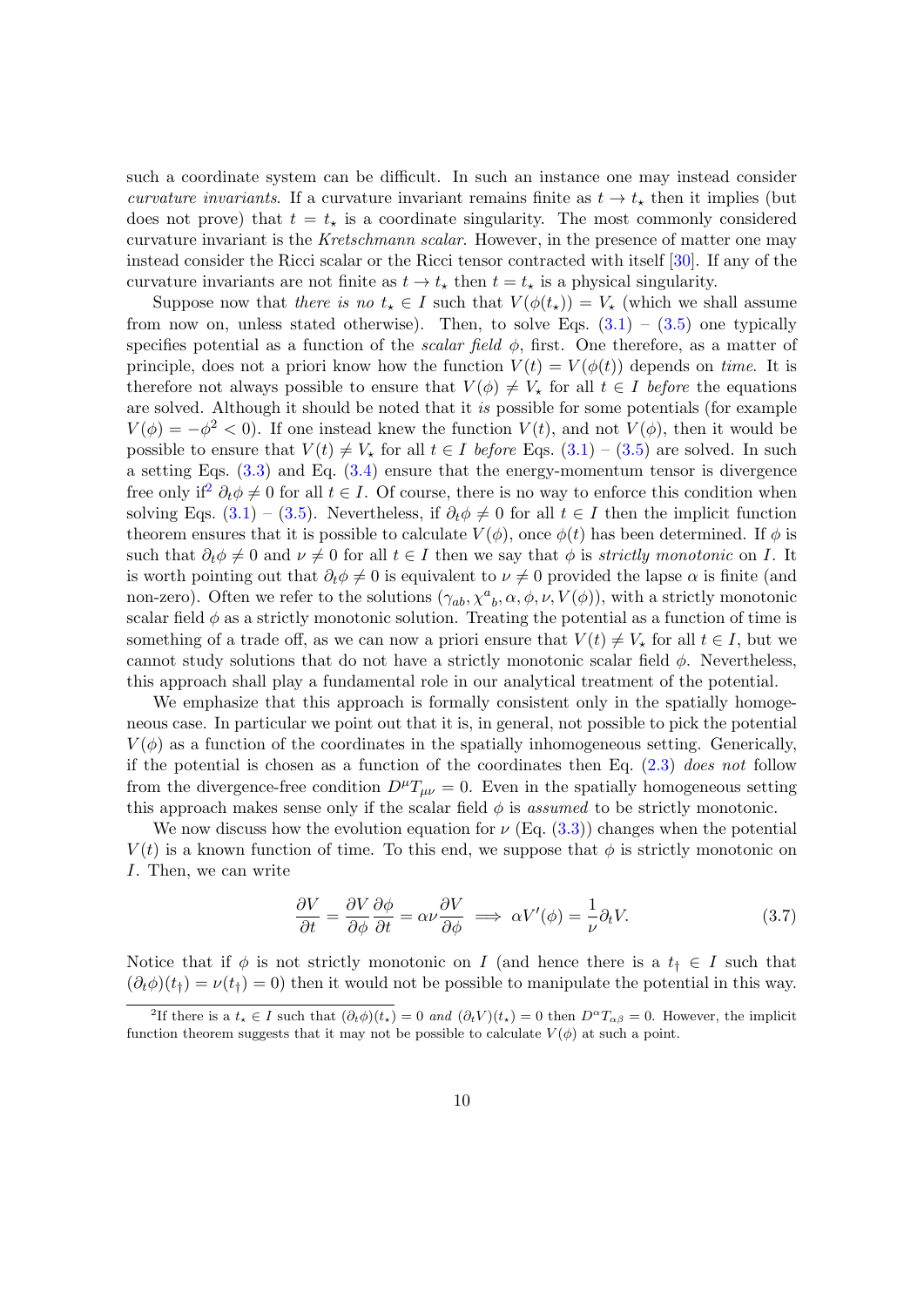such a coordinate system can be difficult. In such an instance one may instead consider curvature invariants. If a curvature invariant remains finite as  $t \to t_{\star}$  then it implies (but does not prove) that  $t = t<sub>*</sub>$  is a coordinate singularity. The most commonly considered curvature invariant is the Kretschmann scalar. However, in the presence of matter one may instead consider the Ricci scalar or the Ricci tensor contracted with itself [\[30\]](#page-40-9). If any of the curvature invariants are not finite as  $t \to t_{\star}$  then  $t = t_{\star}$  is a physical singularity.

Suppose now that there is no  $t<sub>\star</sub> \in I$  such that  $V(\phi(t_{\star})) = V_{\star}$  (which we shall assume from now on, unless stated otherwise). Then, to solve Eqs.  $(3.1) - (3.5)$  $(3.1) - (3.5)$  $(3.1) - (3.5)$  one typically specifies potential as a function of the *scalar field*  $\phi$ , first. One therefore, as a matter of principle, does not a priori know how the function  $V(t) = V(\phi(t))$  depends on time. It is therefore not always possible to ensure that  $V(\phi) \neq V_*$  for all  $t \in I$  before the equations are solved. Although it should be noted that it is possible for some potentials (for example  $V(\phi) = -\phi^2 < 0$ ). If one instead knew the function  $V(t)$ , and not  $V(\phi)$ , then it would be possible to ensure that  $V(t) \neq V_*$  for all  $t \in I$  before Eqs. [\(3.1\)](#page-8-1) – [\(3.5\)](#page-8-3) are solved. In such a setting Eqs. [\(3.3\)](#page-8-4) and Eq. [\(3.4\)](#page-8-2) ensure that the energy-momentum tensor is divergence free only if<sup>[2](#page-0-0)</sup>  $\partial_t \phi \neq 0$  for all  $t \in I$ . Of course, there is no way to enforce this condition when solving Eqs. [\(3.1\)](#page-8-1) – [\(3.5\)](#page-8-3). Nevertheless, if  $\partial_t \phi \neq 0$  for all  $t \in I$  then the implicit function theorem ensures that it is possible to calculate  $V(\phi)$ , once  $\phi(t)$  has been determined. If  $\phi$  is such that  $\partial_t \phi \neq 0$  and  $\nu \neq 0$  for all  $t \in I$  then we say that  $\phi$  is strictly monotonic on I. It is worth pointing out that  $\partial_t \phi \neq 0$  is equivalent to  $\nu \neq 0$  provided the lapse  $\alpha$  is finite (and non-zero). Often we refer to the solutions  $(\gamma_{ab}, \chi^a{}_b, \alpha, \phi, \nu, V(\phi))$ , with a strictly monotonic scalar field  $\phi$  as a strictly monotonic solution. Treating the potential as a function of time is something of a trade off, as we can now a priori ensure that  $V(t) \neq V_*$  for all  $t \in I$ , but we cannot study solutions that do not have a strictly monotonic scalar field  $\phi$ . Nevertheless, this approach shall play a fundamental role in our analytical treatment of the potential.

We emphasize that this approach is formally consistent only in the spatially homogeneous case. In particular we point out that it is, in general, not possible to pick the potential  $V(\phi)$  as a function of the coordinates in the spatially inhomogeneous setting. Generically, if the potential is chosen as a function of the coordinates then Eq.  $(2.3)$  does not follow from the divergence-free condition  $D^{\mu}T_{\mu\nu} = 0$ . Even in the spatially homogeneous setting this approach makes sense only if the scalar field  $\phi$  is *assumed* to be strictly monotonic.

We now discuss how the evolution equation for  $\nu$  (Eq. [\(3.3\)](#page-8-4)) changes when the potential  $V(t)$  is a known function of time. To this end, we suppose that  $\phi$  is strictly monotonic on I. Then, we can write

<span id="page-9-0"></span>
$$
\frac{\partial V}{\partial t} = \frac{\partial V}{\partial \phi} \frac{\partial \phi}{\partial t} = \alpha \nu \frac{\partial V}{\partial \phi} \implies \alpha V'(\phi) = \frac{1}{\nu} \partial_t V. \tag{3.7}
$$

Notice that if  $\phi$  is not strictly monotonic on I (and hence there is a  $t_{\dagger} \in I$  such that  $(\partial_t \phi)(t_+) = \nu(t_+) = 0$ ) then it would not be possible to manipulate the potential in this way.

<sup>&</sup>lt;sup>2</sup>If there is a  $t_{\star} \in I$  such that  $(\partial_t \phi)(t_{\star}) = 0$  and  $(\partial_t V)(t_{\star}) = 0$  then  $D^{\alpha}T_{\alpha\beta} = 0$ . However, the implicit function theorem suggests that it may not be possible to calculate  $V(\phi)$  at such a point.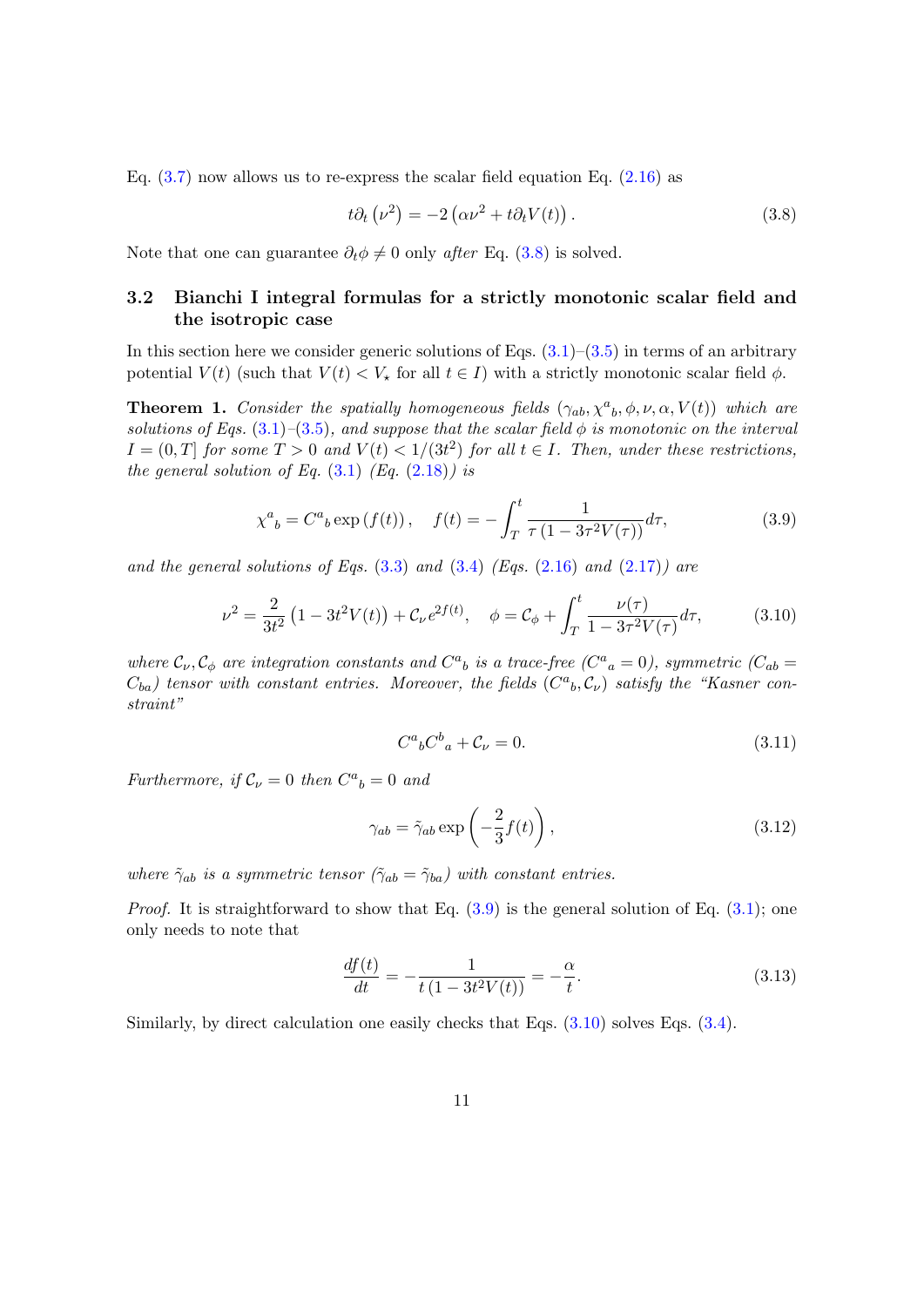Eq.  $(3.7)$  now allows us to re-express the scalar field equation Eq.  $(2.16)$  as

<span id="page-10-1"></span>
$$
t\partial_t(\nu^2) = -2(\alpha\nu^2 + t\partial_t V(t)).
$$
\n(3.8)

Note that one can guarantee  $\partial_t \phi \neq 0$  only after Eq. [\(3.8\)](#page-10-1) is solved.

# <span id="page-10-0"></span>3.2 Bianchi I integral formulas for a strictly monotonic scalar field and the isotropic case

In this section here we consider generic solutions of Eqs.  $(3.1)$ – $(3.5)$  in terms of an arbitrary potential  $V(t)$  (such that  $V(t) \leq V_{\star}$  for all  $t \in I$ ) with a strictly monotonic scalar field  $\phi$ .

<span id="page-10-6"></span>**Theorem 1.** Consider the spatially homogeneous fields  $(\gamma_{ab}, \chi^a{}_b, \phi, \nu, \alpha, V(t))$  which are solutions of Eqs. [\(3.1\)](#page-8-1)–[\(3.5\)](#page-8-3), and suppose that the scalar field  $\phi$  is monotonic on the interval  $I = (0, T]$  for some  $T > 0$  and  $V(t) < 1/(3t^2)$  for all  $t \in I$ . Then, under these restrictions, the general solution of Eq.  $(3.1)$  (Eq.  $(2.18)$ ) is

$$
\chi^{a}{}_{b} = C^{a}{}_{b} \exp\left(f(t)\right), \quad f(t) = -\int_{T}^{t} \frac{1}{\tau \left(1 - 3\tau^{2} V(\tau)\right)} d\tau,\tag{3.9}
$$

and the general solutions of Eqs.  $(3.3)$  and  $(3.4)$  (Eqs.  $(2.16)$  and  $(2.17)$ ) are

$$
\nu^2 = \frac{2}{3t^2} \left( 1 - 3t^2 V(t) \right) + C_\nu e^{2f(t)}, \quad \phi = C_\phi + \int_T^t \frac{\nu(\tau)}{1 - 3\tau^2 V(\tau)} d\tau,\tag{3.10}
$$

where  $\mathcal{C}_{\nu}, \mathcal{C}_{\phi}$  are integration constants and  $C^{a}{}_{b}$  is a trace-free  $(C^{a}{}_{a}=0)$ , symmetric  $(C_{ab}=0)$  $C_{ba}$ ) tensor with constant entries. Moreover, the fields  $(C^a{}_b, \mathcal{C}_\nu)$  satisfy the "Kasner constraint"

<span id="page-10-5"></span><span id="page-10-4"></span><span id="page-10-3"></span><span id="page-10-2"></span>
$$
C^a{}_b C^b{}_a + \mathcal{C}_\nu = 0. \tag{3.11}
$$

Furthermore, if  $C_{\nu} = 0$  then  $C^a{}_b = 0$  and

$$
\gamma_{ab} = \tilde{\gamma}_{ab} \exp\left(-\frac{2}{3}f(t)\right),\tag{3.12}
$$

where  $\tilde{\gamma}_{ab}$  is a symmetric tensor  $(\tilde{\gamma}_{ab} = \tilde{\gamma}_{ba})$  with constant entries.

*Proof.* It is straightforward to show that Eq.  $(3.9)$  is the general solution of Eq.  $(3.1)$ ; one only needs to note that

$$
\frac{df(t)}{dt} = -\frac{1}{t(1 - 3t^2V(t))} = -\frac{\alpha}{t}.\tag{3.13}
$$

Similarly, by direct calculation one easily checks that Eqs. [\(3.10\)](#page-10-3) solves Eqs. [\(3.4\)](#page-8-2).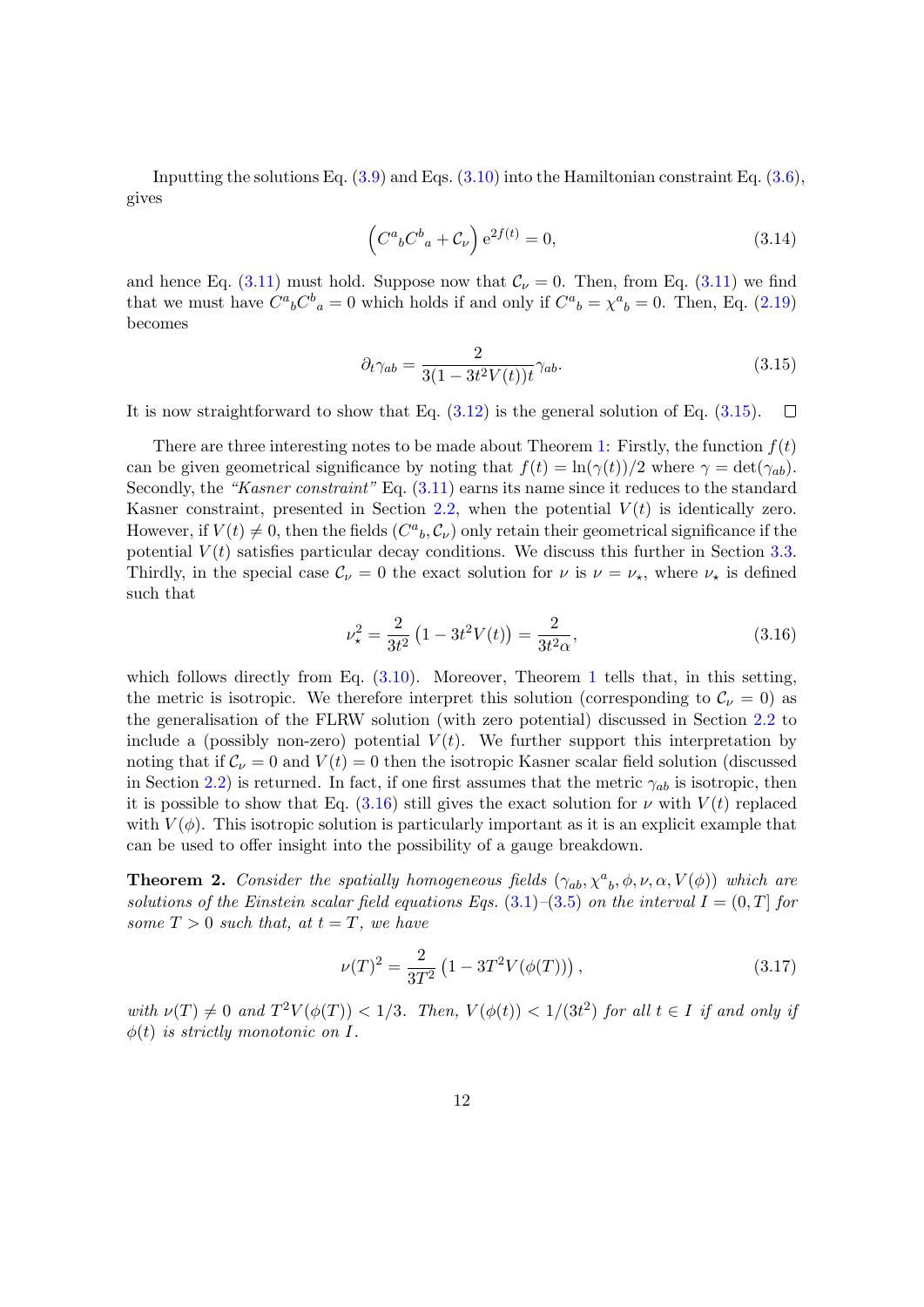Inputting the solutions Eq. [\(3.9\)](#page-10-2) and Eqs. [\(3.10\)](#page-10-3) into the Hamiltonian constraint Eq. [\(3.6\)](#page-8-5), gives

$$
\left(C^a{}_bC^b{}_a + \mathcal{C}_\nu\right) e^{2f(t)} = 0,\tag{3.14}
$$

and hence Eq. [\(3.11\)](#page-10-4) must hold. Suppose now that  $\mathcal{C}_{\nu} = 0$ . Then, from Eq. (3.11) we find that we must have  $C^a{}_b C^b{}_a = 0$  which holds if and only if  $C^a{}_b = \chi^a{}_b = 0$ . Then, Eq. [\(2.19\)](#page-4-3) becomes

<span id="page-11-0"></span>
$$
\partial_t \gamma_{ab} = \frac{2}{3(1 - 3t^2 V(t))t} \gamma_{ab}.
$$
\n(3.15)

It is now straightforward to show that Eq.  $(3.12)$  is the general solution of Eq.  $(3.15)$ .  $\Box$ 

There are three interesting notes to be made about Theorem [1:](#page-10-6) Firstly, the function  $f(t)$ can be given geometrical significance by noting that  $f(t) = \ln(\gamma(t))/2$  where  $\gamma = \det(\gamma_{ab})$ . Secondly, the "Kasner constraint" Eq.  $(3.11)$  earns its name since it reduces to the standard Kasner constraint, presented in Section [2.2,](#page-5-3) when the potential  $V(t)$  is identically zero. However, if  $V(t) \neq 0$ , then the fields  $(C^a{}_b, \mathcal{C}_\nu)$  only retain their geometrical significance if the potential  $V(t)$  satisfies particular decay conditions. We discuss this further in Section [3.3.](#page-13-0) Thirdly, in the special case  $\mathcal{C}_{\nu} = 0$  the exact solution for  $\nu$  is  $\nu = \nu_{\star}$ , where  $\nu_{\star}$  is defined such that

<span id="page-11-1"></span>
$$
\nu_{\star}^{2} = \frac{2}{3t^{2}} \left( 1 - 3t^{2} V(t) \right) = \frac{2}{3t^{2} \alpha}, \tag{3.16}
$$

which follows directly from Eq.  $(3.10)$ . Moreover, Theorem [1](#page-10-6) tells that, in this setting, the metric is isotropic. We therefore interpret this solution (corresponding to  $\mathcal{C}_{\nu} = 0$ ) as the generalisation of the FLRW solution (with zero potential) discussed in Section [2.2](#page-5-3) to include a (possibly non-zero) potential  $V(t)$ . We further support this interpretation by noting that if  $C_{\nu} = 0$  and  $V(t) = 0$  then the isotropic Kasner scalar field solution (discussed in Section [2.2\)](#page-5-3) is returned. In fact, if one first assumes that the metric  $\gamma_{ab}$  is isotropic, then it is possible to show that Eq.  $(3.16)$  still gives the exact solution for  $\nu$  with  $V(t)$  replaced with  $V(\phi)$ . This isotropic solution is particularly important as it is an explicit example that can be used to offer insight into the possibility of a gauge breakdown.

<span id="page-11-2"></span>**Theorem 2.** Consider the spatially homogeneous fields  $(\gamma_{ab}, \chi^a{}_b, \phi, \nu, \alpha, V(\phi))$  which are solutions of the Einstein scalar field equations Eqs.  $(3.1)$ – $(3.5)$  on the interval  $I = (0, T]$  for some  $T > 0$  such that, at  $t = T$ , we have

<span id="page-11-3"></span>
$$
\nu(T)^2 = \frac{2}{3T^2} \left( 1 - 3T^2 V(\phi(T)) \right),\tag{3.17}
$$

with  $\nu(T) \neq 0$  and  $T^2V(\phi(T)) < 1/3$ . Then,  $V(\phi(t)) < 1/(3t^2)$  for all  $t \in I$  if and only if  $\phi(t)$  is strictly monotonic on I.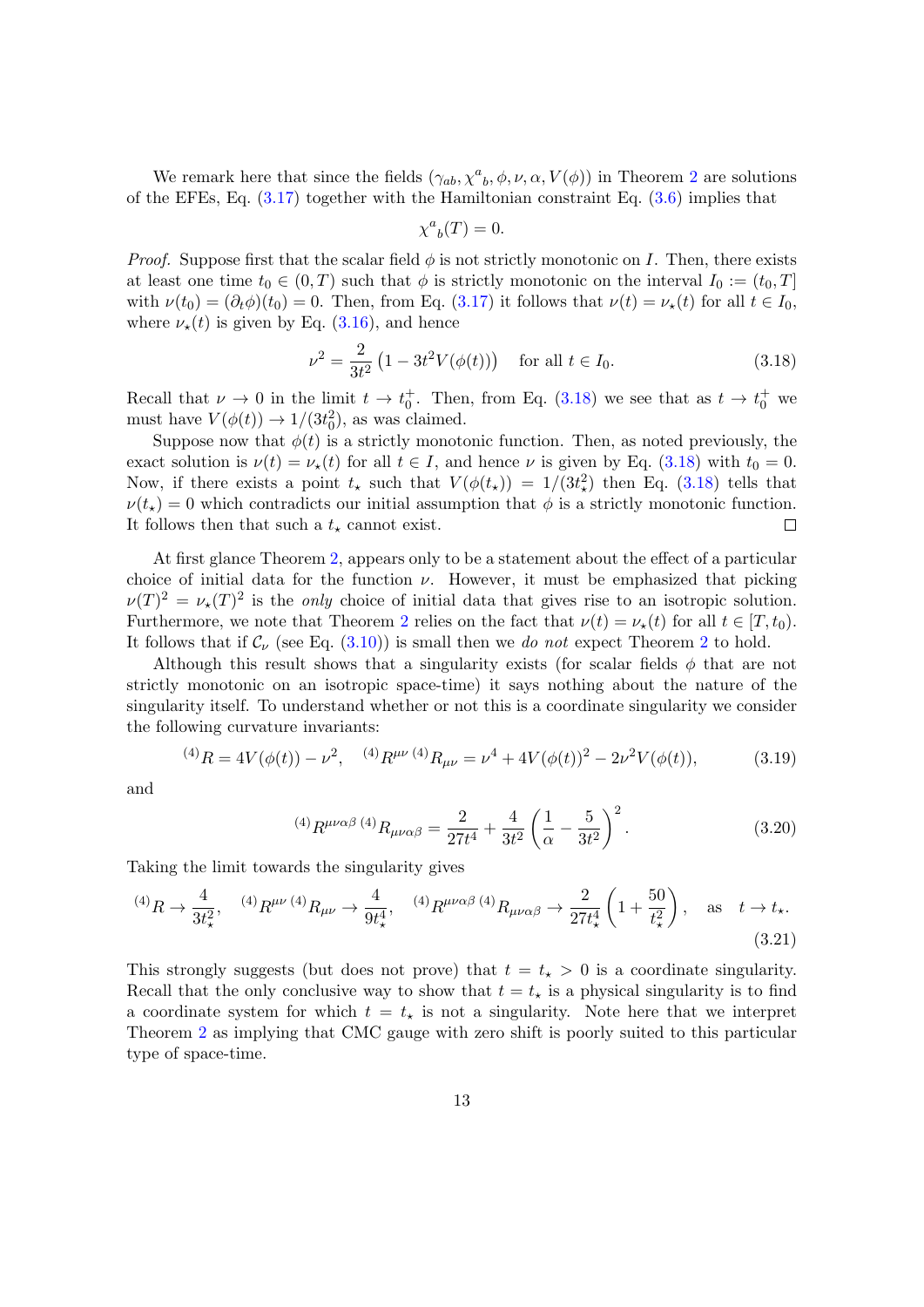We remark here that since the fields  $(\gamma_{ab}, \chi^a{}_b, \phi, \nu, \alpha, V(\phi))$  in Theorem [2](#page-11-2) are solutions of the EFEs, Eq. [\(3.17\)](#page-11-3) together with the Hamiltonian constraint Eq. [\(3.6\)](#page-8-5) implies that

<span id="page-12-0"></span>
$$
\chi^a{}_b(T) = 0.
$$

*Proof.* Suppose first that the scalar field  $\phi$  is not strictly monotonic on I. Then, there exists at least one time  $t_0 \in (0,T)$  such that  $\phi$  is strictly monotonic on the interval  $I_0 := (t_0, T]$ with  $\nu(t_0) = (\partial_t \phi)(t_0) = 0$ . Then, from Eq. [\(3.17\)](#page-11-3) it follows that  $\nu(t) = \nu_\star(t)$  for all  $t \in I_0$ , where  $\nu_{\star}(t)$  is given by Eq. [\(3.16\)](#page-11-1), and hence

$$
\nu^2 = \frac{2}{3t^2} \left( 1 - 3t^2 V(\phi(t)) \right) \quad \text{for all } t \in I_0.
$$
 (3.18)

Recall that  $\nu \to 0$  in the limit  $t \to t_0^+$ . Then, from Eq. [\(3.18\)](#page-12-0) we see that as  $t \to t_0^+$  we must have  $V(\phi(t)) \to 1/(3t_0^2)$ , as was claimed.

Suppose now that  $\phi(t)$  is a strictly monotonic function. Then, as noted previously, the exact solution is  $\nu(t) = \nu_{\star}(t)$  for all  $t \in I$ , and hence  $\nu$  is given by Eq. [\(3.18\)](#page-12-0) with  $t_0 = 0$ . Now, if there exists a point  $t_{\star}$  such that  $V(\phi(t_{\star})) = 1/(3t_{\star}^2)$  then Eq. [\(3.18\)](#page-12-0) tells that  $\nu(t_{\star}) = 0$  which contradicts our initial assumption that  $\phi$  is a strictly monotonic function.  $\Box$ It follows then that such a  $t_{\star}$  cannot exist.

At first glance Theorem [2,](#page-11-2) appears only to be a statement about the effect of a particular choice of initial data for the function  $\nu$ . However, it must be emphasized that picking  $\nu(T)^2 = \nu_{\star}(T)^2$  is the *only* choice of initial data that gives rise to an isotropic solution. Furthermore, we note that Theorem [2](#page-11-2) relies on the fact that  $\nu(t) = \nu_{\star}(t)$  for all  $t \in [T, t_0)$ . It follows that if  $\mathcal{C}_{\nu}$  (see Eq. [\(3.10\)](#page-10-3)) is small then we do not expect Theorem [2](#page-11-2) to hold.

Although this result shows that a singularity exists (for scalar fields  $\phi$  that are not strictly monotonic on an isotropic space-time) it says nothing about the nature of the singularity itself. To understand whether or not this is a coordinate singularity we consider the following curvature invariants:

$$
^{(4)}R = 4V(\phi(t)) - \nu^2, \quad ^{(4)}R^{\mu\nu} {}^{(4)}R_{\mu\nu} = \nu^4 + 4V(\phi(t))^2 - 2\nu^2V(\phi(t)), \tag{3.19}
$$

and

$$
^{(4)}R^{\mu\nu\alpha\beta\ (4)}R_{\mu\nu\alpha\beta} = \frac{2}{27t^4} + \frac{4}{3t^2} \left(\frac{1}{\alpha} - \frac{5}{3t^2}\right)^2.
$$
 (3.20)

Taking the limit towards the singularity gives

$$
^{(4)}R \to \frac{4}{3t_{\star}^{2}}, \quad ^{(4)}R^{\mu\nu} {}^{(4)}R_{\mu\nu} \to \frac{4}{9t_{\star}^{4}}, \quad ^{(4)}R^{\mu\nu\alpha\beta} {}^{(4)}R_{\mu\nu\alpha\beta} \to \frac{2}{27t_{\star}^{4}} \left(1 + \frac{50}{t_{\star}^{2}}\right), \quad \text{as} \quad t \to t_{\star}.
$$
\n
$$
(3.21)
$$

This strongly suggests (but does not prove) that  $t = t_{\star} > 0$  is a coordinate singularity. Recall that the only conclusive way to show that  $t = t_{\star}$  is a physical singularity is to find a coordinate system for which  $t = t_{\star}$  is not a singularity. Note here that we interpret Theorem [2](#page-11-2) as implying that CMC gauge with zero shift is poorly suited to this particular type of space-time.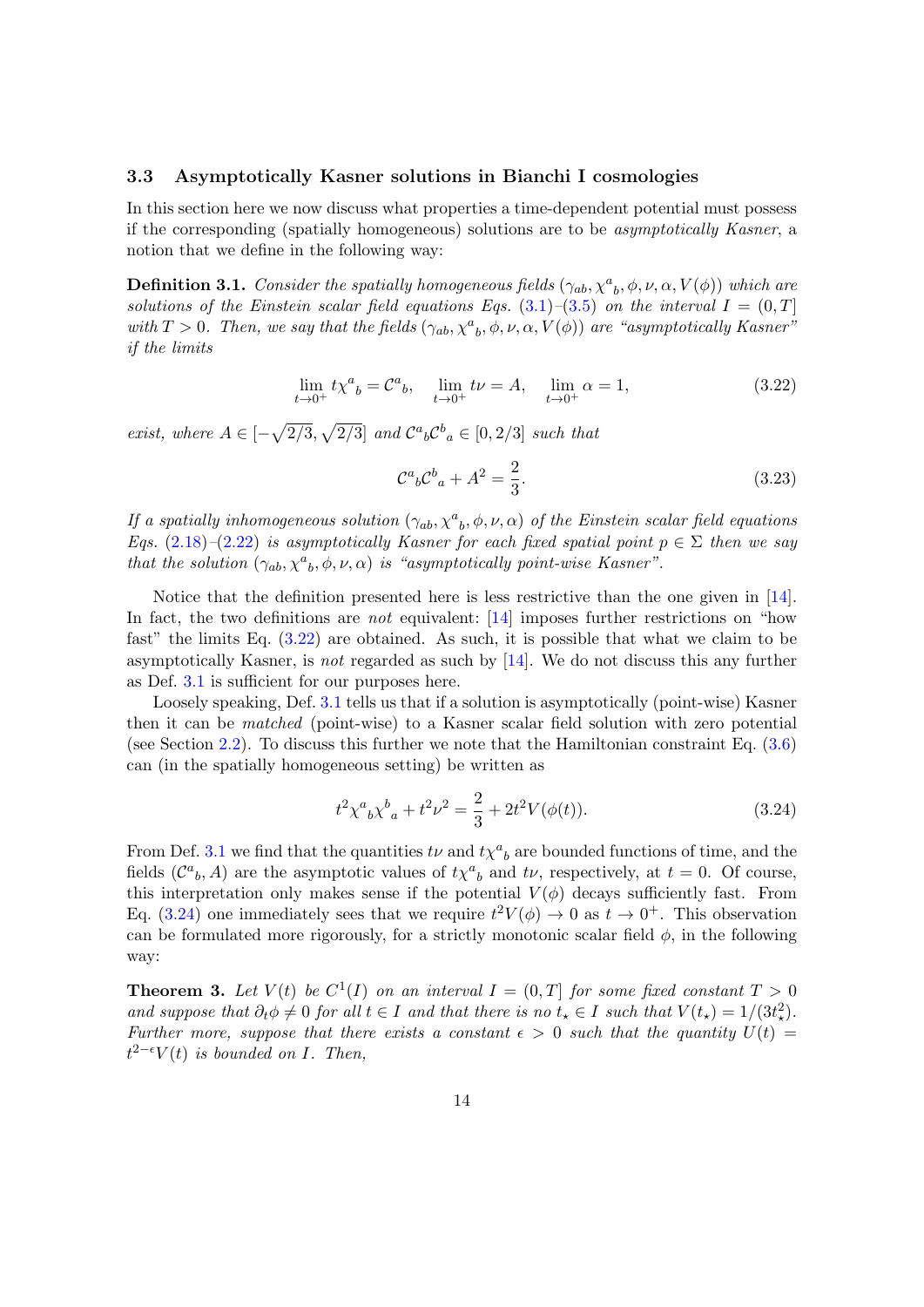### <span id="page-13-0"></span>3.3 Asymptotically Kasner solutions in Bianchi I cosmologies

In this section here we now discuss what properties a time-dependent potential must possess if the corresponding (spatially homogeneous) solutions are to be asymptotically Kasner, a notion that we define in the following way:

<span id="page-13-2"></span>**Definition 3.1.** Consider the spatially homogeneous fields  $(\gamma_{ab}, \chi^a{}_b, \phi, \nu, \alpha, V(\phi))$  which are solutions of the Einstein scalar field equations Eqs.  $(3.1)$ – $(3.5)$  on the interval  $I = (0, T]$ with  $T > 0$ . Then, we say that the fields  $(\gamma_{ab}, \chi^a{}_b, \phi, \nu, \alpha, V(\phi))$  are "asymptotically Kasner" if the limits

$$
\lim_{t \to 0^+} t \chi^a_{\ b} = \mathcal{C}^a_{\ b}, \quad \lim_{t \to 0^+} t \nu = A, \quad \lim_{t \to 0^+} \alpha = 1,\tag{3.22}
$$

exist, where  $A \in [-\sqrt{2/3}, \sqrt{2/3}]$  and  $\mathcal{C}^a{}_{b} \mathcal{C}^b{}_{a} \in [0, 2/3]$  such that

<span id="page-13-1"></span>
$$
\mathcal{C}^a{}_b \mathcal{C}^b{}_a + A^2 = \frac{2}{3}.\tag{3.23}
$$

If a spatially inhomogeneous solution  $(\gamma_{ab}, \chi^a{}_b, \phi, \nu, \alpha)$  of the Einstein scalar field equations Eqs. [\(2.18\)](#page-4-2)–[\(2.22\)](#page-5-2) is asymptotically Kasner for each fixed spatial point  $p \in \Sigma$  then we say that the solution  $(\gamma_{ab}, \chi^a{}_b, \phi, \nu, \alpha)$  is "asymptotically point-wise Kasner".

Notice that the definition presented here is less restrictive than the one given in [\[14\]](#page-39-7). In fact, the two definitions are *not* equivalent:  $[14]$  imposes further restrictions on "how fast" the limits Eq. [\(3.22\)](#page-13-1) are obtained. As such, it is possible that what we claim to be asymptotically Kasner, is not regarded as such by [\[14\]](#page-39-7). We do not discuss this any further as Def. [3.1](#page-13-2) is sufficient for our purposes here.

Loosely speaking, Def. [3.1](#page-13-2) tells us that if a solution is asymptotically (point-wise) Kasner then it can be matched (point-wise) to a Kasner scalar field solution with zero potential (see Section [2.2\)](#page-5-3). To discuss this further we note that the Hamiltonian constraint Eq.  $(3.6)$ can (in the spatially homogeneous setting) be written as

<span id="page-13-3"></span>
$$
t^2 \chi^a{}_b \chi^b{}_a + t^2 \nu^2 = \frac{2}{3} + 2t^2 V(\phi(t)). \tag{3.24}
$$

From Def. [3.1](#page-13-2) we find that the quantities  $t\nu$  and  $t\chi^a{}_b$  are bounded functions of time, and the fields  $(\mathcal{C}^a{}_b, A)$  are the asymptotic values of  $t\chi^a{}_b$  and  $t\nu$ , respectively, at  $t=0$ . Of course, this interpretation only makes sense if the potential  $V(\phi)$  decays sufficiently fast. From Eq. [\(3.24\)](#page-13-3) one immediately sees that we require  $t^2V(\phi) \to 0$  as  $t \to 0^+$ . This observation can be formulated more rigorously, for a strictly monotonic scalar field  $\phi$ , in the following way:

<span id="page-13-4"></span>**Theorem 3.** Let  $V(t)$  be  $C^1(I)$  on an interval  $I = (0, T]$  for some fixed constant  $T > 0$ and suppose that  $\partial_t \phi \neq 0$  for all  $t \in I$  and that there is no  $t_{\star} \in I$  such that  $V(t_{\star}) = 1/(3t_{\star}^2)$ . Further more, suppose that there exists a constant  $\epsilon > 0$  such that the quantity  $U(t) =$  $t^{2-\epsilon}V(t)$  is bounded on I. Then,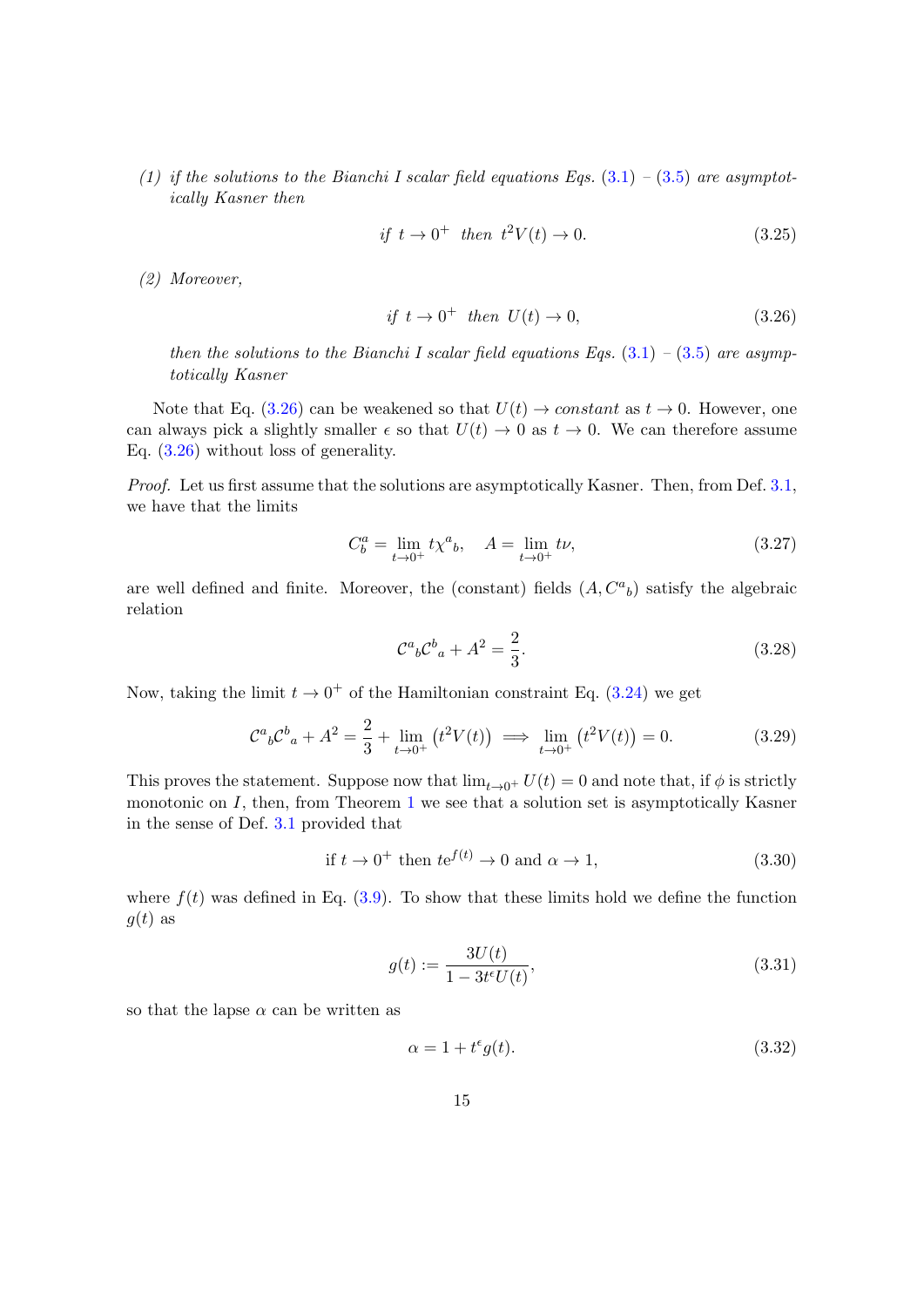(1) if the solutions to the Bianchi I scalar field equations Eqs.  $(3.1) - (3.5)$  $(3.1) - (3.5)$  $(3.1) - (3.5)$  are asymptotically Kasner then

$$
if t \to 0^+ then t^2V(t) \to 0. \tag{3.25}
$$

(2) Moreover,

<span id="page-14-0"></span>
$$
if t \to 0^+ then U(t) \to 0,
$$
\n(3.26)

then the solutions to the Bianchi I scalar field equations Eqs.  $(3.1) - (3.5)$  $(3.1) - (3.5)$  $(3.1) - (3.5)$  are asymptotically Kasner

Note that Eq. [\(3.26\)](#page-14-0) can be weakened so that  $U(t) \rightarrow constant$  as  $t \rightarrow 0$ . However, one can always pick a slightly smaller  $\epsilon$  so that  $U(t) \to 0$  as  $t \to 0$ . We can therefore assume Eq. [\(3.26\)](#page-14-0) without loss of generality.

Proof. Let us first assume that the solutions are asymptotically Kasner. Then, from Def. [3.1,](#page-13-2) we have that the limits

$$
C_b^a = \lim_{t \to 0^+} t \chi^a{}_b, \quad A = \lim_{t \to 0^+} t \nu,
$$
\n(3.27)

are well defined and finite. Moreover, the (constant) fields  $(A, C^a{}_b)$  satisfy the algebraic relation

$$
\mathcal{C}^{a}{}_{b}\mathcal{C}^{b}{}_{a} + A^{2} = \frac{2}{3}.\tag{3.28}
$$

Now, taking the limit  $t \to 0^+$  of the Hamiltonian constraint Eq. [\(3.24\)](#page-13-3) we get

$$
\mathcal{C}^{a}{}_{b}\mathcal{C}^{b}{}_{a} + A^{2} = \frac{2}{3} + \lim_{t \to 0^{+}} (t^{2}V(t)) \implies \lim_{t \to 0^{+}} (t^{2}V(t)) = 0.
$$
 (3.29)

This proves the statement. Suppose now that  $\lim_{t\to 0^+} U(t) = 0$  and note that, if  $\phi$  is strictly monotonic on  $I$ , then, from Theorem [1](#page-10-6) we see that a solution set is asymptotically Kasner in the sense of Def. [3.1](#page-13-2) provided that

$$
\text{if } t \to 0^+ \text{ then } t e^{f(t)} \to 0 \text{ and } \alpha \to 1,\tag{3.30}
$$

where  $f(t)$  was defined in Eq. [\(3.9\)](#page-10-2). To show that these limits hold we define the function  $q(t)$  as

$$
g(t) := \frac{3U(t)}{1 - 3t^{\epsilon}U(t)},
$$
\n(3.31)

so that the lapse  $\alpha$  can be written as

$$
\alpha = 1 + t^{\epsilon} g(t). \tag{3.32}
$$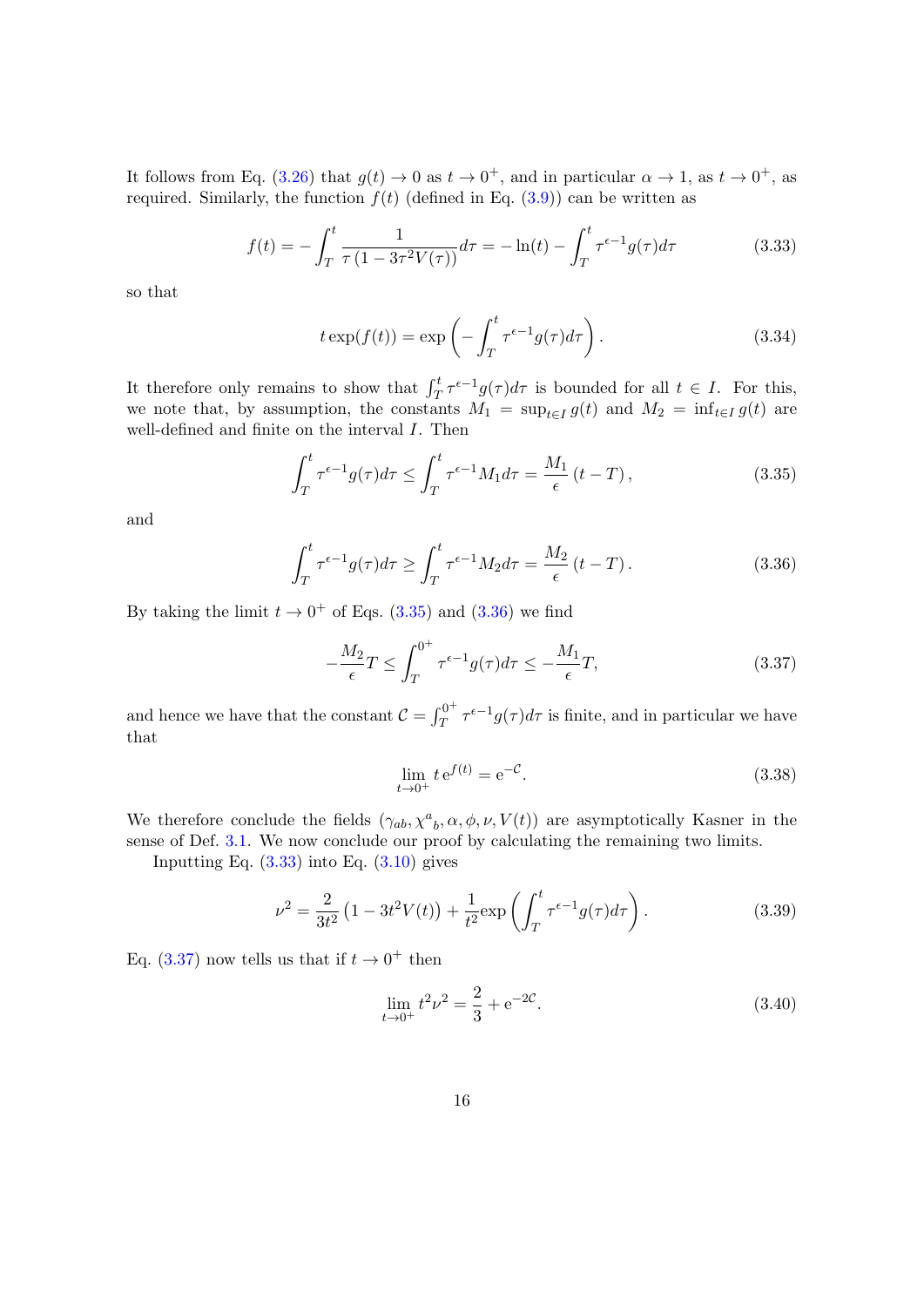It follows from Eq. [\(3.26\)](#page-14-0) that  $g(t) \to 0$  as  $t \to 0^+$ , and in particular  $\alpha \to 1$ , as  $t \to 0^+$ , as required. Similarly, the function  $f(t)$  (defined in Eq. [\(3.9\)](#page-10-2)) can be written as

$$
f(t) = -\int_{T}^{t} \frac{1}{\tau (1 - 3\tau^{2} V(\tau))} d\tau = -\ln(t) - \int_{T}^{t} \tau^{\epsilon - 1} g(\tau) d\tau
$$
 (3.33)

so that

<span id="page-15-2"></span><span id="page-15-0"></span>
$$
t \exp(f(t)) = \exp\left(-\int_T^t \tau^{\epsilon-1} g(\tau) d\tau\right).
$$
 (3.34)

It therefore only remains to show that  $\int_T^t \tau^{\epsilon-1} g(\tau) d\tau$  is bounded for all  $t \in I$ . For this, we note that, by assumption, the constants  $M_1 = \sup_{t \in I} g(t)$  and  $M_2 = \inf_{t \in I} g(t)$  are well-defined and finite on the interval I. Then

$$
\int_{T}^{t} \tau^{\epsilon-1} g(\tau) d\tau \leq \int_{T}^{t} \tau^{\epsilon-1} M_1 d\tau = \frac{M_1}{\epsilon} (t - T), \qquad (3.35)
$$

and

$$
\int_{T}^{t} \tau^{\epsilon-1} g(\tau) d\tau \ge \int_{T}^{t} \tau^{\epsilon-1} M_2 d\tau = \frac{M_2}{\epsilon} (t - T). \tag{3.36}
$$

By taking the limit  $t \to 0^+$  of Eqs. [\(3.35\)](#page-15-0) and [\(3.36\)](#page-15-1) we find

$$
-\frac{M_2}{\epsilon}T \le \int_T^{0^+} \tau^{\epsilon-1} g(\tau) d\tau \le -\frac{M_1}{\epsilon}T,\tag{3.37}
$$

and hence we have that the constant  $\mathcal{C} = \int_T^{0^+}$  $T_T^{0^+} \tau^{\epsilon-1} g(\tau) d\tau$  is finite, and in particular we have that

<span id="page-15-3"></span><span id="page-15-1"></span>
$$
\lim_{t \to 0^+} t e^{f(t)} = e^{-\mathcal{C}}.
$$
\n(3.38)

We therefore conclude the fields  $(\gamma_{ab}, \chi^a{}_b, \alpha, \phi, \nu, V(t))$  are asymptotically Kasner in the sense of Def. [3.1.](#page-13-2) We now conclude our proof by calculating the remaining two limits.

Inputting Eq.  $(3.33)$  into Eq.  $(3.10)$  gives

$$
\nu^2 = \frac{2}{3t^2} \left( 1 - 3t^2 V(t) \right) + \frac{1}{t^2} \exp\left( \int_T^t \tau^{\epsilon - 1} g(\tau) d\tau \right). \tag{3.39}
$$

Eq. [\(3.37\)](#page-15-3) now tells us that if  $t \to 0^+$  then

$$
\lim_{t \to 0^+} t^2 \nu^2 = \frac{2}{3} + e^{-2\mathcal{C}}.
$$
\n(3.40)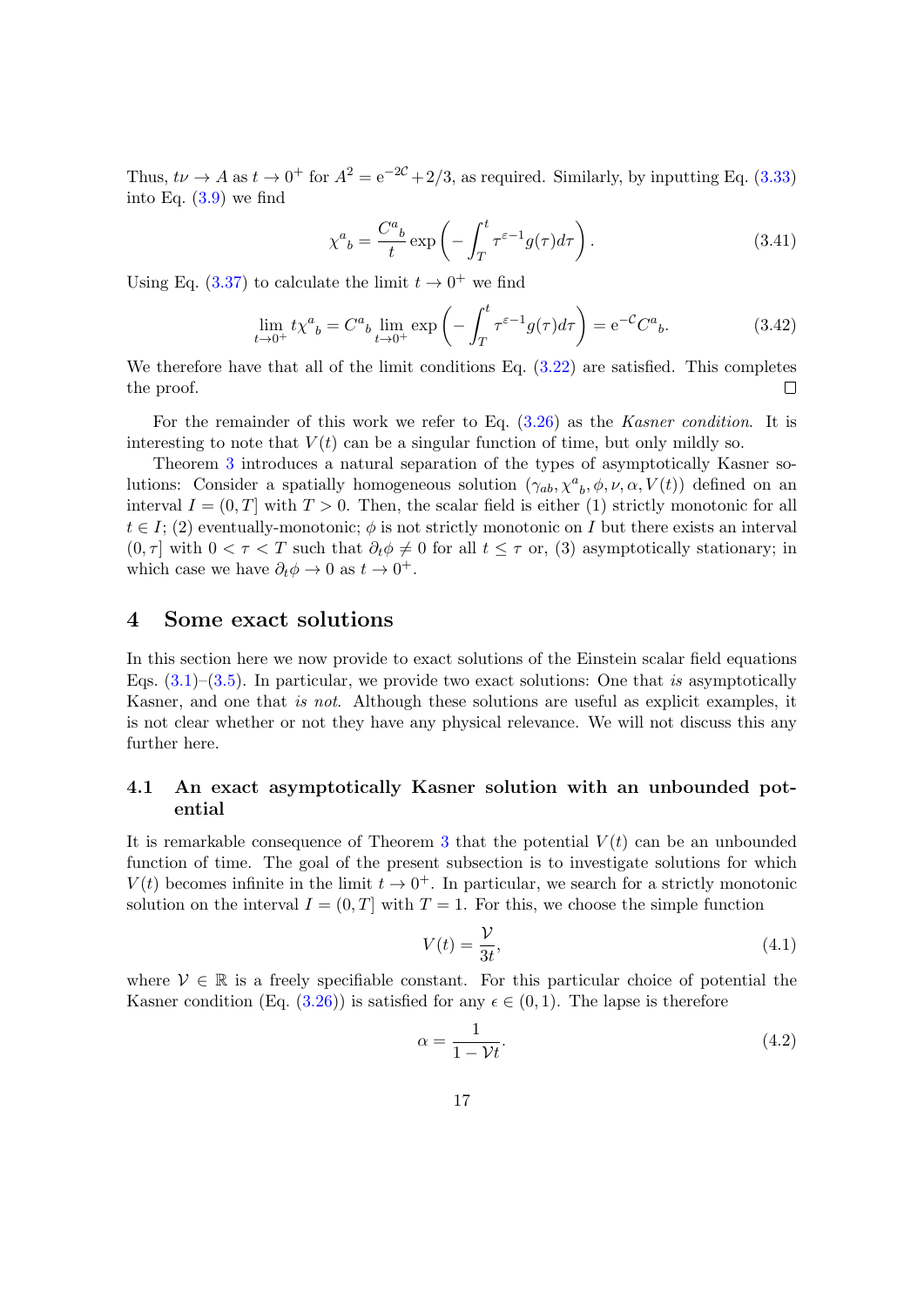Thus,  $t\nu \rightarrow A$  as  $t \rightarrow 0^+$  for  $A^2 = e^{-2\mathcal{C}} + 2/3$ , as required. Similarly, by inputting Eq. [\(3.33\)](#page-15-2) into Eq. [\(3.9\)](#page-10-2) we find

$$
\chi^{a}{}_{b} = \frac{C^{a}{}_{b}}{t} \exp\left(-\int_{T}^{t} \tau^{\varepsilon - 1} g(\tau) d\tau\right). \tag{3.41}
$$

Using Eq. [\(3.37\)](#page-15-3) to calculate the limit  $t \to 0^+$  we find

$$
\lim_{t \to 0^+} t \chi^a_{\ b} = C^a_{\ b} \lim_{t \to 0^+} \exp\left(-\int_T^t \tau^{\varepsilon - 1} g(\tau) d\tau\right) = e^{-\mathcal{C}} C^a_{\ b}. \tag{3.42}
$$

We therefore have that all of the limit conditions Eq.  $(3.22)$  are satisfied. This completes the proof.  $\Box$ 

For the remainder of this work we refer to Eq. [\(3.26\)](#page-14-0) as the Kasner condition. It is interesting to note that  $V(t)$  can be a singular function of time, but only mildly so.

Theorem [3](#page-13-4) introduces a natural separation of the types of asymptotically Kasner solutions: Consider a spatially homogeneous solution  $(\gamma_{ab}, \chi^a{}_b, \phi, \nu, \alpha, V(t))$  defined on an interval  $I = (0, T]$  with  $T > 0$ . Then, the scalar field is either (1) strictly monotonic for all  $t \in I$ ; (2) eventually-monotonic;  $\phi$  is not strictly monotonic on I but there exists an interval  $(0, \tau]$  with  $0 < \tau < T$  such that  $\partial_t \phi \neq 0$  for all  $t \leq \tau$  or, (3) asymptotically stationary; in which case we have  $\partial_t \phi \to 0$  as  $t \to 0^+$ .

# <span id="page-16-0"></span>4 Some exact solutions

In this section here we now provide to exact solutions of the Einstein scalar field equations Eqs.  $(3.1)$ – $(3.5)$ . In particular, we provide two exact solutions: One that is asymptotically Kasner, and one that is not. Although these solutions are useful as explicit examples, it is not clear whether or not they have any physical relevance. We will not discuss this any further here.

### <span id="page-16-3"></span>4.1 An exact asymptotically Kasner solution with an unbounded potential

It is remarkable consequence of Theorem [3](#page-13-4) that the potential  $V(t)$  can be an unbounded function of time. The goal of the present subsection is to investigate solutions for which  $V(t)$  becomes infinite in the limit  $t \to 0^+$ . In particular, we search for a strictly monotonic solution on the interval  $I = (0, T]$  with  $T = 1$ . For this, we choose the simple function

<span id="page-16-2"></span>
$$
V(t) = \frac{\mathcal{V}}{3t},\tag{4.1}
$$

where  $V \in \mathbb{R}$  is a freely specifiable constant. For this particular choice of potential the Kasner condition (Eq. [\(3.26\)](#page-14-0)) is satisfied for any  $\epsilon \in (0,1)$ . The lapse is therefore

<span id="page-16-1"></span>
$$
\alpha = \frac{1}{1 - \mathcal{V}t}.\tag{4.2}
$$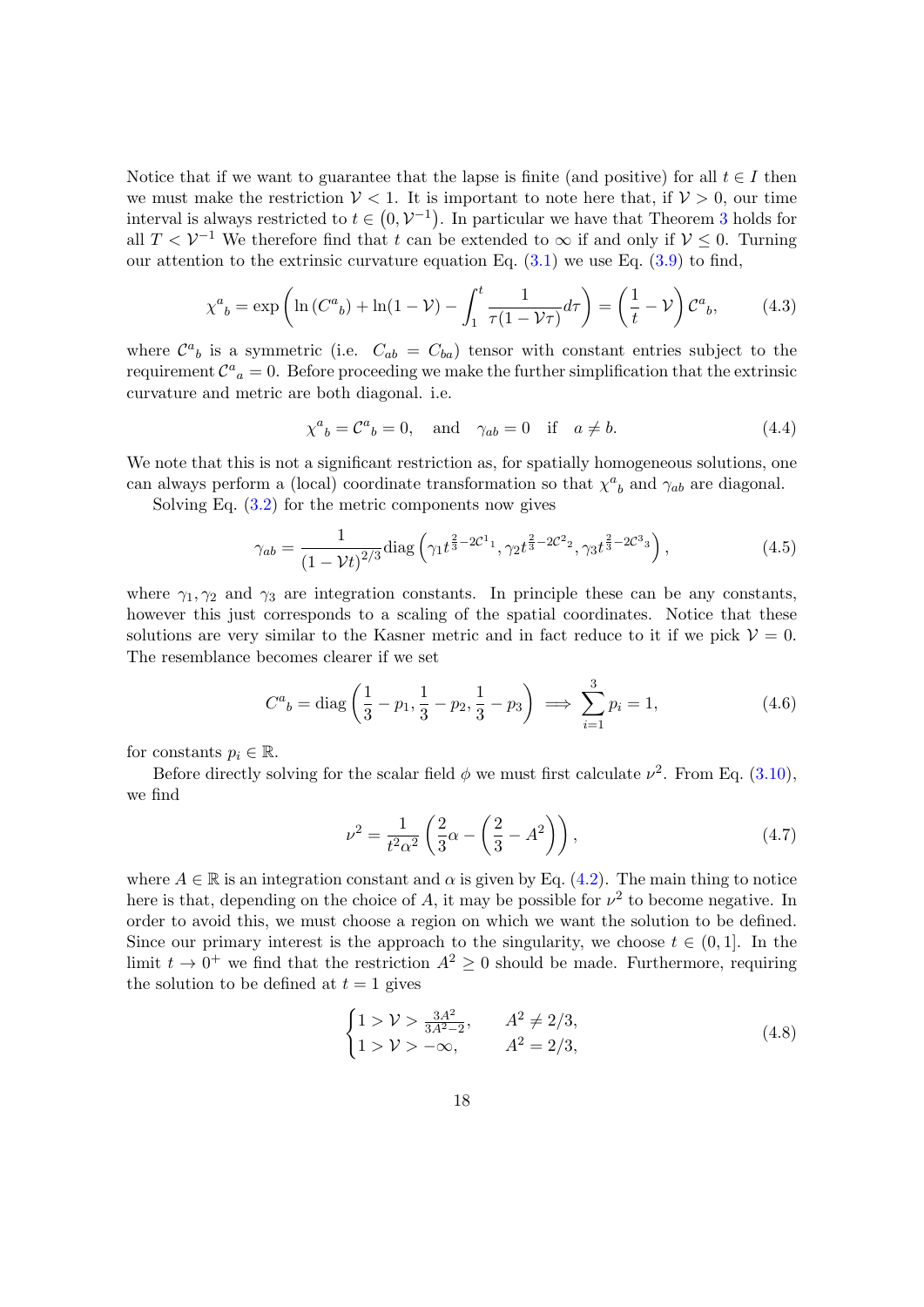Notice that if we want to guarantee that the lapse is finite (and positive) for all  $t \in I$  then we must make the restriction  $V < 1$ . It is important to note here that, if  $V > 0$ , our time interval is always restricted to  $t \in (0, \mathcal{V}^{-1})$ . In particular we have that Theorem [3](#page-13-4) holds for all  $T < V^{-1}$  We therefore find that t can be extended to  $\infty$  if and only if  $V \leq 0$ . Turning our attention to the extrinsic curvature equation Eq.  $(3.1)$  we use Eq.  $(3.9)$  to find,

$$
\chi^{a}{}_{b} = \exp\left(\ln\left(C^{a}{}_{b}\right) + \ln(1-\mathcal{V}) - \int_{1}^{t} \frac{1}{\tau(1-\mathcal{V}\tau)}d\tau\right) = \left(\frac{1}{t} - \mathcal{V}\right)\mathcal{C}^{a}{}_{b},\tag{4.3}
$$

where  $\mathcal{C}^a{}_b$  is a symmetric (i.e.  $C_{ab} = C_{ba}$ ) tensor with constant entries subject to the requirement  $\mathcal{C}^a{}_a = 0$ . Before proceeding we make the further simplification that the extrinsic curvature and metric are both diagonal. i.e.

$$
\chi^{a}{}_{b} = \mathcal{C}^{a}{}_{b} = 0, \quad \text{and} \quad \gamma_{ab} = 0 \quad \text{if} \quad a \neq b. \tag{4.4}
$$

We note that this is not a significant restriction as, for spatially homogeneous solutions, one can always perform a (local) coordinate transformation so that  $\chi^a{}_b$  and  $\gamma_{ab}$  are diagonal.

Solving Eq.  $(3.2)$  for the metric components now gives

$$
\gamma_{ab} = \frac{1}{\left(1 - \mathcal{V}t\right)^{2/3}} \text{diag}\left(\gamma_1 t^{\frac{2}{3} - 2\mathcal{C}^1} \cdot \gamma_2 t^{\frac{2}{3} - 2\mathcal{C}^2} \cdot \gamma_3 t^{\frac{2}{3} - 2\mathcal{C}^3} \right),\tag{4.5}
$$

where  $\gamma_1, \gamma_2$  and  $\gamma_3$  are integration constants. In principle these can be any constants, however this just corresponds to a scaling of the spatial coordinates. Notice that these solutions are very similar to the Kasner metric and in fact reduce to it if we pick  $V = 0$ . The resemblance becomes clearer if we set

$$
C^{a}{}_{b} = \text{diag}\left(\frac{1}{3} - p_{1}, \frac{1}{3} - p_{2}, \frac{1}{3} - p_{3}\right) \implies \sum_{i=1}^{3} p_{i} = 1,\tag{4.6}
$$

for constants  $p_i \in \mathbb{R}$ .

Before directly solving for the scalar field  $\phi$  we must first calculate  $\nu^2$ . From Eq. [\(3.10\)](#page-10-3), we find

<span id="page-17-1"></span>
$$
\nu^2 = \frac{1}{t^2 \alpha^2} \left( \frac{2}{3} \alpha - \left( \frac{2}{3} - A^2 \right) \right),\tag{4.7}
$$

where  $A \in \mathbb{R}$  is an integration constant and  $\alpha$  is given by Eq. [\(4.2\)](#page-16-1). The main thing to notice here is that, depending on the choice of A, it may be possible for  $\nu^2$  to become negative. In order to avoid this, we must choose a region on which we want the solution to be defined. Since our primary interest is the approach to the singularity, we choose  $t \in (0,1]$ . In the limit  $t \to 0^+$  we find that the restriction  $A^2 \geq 0$  should be made. Furthermore, requiring the solution to be defined at  $t = 1$  gives

<span id="page-17-0"></span>
$$
\begin{cases} 1 > \mathcal{V} > \frac{3A^2}{3A^2 - 2}, & A^2 \neq 2/3, \\ 1 > \mathcal{V} > -\infty, & A^2 = 2/3, \end{cases}
$$
(4.8)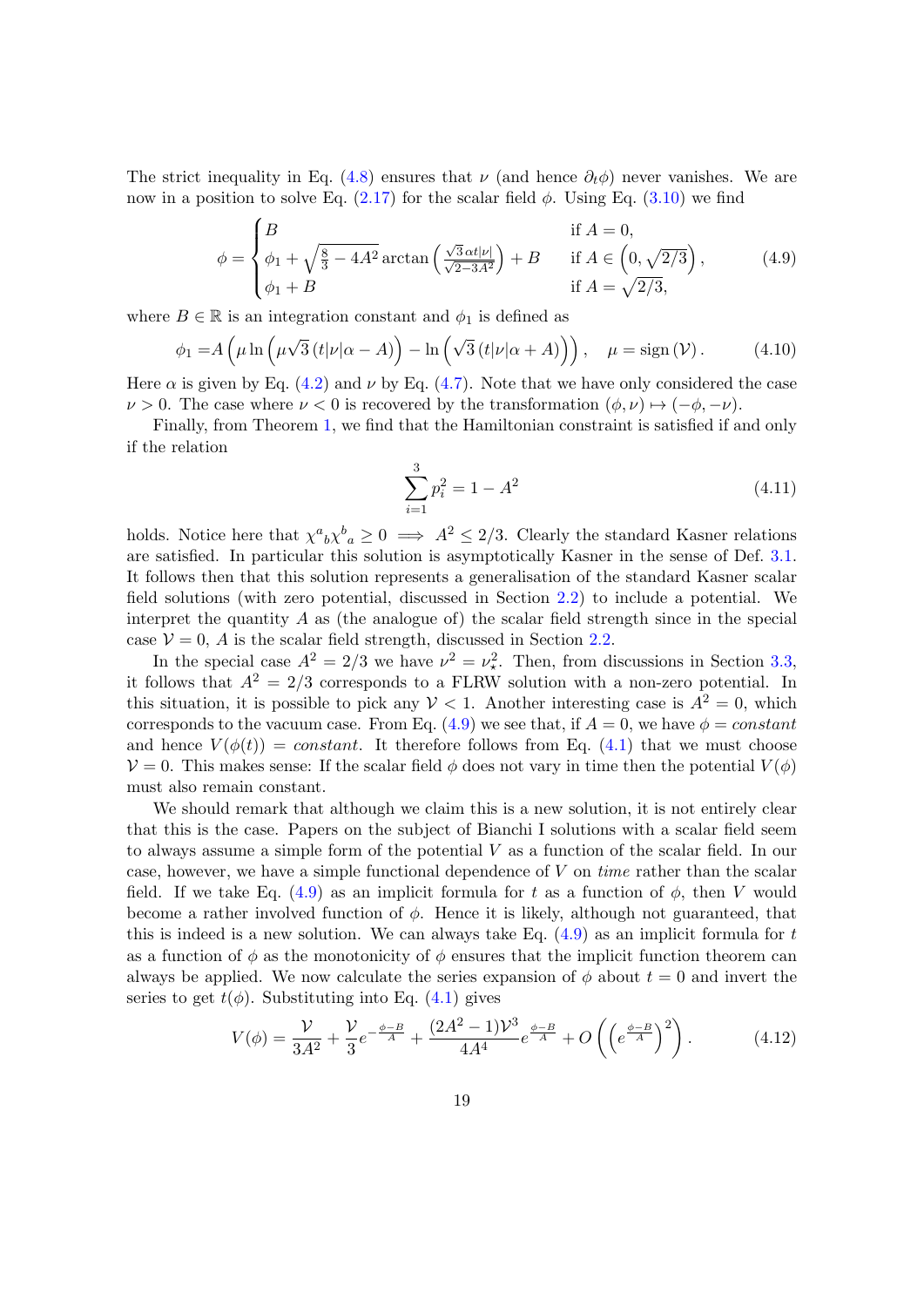The strict inequality in Eq. [\(4.8\)](#page-17-0) ensures that  $\nu$  (and hence  $\partial_t \phi$ ) never vanishes. We are now in a position to solve Eq.  $(2.17)$  for the scalar field  $\phi$ . Using Eq.  $(3.10)$  we find

$$
\phi = \begin{cases} B & \text{if } A = 0, \\ \phi_1 + \sqrt{\frac{8}{3} - 4A^2} \arctan\left(\frac{\sqrt{3} \alpha t |\nu|}{\sqrt{2 - 3A^2}}\right) + B & \text{if } A \in \left(0, \sqrt{2/3}\right), \\ \phi_1 + B & \text{if } A = \sqrt{2/3}, \end{cases}
$$
(4.9)

where  $B \in \mathbb{R}$  is an integration constant and  $\phi_1$  is defined as

$$
\phi_1 = A\left(\mu \ln\left(\mu\sqrt{3}\left(t|\nu|\alpha - A\right)\right) - \ln\left(\sqrt{3}\left(t|\nu|\alpha + A\right)\right)\right), \quad \mu = \text{sign}\left(\mathcal{V}\right). \tag{4.10}
$$

Here  $\alpha$  is given by Eq. [\(4.2\)](#page-16-1) and  $\nu$  by Eq. [\(4.7\)](#page-17-1). Note that we have only considered the case  $\nu > 0$ . The case where  $\nu < 0$  is recovered by the transformation  $(\phi, \nu) \mapsto (-\phi, -\nu)$ .

Finally, from Theorem [1,](#page-10-6) we find that the Hamiltonian constraint is satisfied if and only if the relation

<span id="page-18-0"></span>
$$
\sum_{i=1}^{3} p_i^2 = 1 - A^2 \tag{4.11}
$$

holds. Notice here that  $\chi^a{}_b\chi^b{}_a\geq 0 \implies A^2\leq 2/3$ . Clearly the standard Kasner relations are satisfied. In particular this solution is asymptotically Kasner in the sense of Def. [3.1.](#page-13-2) It follows then that this solution represents a generalisation of the standard Kasner scalar field solutions (with zero potential, discussed in Section [2.2\)](#page-5-3) to include a potential. We interpret the quantity  $A$  as (the analogue of) the scalar field strength since in the special case  $V = 0$ , A is the scalar field strength, discussed in Section [2.2.](#page-5-3)

In the special case  $A^2 = 2/3$  we have  $\nu^2 = \nu_\star^2$ . Then, from discussions in Section [3.3,](#page-13-0) it follows that  $A^2 = 2/3$  corresponds to a FLRW solution with a non-zero potential. In this situation, it is possible to pick any  $\mathcal{V} < 1$ . Another interesting case is  $A^2 = 0$ , which corresponds to the vacuum case. From Eq. [\(4.9\)](#page-18-0) we see that, if  $A = 0$ , we have  $\phi = constant$ and hence  $V(\phi(t)) = constant$ . It therefore follows from Eq. [\(4.1\)](#page-16-2) that we must choose  $V = 0$ . This makes sense: If the scalar field  $\phi$  does not vary in time then the potential  $V(\phi)$ must also remain constant.

We should remark that although we claim this is a new solution, it is not entirely clear that this is the case. Papers on the subject of Bianchi I solutions with a scalar field seem to always assume a simple form of the potential V as a function of the scalar field. In our case, however, we have a simple functional dependence of  $V$  on time rather than the scalar field. If we take Eq. [\(4.9\)](#page-18-0) as an implicit formula for t as a function of  $\phi$ , then V would become a rather involved function of  $\phi$ . Hence it is likely, although not guaranteed, that this is indeed is a new solution. We can always take Eq.  $(4.9)$  as an implicit formula for t as a function of  $\phi$  as the monotonicity of  $\phi$  ensures that the implicit function theorem can always be applied. We now calculate the series expansion of  $\phi$  about  $t = 0$  and invert the series to get  $t(\phi)$ . Substituting into Eq. [\(4.1\)](#page-16-2) gives

<span id="page-18-1"></span>
$$
V(\phi) = \frac{\mathcal{V}}{3A^2} + \frac{\mathcal{V}}{3}e^{-\frac{\phi - B}{A}} + \frac{(2A^2 - 1)\mathcal{V}^3}{4A^4}e^{\frac{\phi - B}{A}} + O\left(\left(e^{\frac{\phi - B}{A}}\right)^2\right). \tag{4.12}
$$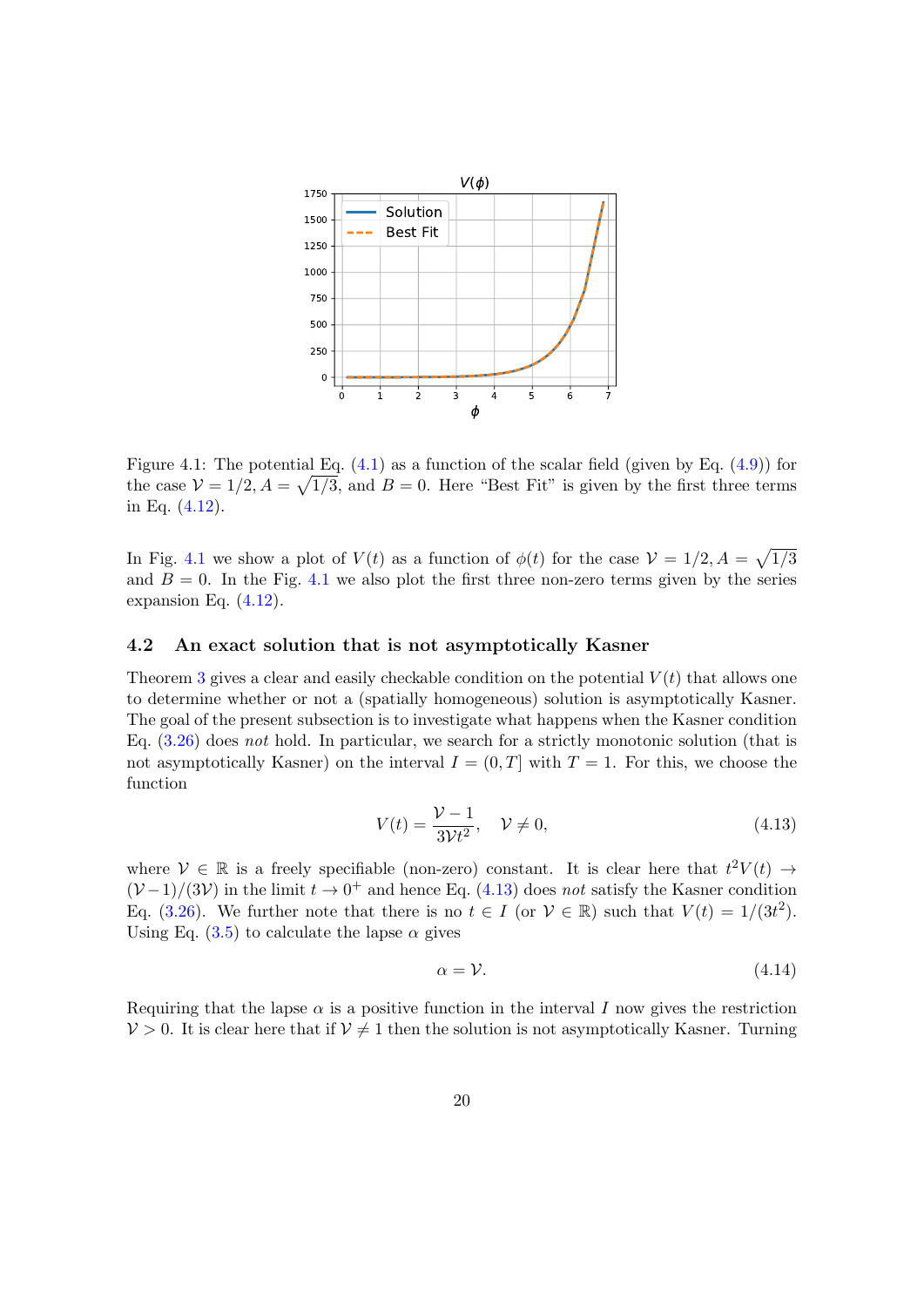

Figure 4.1: The potential Eq.  $(4.1)$  as a function of the scalar field (given by Eq.  $(4.9)$ ) for the case  $V = 1/2, A = \sqrt{1/3}$ , and  $B = 0$ . Here "Best Fit" is given by the first three terms in Eq. [\(4.12\)](#page-18-1).

In Fig. [4.1](#page-7-0) we show a plot of  $V(t)$  as a function of  $\phi(t)$  for the case  $\mathcal{V} = 1/2, A = \sqrt{1/3}$ and  $B = 0$ . In the Fig. [4.1](#page-7-0) we also plot the first three non-zero terms given by the series expansion Eq. [\(4.12\)](#page-18-1).

### 4.2 An exact solution that is not asymptotically Kasner

Theorem [3](#page-13-4) gives a clear and easily checkable condition on the potential  $V(t)$  that allows one to determine whether or not a (spatially homogeneous) solution is asymptotically Kasner. The goal of the present subsection is to investigate what happens when the Kasner condition Eq. [\(3.26\)](#page-14-0) does not hold. In particular, we search for a strictly monotonic solution (that is not asymptotically Kasner) on the interval  $I = (0, T]$  with  $T = 1$ . For this, we choose the function

$$
V(t) = \frac{\mathcal{V} - 1}{3\mathcal{V}t^2}, \quad \mathcal{V} \neq 0,
$$
\n(4.13)

where  $V \in \mathbb{R}$  is a freely specifiable (non-zero) constant. It is clear here that  $t^2V(t) \rightarrow$  $(V-1)/(3V)$  in the limit  $t \to 0^+$  and hence Eq. [\(4.13\)](#page-19-0) does not satisfy the Kasner condition Eq. [\(3.26\)](#page-14-0). We further note that there is no  $t \in I$  (or  $V \in \mathbb{R}$ ) such that  $V(t) = 1/(3t^2)$ . Using Eq.  $(3.5)$  to calculate the lapse  $\alpha$  gives

<span id="page-19-0"></span>
$$
\alpha = \mathcal{V}.\tag{4.14}
$$

Requiring that the lapse  $\alpha$  is a positive function in the interval I now gives the restriction  $V > 0$ . It is clear here that if  $V \neq 1$  then the solution is not asymptotically Kasner. Turning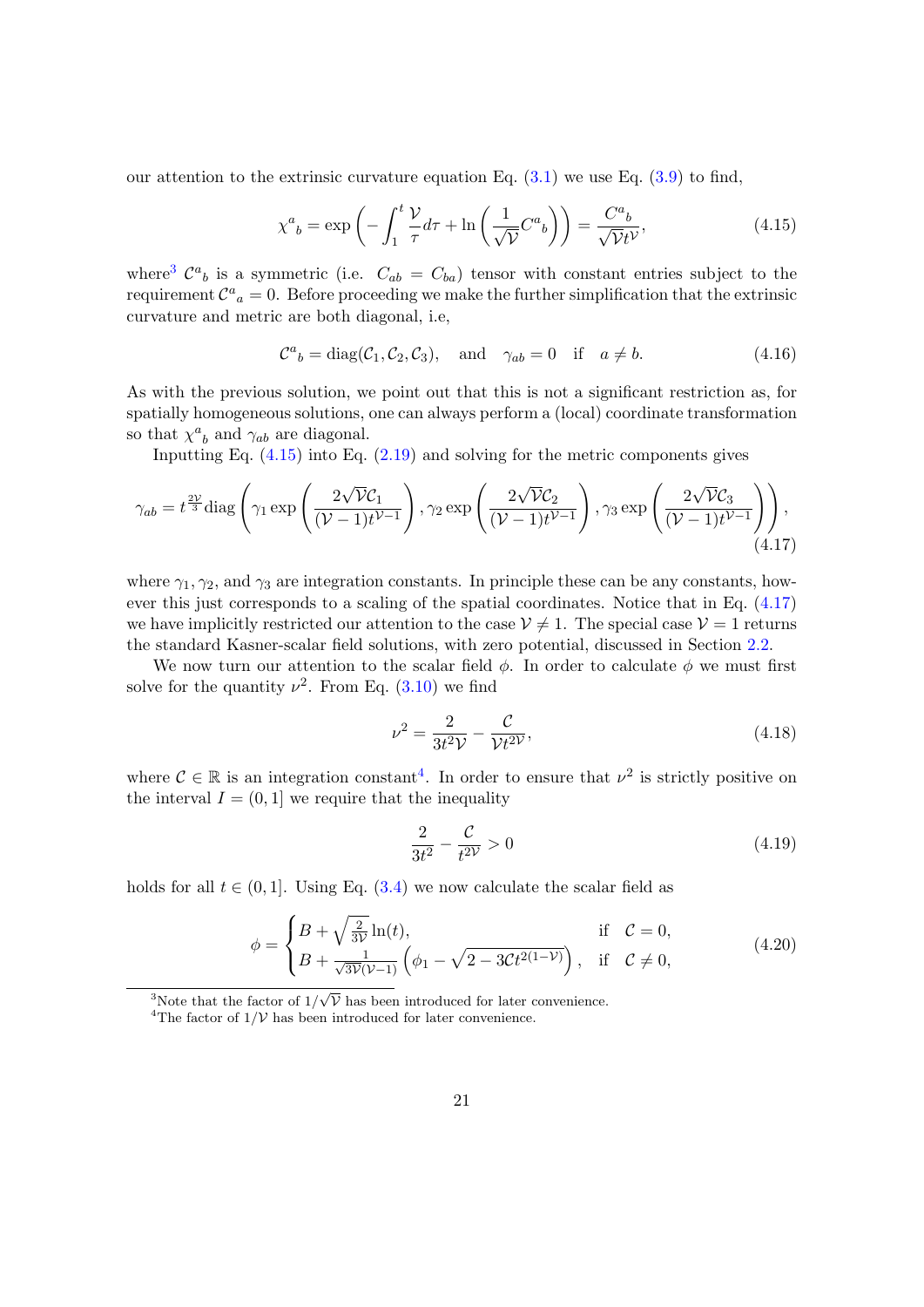our attention to the extrinsic curvature equation Eq.  $(3.1)$  we use Eq.  $(3.9)$  to find,

<span id="page-20-0"></span>
$$
\chi^{a}{}_{b} = \exp\left(-\int_{1}^{t} \frac{\mathcal{V}}{\tau} d\tau + \ln\left(\frac{1}{\sqrt{\mathcal{V}}} C^{a}{}_{b}\right)\right) = \frac{C^{a}{}_{b}}{\sqrt{\mathcal{V}}t^{\mathcal{V}}},\tag{4.15}
$$

where<sup>[3](#page-0-0)</sup>  $\mathcal{C}^a{}_b$  is a symmetric (i.e.  $C_{ab} = C_{ba}$ ) tensor with constant entries subject to the requirement  $\mathcal{C}^a{}_a = 0$ . Before proceeding we make the further simplification that the extrinsic curvature and metric are both diagonal, i.e,

$$
\mathcal{C}^{a}{}_{b} = \text{diag}(\mathcal{C}_{1}, \mathcal{C}_{2}, \mathcal{C}_{3}), \quad \text{and} \quad \gamma_{ab} = 0 \quad \text{if} \quad a \neq b. \tag{4.16}
$$

As with the previous solution, we point out that this is not a significant restriction as, for spatially homogeneous solutions, one can always perform a (local) coordinate transformation so that  $\chi^a{}_b$  and  $\gamma_{ab}$  are diagonal.

Inputting Eq.  $(4.15)$  into Eq.  $(2.19)$  and solving for the metric components gives

$$
\gamma_{ab} = t^{\frac{2\mathcal{V}}{3}} \text{diag}\left(\gamma_1 \exp\left(\frac{2\sqrt{\mathcal{V}}\mathcal{C}_1}{(\mathcal{V}-1)t^{\mathcal{V}-1}}\right), \gamma_2 \exp\left(\frac{2\sqrt{\mathcal{V}}\mathcal{C}_2}{(\mathcal{V}-1)t^{\mathcal{V}-1}}\right), \gamma_3 \exp\left(\frac{2\sqrt{\mathcal{V}}\mathcal{C}_3}{(\mathcal{V}-1)t^{\mathcal{V}-1}}\right)\right),\tag{4.17}
$$

where  $\gamma_1, \gamma_2$ , and  $\gamma_3$  are integration constants. In principle these can be any constants, however this just corresponds to a scaling of the spatial coordinates. Notice that in Eq. [\(4.17\)](#page-20-1) we have implicitly restricted our attention to the case  $V \neq 1$ . The special case  $V = 1$  returns the standard Kasner-scalar field solutions, with zero potential, discussed in Section [2.2.](#page-5-3)

We now turn our attention to the scalar field  $\phi$ . In order to calculate  $\phi$  we must first solve for the quantity  $\nu^2$ . From Eq. [\(3.10\)](#page-10-3) we find

<span id="page-20-1"></span>
$$
\nu^2 = \frac{2}{3t^2 \mathcal{V}} - \frac{\mathcal{C}}{\mathcal{V} t^{2\mathcal{V}}},\tag{4.18}
$$

where  $C \in \mathbb{R}$  is an integration constant<sup>[4](#page-0-0)</sup>. In order to ensure that  $\nu^2$  is strictly positive on the interval  $I = (0, 1]$  we require that the inequality

<span id="page-20-3"></span><span id="page-20-2"></span>
$$
\frac{2}{3t^2} - \frac{\mathcal{C}}{t^{2\mathcal{V}}} > 0\tag{4.19}
$$

holds for all  $t \in (0, 1]$ . Using Eq.  $(3.4)$  we now calculate the scalar field as

$$
\phi = \begin{cases} B + \sqrt{\frac{2}{3\nu}} \ln(t), & \text{if } C = 0, \\ B + \frac{1}{\sqrt{3\nu}(\nu - 1)} \left( \phi_1 - \sqrt{2 - 3Ct^{2(1-\nu)}} \right), & \text{if } C \neq 0, \end{cases}
$$
(4.20)

<sup>&</sup>lt;sup>3</sup>Note that the factor of  $1/\sqrt{\mathcal{V}}$  has been introduced for later convenience.

<sup>&</sup>lt;sup>4</sup>The factor of  $1/\mathcal{V}$  has been introduced for later convenience.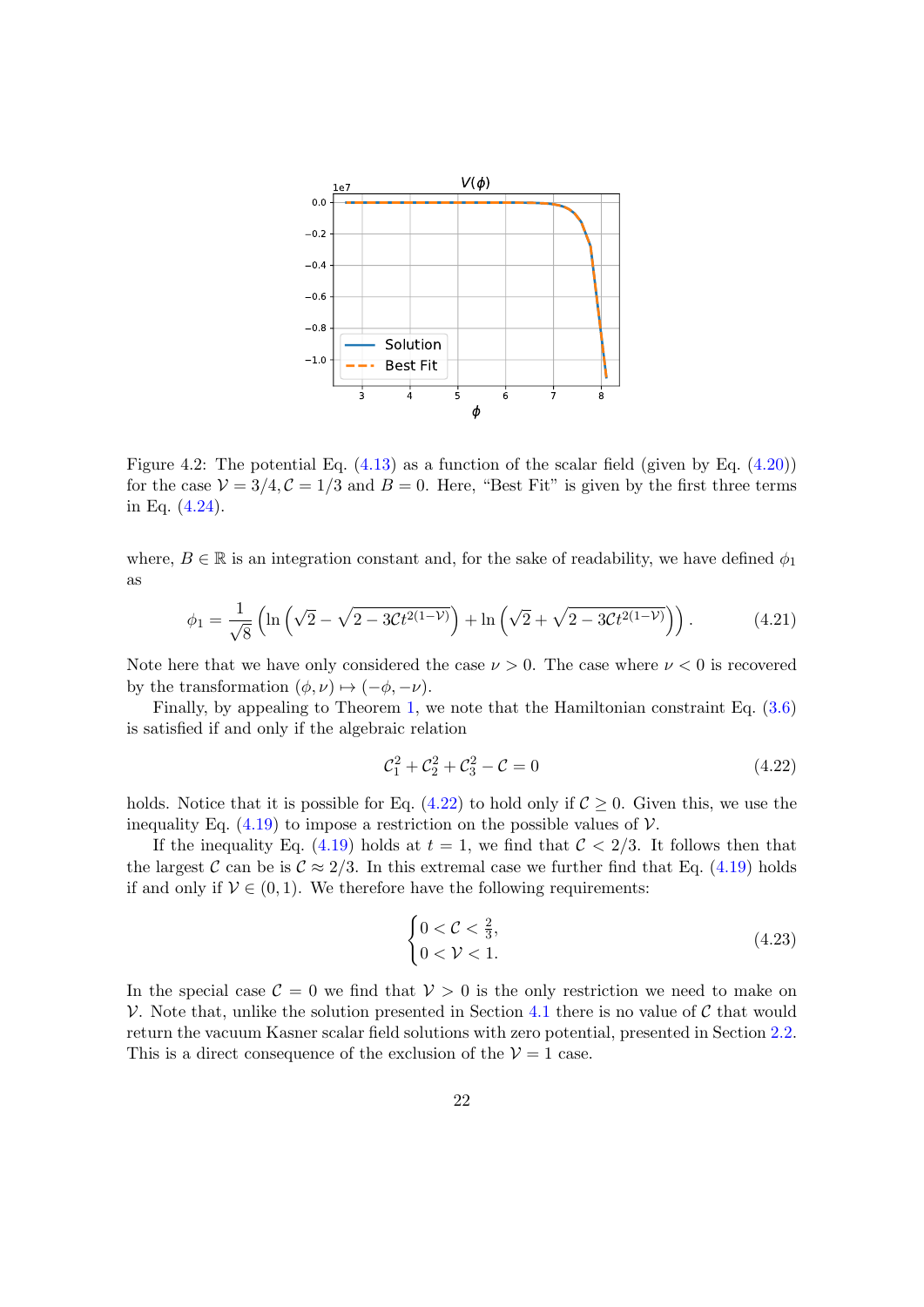

<span id="page-21-2"></span>Figure 4.2: The potential Eq.  $(4.13)$  as a function of the scalar field (given by Eq.  $(4.20)$ ) for the case  $V = 3/4$ ,  $C = 1/3$  and  $B = 0$ . Here, "Best Fit" is given by the first three terms in Eq. [\(4.24\)](#page-22-1).

where,  $B \in \mathbb{R}$  is an integration constant and, for the sake of readability, we have defined  $\phi_1$ as

$$
\phi_1 = \frac{1}{\sqrt{8}} \left( \ln \left( \sqrt{2} - \sqrt{2 - 3Ct^{2(1-\mathcal{V})}} \right) + \ln \left( \sqrt{2} + \sqrt{2 - 3Ct^{2(1-\mathcal{V})}} \right) \right). \tag{4.21}
$$

Note here that we have only considered the case  $\nu > 0$ . The case where  $\nu < 0$  is recovered by the transformation  $(\phi, \nu) \mapsto (-\phi, -\nu)$ .

Finally, by appealing to Theorem [1,](#page-10-6) we note that the Hamiltonian constraint Eq. [\(3.6\)](#page-8-5) is satisfied if and only if the algebraic relation

<span id="page-21-0"></span>
$$
\mathcal{C}_1^2 + \mathcal{C}_2^2 + \mathcal{C}_3^2 - \mathcal{C} = 0 \tag{4.22}
$$

holds. Notice that it is possible for Eq.  $(4.22)$  to hold only if  $C \geq 0$ . Given this, we use the inequality Eq. [\(4.19\)](#page-20-3) to impose a restriction on the possible values of  $\mathcal V$ .

If the inequality Eq. [\(4.19\)](#page-20-3) holds at  $t = 1$ , we find that  $C < 2/3$ . It follows then that the largest C can be is  $\mathcal{C} \approx 2/3$ . In this extremal case we further find that Eq. [\(4.19\)](#page-20-3) holds if and only if  $V \in (0, 1)$ . We therefore have the following requirements:

<span id="page-21-1"></span>
$$
\begin{cases} 0 < \mathcal{C} < \frac{2}{3}, \\ 0 < \mathcal{V} < 1. \end{cases} \tag{4.23}
$$

In the special case  $\mathcal{C} = 0$  we find that  $\mathcal{V} > 0$  is the only restriction we need to make on V. Note that, unlike the solution presented in Section [4.1](#page-16-3) there is no value of  $\mathcal C$  that would return the vacuum Kasner scalar field solutions with zero potential, presented in Section [2.2.](#page-5-3) This is a direct consequence of the exclusion of the  $V = 1$  case.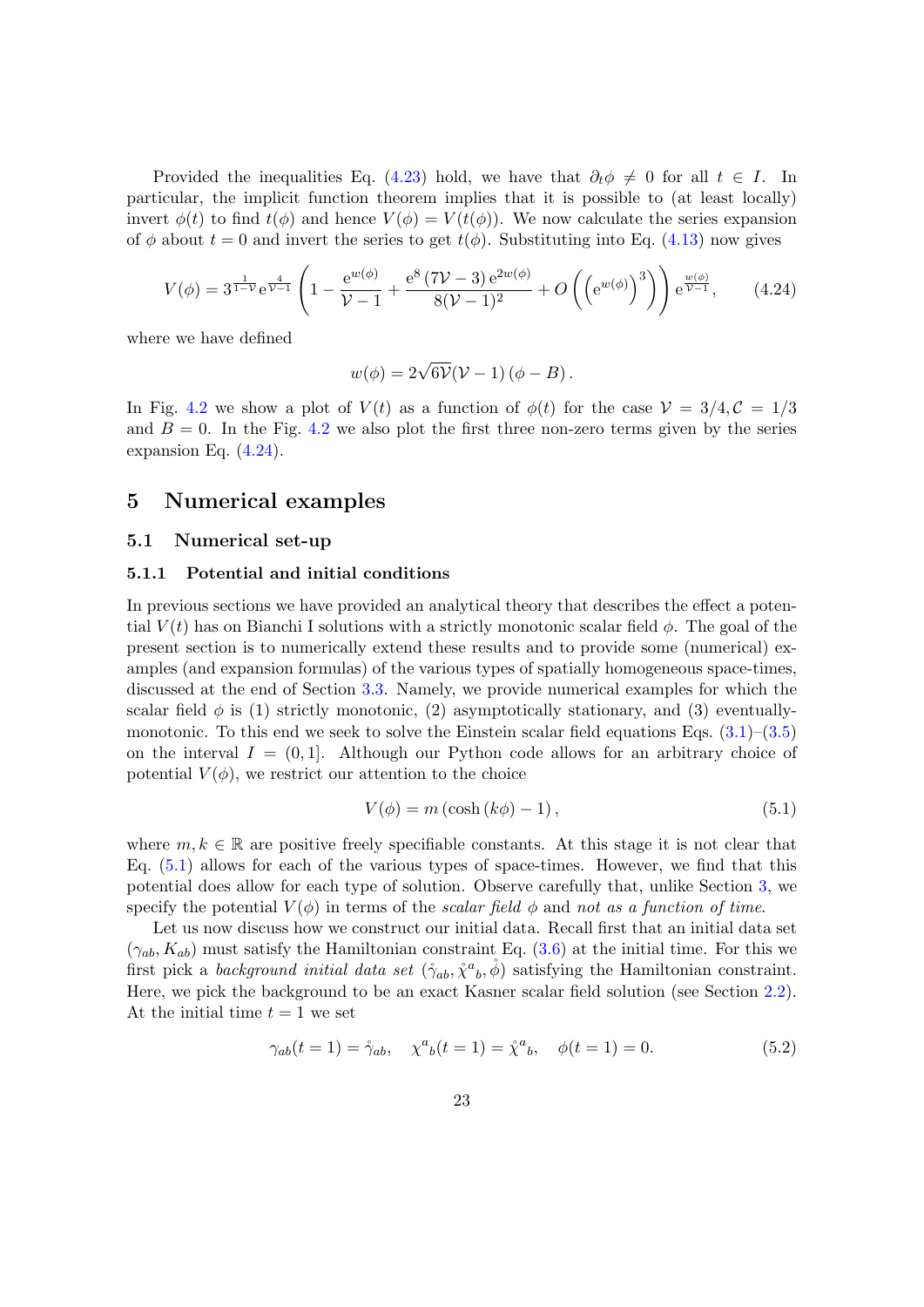Provided the inequalities Eq. [\(4.23\)](#page-21-1) hold, we have that  $\partial_t \phi \neq 0$  for all  $t \in I$ . In particular, the implicit function theorem implies that it is possible to (at least locally) invert  $\phi(t)$  to find  $t(\phi)$  and hence  $V(\phi) = V(t(\phi))$ . We now calculate the series expansion of  $\phi$  about  $t = 0$  and invert the series to get  $t(\phi)$ . Substituting into Eq. [\(4.13\)](#page-19-0) now gives

$$
V(\phi) = 3^{\frac{1}{1-\nu}} e^{\frac{4}{\nu-1}} \left( 1 - \frac{e^{w(\phi)}}{\nu-1} + \frac{e^8 (7\nu-3) e^{2w(\phi)}}{8(\nu-1)^2} + O\left( \left( e^{w(\phi)} \right)^3 \right) \right) e^{\frac{w(\phi)}{\nu-1}}, \quad (4.24)
$$

where we have defined

<span id="page-22-1"></span>
$$
w(\phi) = 2\sqrt{6\mathcal{V}}(\mathcal{V} - 1)(\phi - B).
$$

In Fig. [4.2](#page-21-2) we show a plot of  $V(t)$  as a function of  $\phi(t)$  for the case  $V = 3/4, C = 1/3$ and  $B = 0$ . In the Fig. [4.2](#page-21-2) we also plot the first three non-zero terms given by the series expansion Eq. [\(4.24\)](#page-22-1).

### <span id="page-22-0"></span>5 Numerical examples

### 5.1 Numerical set-up

#### 5.1.1 Potential and initial conditions

In previous sections we have provided an analytical theory that describes the effect a potential  $V(t)$  has on Bianchi I solutions with a strictly monotonic scalar field  $\phi$ . The goal of the present section is to numerically extend these results and to provide some (numerical) examples (and expansion formulas) of the various types of spatially homogeneous space-times, discussed at the end of Section [3.3.](#page-13-0) Namely, we provide numerical examples for which the scalar field  $\phi$  is (1) strictly monotonic, (2) asymptotically stationary, and (3) eventuallymonotonic. To this end we seek to solve the Einstein scalar field equations Eqs.  $(3.1)$ – $(3.5)$ on the interval  $I = (0, 1]$ . Although our Python code allows for an arbitrary choice of potential  $V(\phi)$ , we restrict our attention to the choice

<span id="page-22-3"></span><span id="page-22-2"></span>
$$
V(\phi) = m\left(\cosh\left(k\phi\right) - 1\right),\tag{5.1}
$$

where  $m, k \in \mathbb{R}$  are positive freely specifiable constants. At this stage it is not clear that Eq. [\(5.1\)](#page-22-2) allows for each of the various types of space-times. However, we find that this potential does allow for each type of solution. Observe carefully that, unlike Section [3,](#page-8-0) we specify the potential  $V(\phi)$  in terms of the scalar field  $\phi$  and not as a function of time.

Let us now discuss how we construct our initial data. Recall first that an initial data set  $(\gamma_{ab}, K_{ab})$  must satisfy the Hamiltonian constraint Eq. [\(3.6\)](#page-8-5) at the initial time. For this we first pick a background initial data set  $(\gamma_{ab}, \mathring{\chi}^a{}_b, \mathring{\phi})$  satisfying the Hamiltonian constraint. Here, we pick the background to be an exact Kasner scalar field solution (see Section [2.2\)](#page-5-3). At the initial time  $t = 1$  we set

$$
\gamma_{ab}(t=1) = \mathring{\gamma}_{ab}, \quad \chi^a{}_b(t=1) = \mathring{\chi}^a{}_b, \quad \phi(t=1) = 0. \tag{5.2}
$$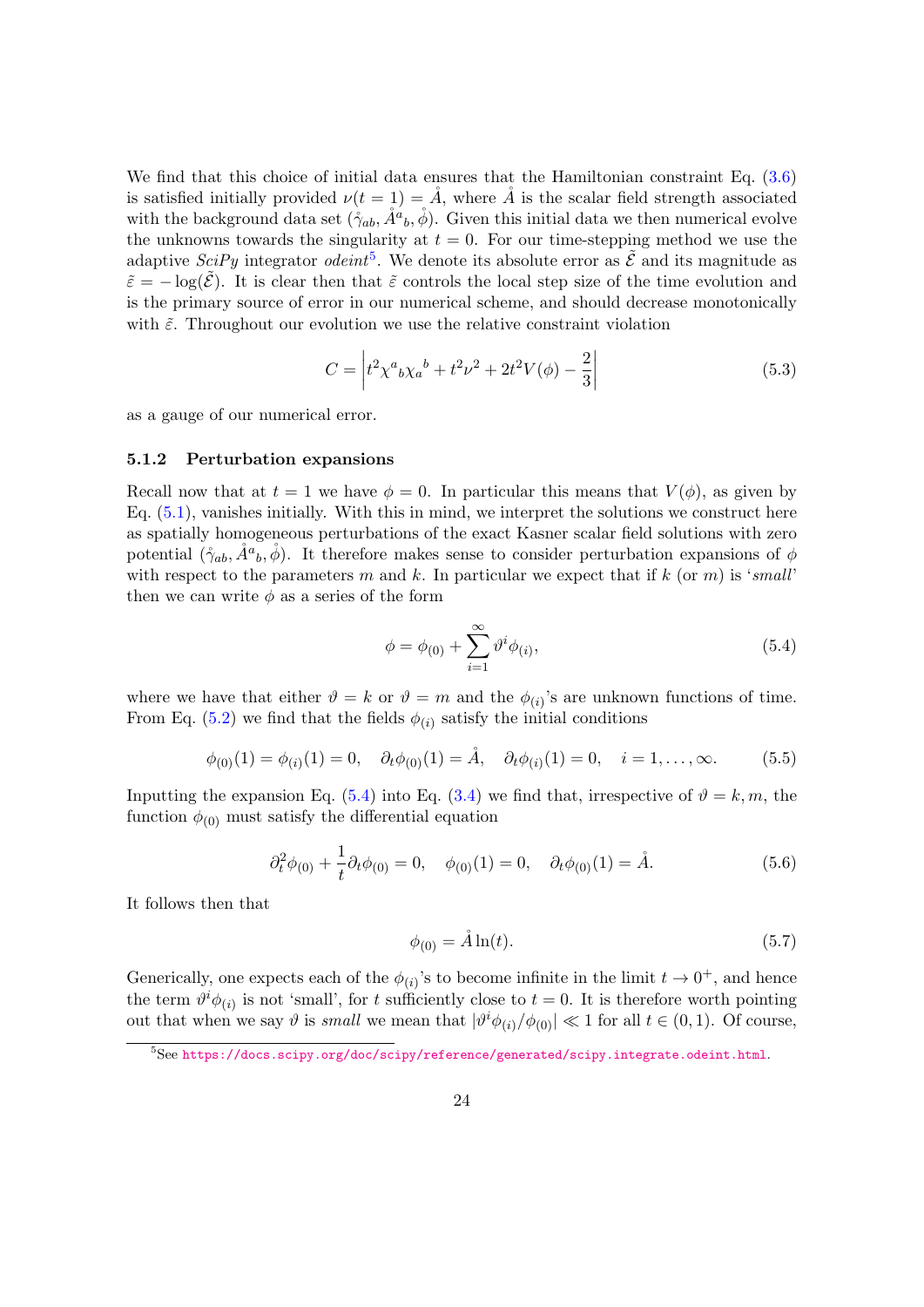We find that this choice of initial data ensures that the Hamiltonian constraint Eq.  $(3.6)$ is satisfied initially provided  $\nu(t = 1) = \AA$ , where  $\AA$  is the scalar field strength associated with the background data set  $(\dot{\gamma}_{ab}, \mathring{A}^a{}_b, \mathring{\phi})$ . Given this initial data we then numerical evolve the unknowns towards the singularity at  $t = 0$ . For our time-stepping method we use the adaptive  $\text{Sci}Py$  integrator *odeint*<sup>[5](#page-0-0)</sup>. We denote its absolute error as  $\tilde{\mathcal{E}}$  and its magnitude as  $\tilde{\varepsilon} = -\log(\tilde{\mathcal{E}})$ . It is clear then that  $\tilde{\varepsilon}$  controls the local step size of the time evolution and is the primary source of error in our numerical scheme, and should decrease monotonically with  $\tilde{\varepsilon}$ . Throughout our evolution we use the relative constraint violation

$$
C = \left| t^2 \chi^a{}_b \chi_a{}^b + t^2 \nu^2 + 2t^2 V(\phi) - \frac{2}{3} \right| \tag{5.3}
$$

as a gauge of our numerical error.

#### 5.1.2 Perturbation expansions

Recall now that at  $t = 1$  we have  $\phi = 0$ . In particular this means that  $V(\phi)$ , as given by Eq.  $(5.1)$ , vanishes initially. With this in mind, we interpret the solutions we construct here as spatially homogeneous perturbations of the exact Kasner scalar field solutions with zero potential  $(\gamma_{ab}, \AA^a{}_b, \mathring{\phi})$ . It therefore makes sense to consider perturbation expansions of  $\phi$ with respect to the parameters m and k. In particular we expect that if  $k$  (or m) is 'small' then we can write  $\phi$  as a series of the form

<span id="page-23-2"></span><span id="page-23-0"></span>
$$
\phi = \phi_{(0)} + \sum_{i=1}^{\infty} \vartheta^i \phi_{(i)},
$$
\n(5.4)

where we have that either  $\vartheta = k$  or  $\vartheta = m$  and the  $\phi_{(i)}$ 's are unknown functions of time. From Eq. [\(5.2\)](#page-22-3) we find that the fields  $\phi_{(i)}$  satisfy the initial conditions

$$
\phi_{(0)}(1) = \phi_{(i)}(1) = 0, \quad \partial_t \phi_{(0)}(1) = \mathring{A}, \quad \partial_t \phi_{(i)}(1) = 0, \quad i = 1, \dots, \infty.
$$
 (5.5)

Inputting the expansion Eq. [\(5.4\)](#page-23-0) into Eq. [\(3.4\)](#page-8-2) we find that, irrespective of  $\vartheta = k, m$ , the function  $\phi_{(0)}$  must satisfy the differential equation

$$
\partial_t^2 \phi_{(0)} + \frac{1}{t} \partial_t \phi_{(0)} = 0, \quad \phi_{(0)}(1) = 0, \quad \partial_t \phi_{(0)}(1) = \mathring{A}.
$$
 (5.6)

It follows then that

<span id="page-23-1"></span>
$$
\phi_{(0)} = \mathring{A}\ln(t). \tag{5.7}
$$

Generically, one expects each of the  $\phi_{(i)}$ 's to become infinite in the limit  $t \to 0^+$ , and hence the term  $\vartheta^i \phi_{(i)}$  is not 'small', for t sufficiently close to  $t = 0$ . It is therefore worth pointing out that when we say  $\vartheta$  is small we mean that  $|\vartheta^i \phi_{(i)} / \phi_{(0)}| \ll 1$  for all  $t \in (0,1)$ . Of course,

<sup>5</sup>See <https://docs.scipy.org/doc/scipy/reference/generated/scipy.integrate.odeint.html>.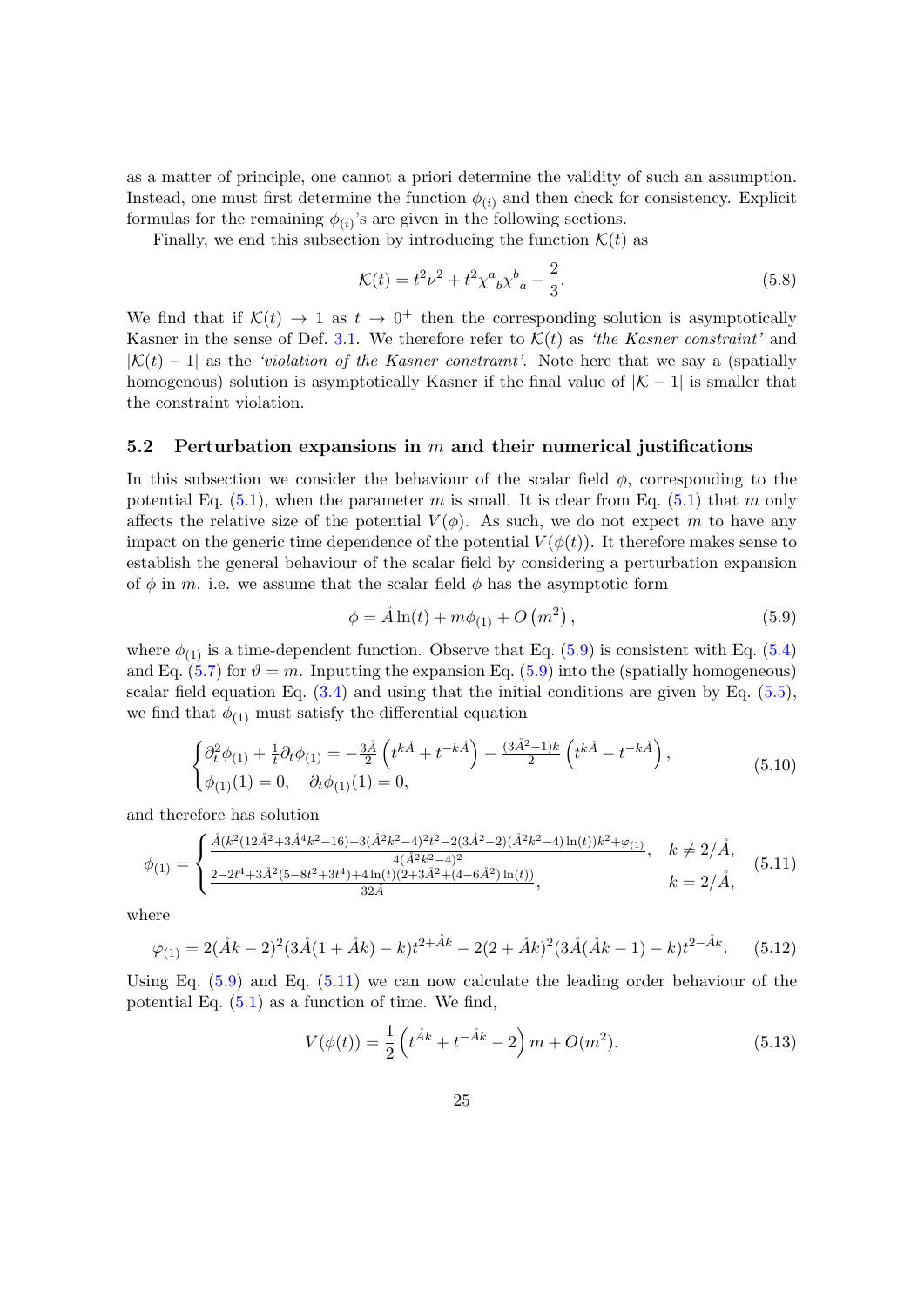as a matter of principle, one cannot a priori determine the validity of such an assumption. Instead, one must first determine the function  $\phi_{(i)}$  and then check for consistency. Explicit formulas for the remaining  $\phi_{(i)}$ 's are given in the following sections.

Finally, we end this subsection by introducing the function  $\mathcal{K}(t)$  as

$$
\mathcal{K}(t) = t^2 \nu^2 + t^2 \chi^a{}_b \chi^b{}_a - \frac{2}{3}.\tag{5.8}
$$

We find that if  $\mathcal{K}(t) \to 1$  as  $t \to 0^+$  then the corresponding solution is asymptotically Kasner in the sense of Def. [3.1.](#page-13-2) We therefore refer to  $\mathcal{K}(t)$  as 'the Kasner constraint' and  $|K(t) - 1|$  as the *'violation of the Kasner constraint'*. Note here that we say a (spatially homogenous) solution is asymptotically Kasner if the final value of  $|K - 1|$  is smaller that the constraint violation.

### 5.2 Perturbation expansions in  $m$  and their numerical justifications

In this subsection we consider the behaviour of the scalar field  $\phi$ , corresponding to the potential Eq.  $(5.1)$ , when the parameter m is small. It is clear from Eq.  $(5.1)$  that m only affects the relative size of the potential  $V(\phi)$ . As such, we do not expect m to have any impact on the generic time dependence of the potential  $V(\phi(t))$ . It therefore makes sense to establish the general behaviour of the scalar field by considering a perturbation expansion of  $\phi$  in m. i.e. we assume that the scalar field  $\phi$  has the asymptotic form

<span id="page-24-1"></span><span id="page-24-0"></span>
$$
\phi = \mathring{A}\ln(t) + m\phi_{(1)} + O(m^2),\tag{5.9}
$$

where  $\phi_{(1)}$  is a time-dependent function. Observe that Eq. [\(5.9\)](#page-24-0) is consistent with Eq. [\(5.4\)](#page-23-0) and Eq. [\(5.7\)](#page-23-1) for  $\vartheta = m$ . Inputting the expansion Eq. [\(5.9\)](#page-24-0) into the (spatially homogeneous) scalar field equation Eq.  $(3.4)$  and using that the initial conditions are given by Eq.  $(5.5)$ , we find that  $\phi_{(1)}$  must satisfy the differential equation

$$
\begin{cases} \partial_t^2 \phi_{(1)} + \frac{1}{t} \partial_t \phi_{(1)} = -\frac{3\mathring{A}}{2} \left( t^{k\mathring{A}} + t^{-k\mathring{A}} \right) - \frac{(3\mathring{A}^2 - 1)k}{2} \left( t^{k\mathring{A}} - t^{-k\mathring{A}} \right), \\ \phi_{(1)}(1) = 0, \quad \partial_t \phi_{(1)}(1) = 0, \end{cases}
$$
(5.10)

and therefore has solution

$$
\phi_{(1)} = \begin{cases} \frac{\mathring{A}(k^2(12\mathring{A}^2 + 3\mathring{A}^4 k^2 - 16) - 3(\mathring{A}^2 k^2 - 4)^2 t^2 - 2(3\mathring{A}^2 - 2)(\mathring{A}^2 k^2 - 4)\ln(t))k^2 + \varphi_{(1)}}{4(\mathring{A}^2 k^2 - 4)^2}, & k \neq 2/\mathring{A}, \\ \frac{2 - 2t^4 + 3\mathring{A}^2(5 - 8t^2 + 3t^4) + 4\ln(t)(2 + 3\mathring{A}^2 + (4 - 6\mathring{A}^2)\ln(t))}{32\mathring{A}}, & k = 2/\mathring{A}, \end{cases} (5.11)
$$

where

$$
\varphi_{(1)} = 2(\mathring{A}k - 2)^2 (3\mathring{A}(1 + \mathring{A}k) - k)t^{2 + \mathring{A}k} - 2(2 + \mathring{A}k)^2 (3\mathring{A}(\mathring{A}k - 1) - k)t^{2 - \mathring{A}k}.
$$
 (5.12)

Using Eq.  $(5.9)$  and Eq.  $(5.11)$  we can now calculate the leading order behaviour of the potential Eq. [\(5.1\)](#page-22-2) as a function of time. We find,

<span id="page-24-2"></span>
$$
V(\phi(t)) = \frac{1}{2} \left( t^{\mathring{A}k} + t^{-\mathring{A}k} - 2 \right) m + O(m^2).
$$
 (5.13)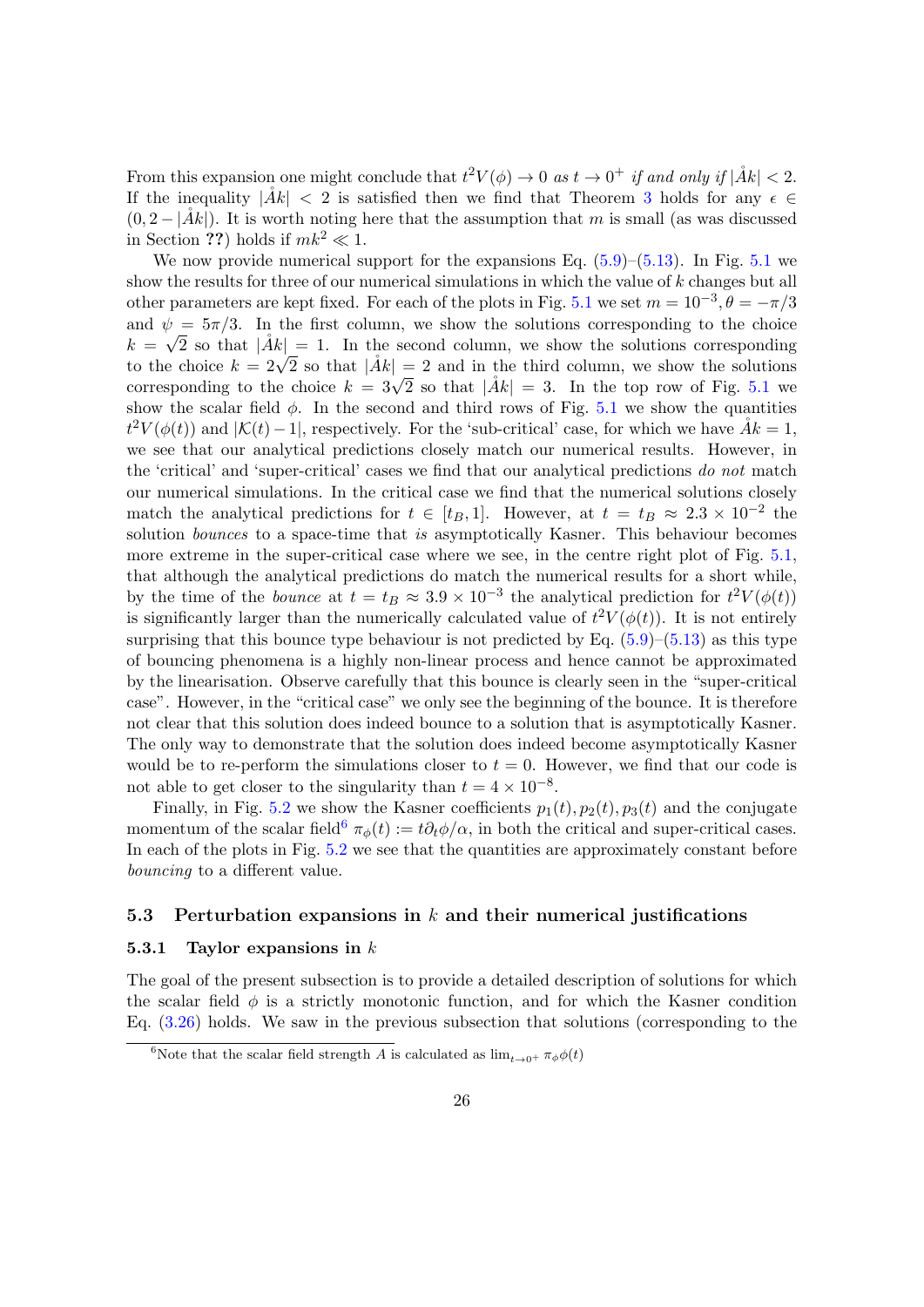From this expansion one might conclude that  $t^2V(\phi) \to 0$  as  $t \to 0^+$  if and only if  $|\AA k| < 2$ . If the inequality  $|\AA_k| < 2$  is satisfied then we find that Theorem [3](#page-13-4) holds for any  $\epsilon \in$  $(0, 2 - |\mathring{A}k|)$ . It is worth noting here that the assumption that m is small (as was discussed in Section ??) holds if  $mk^2 \ll 1$ .

We now provide numerical support for the expansions Eq.  $(5.9)$ – $(5.13)$ . In Fig. [5.1](#page-7-0) we show the results for three of our numerical simulations in which the value of k changes but all other parameters are kept fixed. For each of the plots in Fig. [5.1](#page-7-0) we set  $m = 10^{-3}, \theta = -\pi/3$ and  $\psi = 5\pi/3$ . In the first column, we show the solutions corresponding to the choice  $k = \sqrt{2}$  so that  $|\mathring{A}k| = 1$ . In the second column, we show the solutions corresponding  $\kappa = \sqrt{2}$  so that  $|AK| = 1$ . In the second column, we show the solutions corresponding<br>to the choice  $k = 2\sqrt{2}$  so that  $|\mathring{A}k| = 2$  and in the third column, we show the solutions to the choice  $\kappa = 2\sqrt{2}$  so that  $|Ak| = 2$  and in the third column, we show the solutions corresponding to the choice  $k = 3\sqrt{2}$  so that  $|\mathring{A}k| = 3$ . In the top row of Fig. [5.1](#page-7-0) we show the scalar field  $\phi$ . In the second and third rows of Fig. [5.1](#page-7-0) we show the quantities  $t^2V(\phi(t))$  and  $|K(t)-1|$ , respectively. For the 'sub-critical' case, for which we have  $\AA k=1$ , we see that our analytical predictions closely match our numerical results. However, in the 'critical' and 'super-critical' cases we find that our analytical predictions do not match our numerical simulations. In the critical case we find that the numerical solutions closely match the analytical predictions for  $t \in [t_B, 1]$ . However, at  $t = t_B \approx 2.3 \times 10^{-2}$  the solution bounces to a space-time that is asymptotically Kasner. This behaviour becomes more extreme in the super-critical case where we see, in the centre right plot of Fig. [5.1,](#page-7-0) that although the analytical predictions do match the numerical results for a short while, by the time of the *bounce* at  $t = t_B \approx 3.9 \times 10^{-3}$  the analytical prediction for  $t^2 V(\phi(t))$ is significantly larger than the numerically calculated value of  $t^2V(\phi(t))$ . It is not entirely surprising that this bounce type behaviour is not predicted by Eq.  $(5.9)$ – $(5.13)$  as this type of bouncing phenomena is a highly non-linear process and hence cannot be approximated by the linearisation. Observe carefully that this bounce is clearly seen in the "super-critical case". However, in the "critical case" we only see the beginning of the bounce. It is therefore not clear that this solution does indeed bounce to a solution that is asymptotically Kasner. The only way to demonstrate that the solution does indeed become asymptotically Kasner would be to re-perform the simulations closer to  $t = 0$ . However, we find that our code is not able to get closer to the singularity than  $t = 4 \times 10^{-8}$ .

Finally, in Fig. [5.2](#page-21-2) we show the Kasner coefficients  $p_1(t)$ ,  $p_2(t)$ ,  $p_3(t)$  and the conjugate momentum of the scalar field<sup>[6](#page-0-0)</sup>  $\pi_{\phi}(t) := t \partial_t \phi/\alpha$ , in both the critical and super-critical cases. In each of the plots in Fig. [5.2](#page-21-2) we see that the quantities are approximately constant before bouncing to a different value.

### <span id="page-25-0"></span>5.3 Perturbation expansions in  $k$  and their numerical justifications

### 5.3.1 Taylor expansions in k

The goal of the present subsection is to provide a detailed description of solutions for which the scalar field  $\phi$  is a strictly monotonic function, and for which the Kasner condition Eq. [\(3.26\)](#page-14-0) holds. We saw in the previous subsection that solutions (corresponding to the

<sup>&</sup>lt;sup>6</sup>Note that the scalar field strength A is calculated as  $\lim_{t\to 0^+} \pi_{\phi}\phi(t)$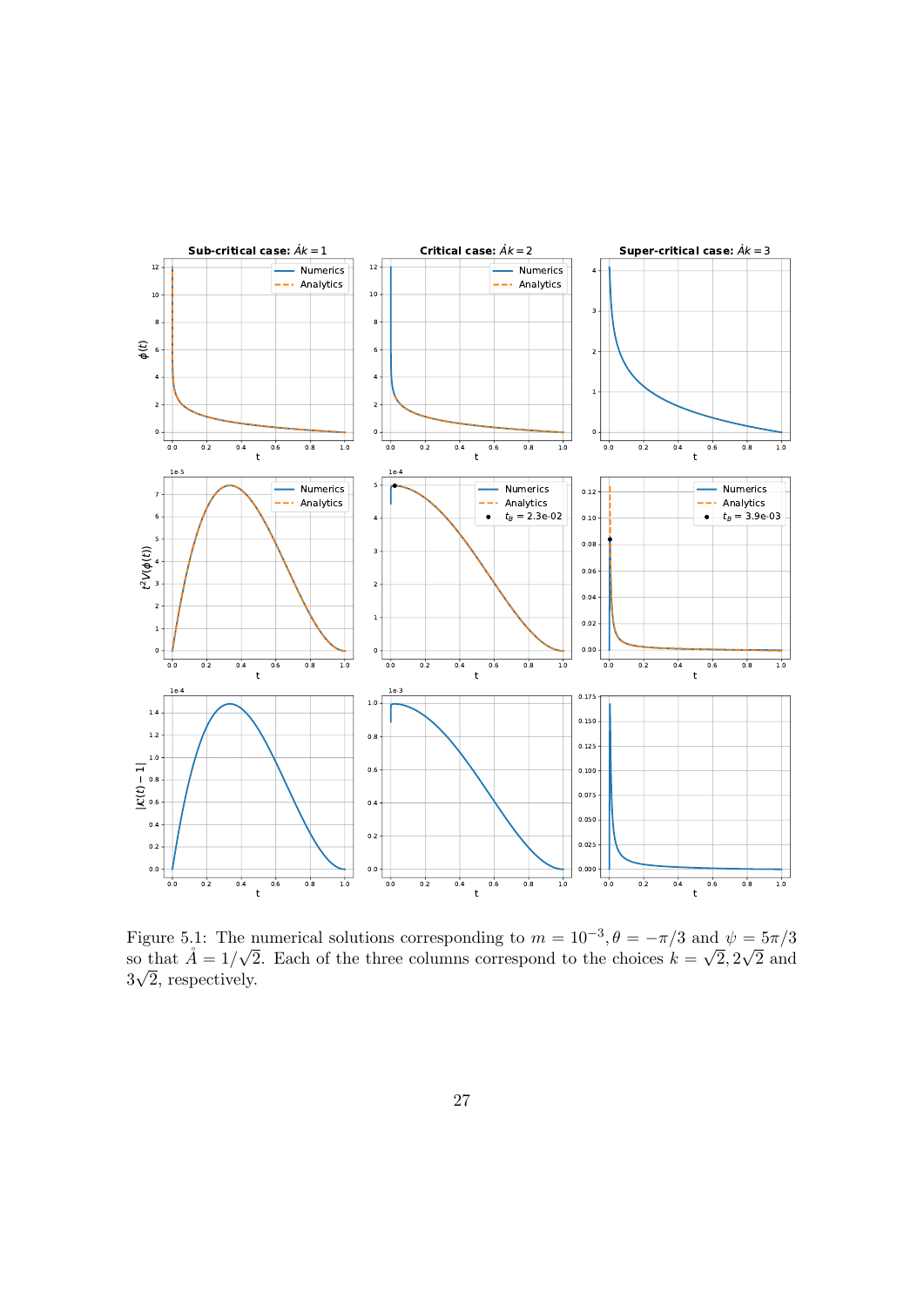

Figure 5.1: The numerical solutions corresponding to  $m = 10^{-3}, \theta = -\pi/3$  and  $\psi = 5\pi/3$ Figure 5.1: The so that  $\AA = 1/\sqrt{2}$ 2. Each of the three columns correspond to the choices  $k =$ nc<br>∫  $[2,2]$ √ o that  $A = 1/\sqrt{2}$ . Each of the three columns correspond to the choices  $k = \sqrt{2}$ ,  $2\sqrt{2}$  and  $3\sqrt{2}$ , respectively.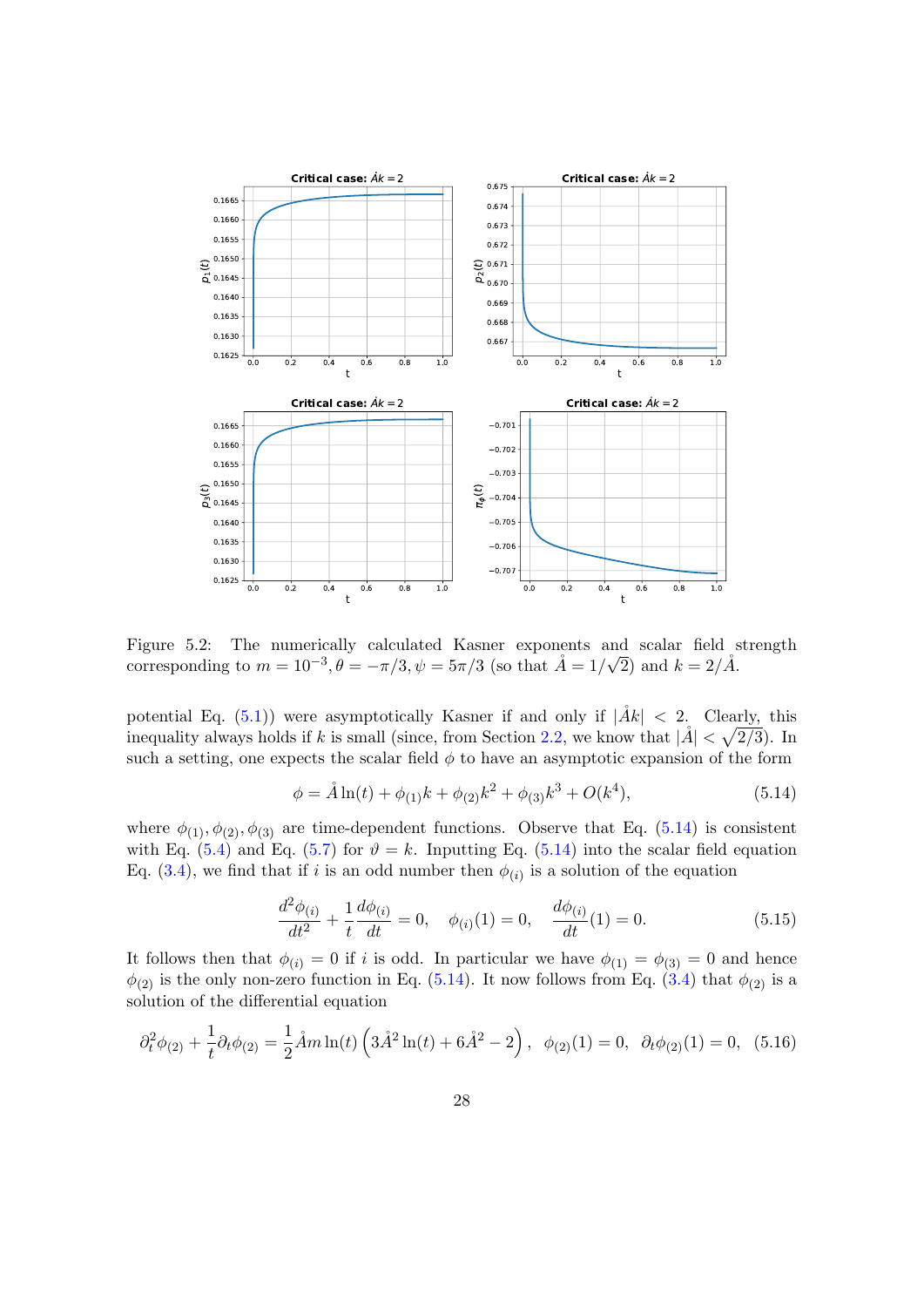

Figure 5.2: The numerically calculated Kasner exponents and scalar field strength corresponding to  $m = 10^{-3}, \theta = -\pi/3, \psi = 5\pi/3$  (so that  $\AA = 1/\sqrt{2}$ ) and  $k = 2/\AA$ .

potential Eq. [\(5.1\)](#page-22-2)) were asymptotically Kasner if and only if  $|\AA k| < 2$ . Clearly, this inequality always holds if k is small (since, from Section [2.2,](#page-5-3) we know that  $|\mathring{A}| < \sqrt{2/3}$ ). In such a setting, one expects the scalar field  $\phi$  to have an asymptotic expansion of the form

<span id="page-27-0"></span>
$$
\phi = \mathring{A}\ln(t) + \phi_{(1)}k + \phi_{(2)}k^2 + \phi_{(3)}k^3 + O(k^4),\tag{5.14}
$$

where  $\phi_{(1)}, \phi_{(2)}, \phi_{(3)}$  are time-dependent functions. Observe that Eq. [\(5.14\)](#page-27-0) is consistent with Eq. [\(5.4\)](#page-23-0) and Eq. [\(5.7\)](#page-23-1) for  $\vartheta = k$ . Inputting Eq. [\(5.14\)](#page-27-0) into the scalar field equation Eq. [\(3.4\)](#page-8-2), we find that if i is an odd number then  $\phi_{(i)}$  is a solution of the equation

$$
\frac{d^2\phi_{(i)}}{dt^2} + \frac{1}{t}\frac{d\phi_{(i)}}{dt} = 0, \quad \phi_{(i)}(1) = 0, \quad \frac{d\phi_{(i)}}{dt}(1) = 0.
$$
\n(5.15)

It follows then that  $\phi_{(i)} = 0$  if i is odd. In particular we have  $\phi_{(1)} = \phi_{(3)} = 0$  and hence  $\phi_{(2)}$  is the only non-zero function in Eq. [\(5.14\)](#page-27-0). It now follows from Eq. [\(3.4\)](#page-8-2) that  $\phi_{(2)}$  is a solution of the differential equation

$$
\partial_t^2 \phi_{(2)} + \frac{1}{t} \partial_t \phi_{(2)} = \frac{1}{2} \mathring{A} m \ln(t) \left( 3 \mathring{A}^2 \ln(t) + 6 \mathring{A}^2 - 2 \right), \ \ \phi_{(2)}(1) = 0, \ \ \partial_t \phi_{(2)}(1) = 0, \ \ (5.16)
$$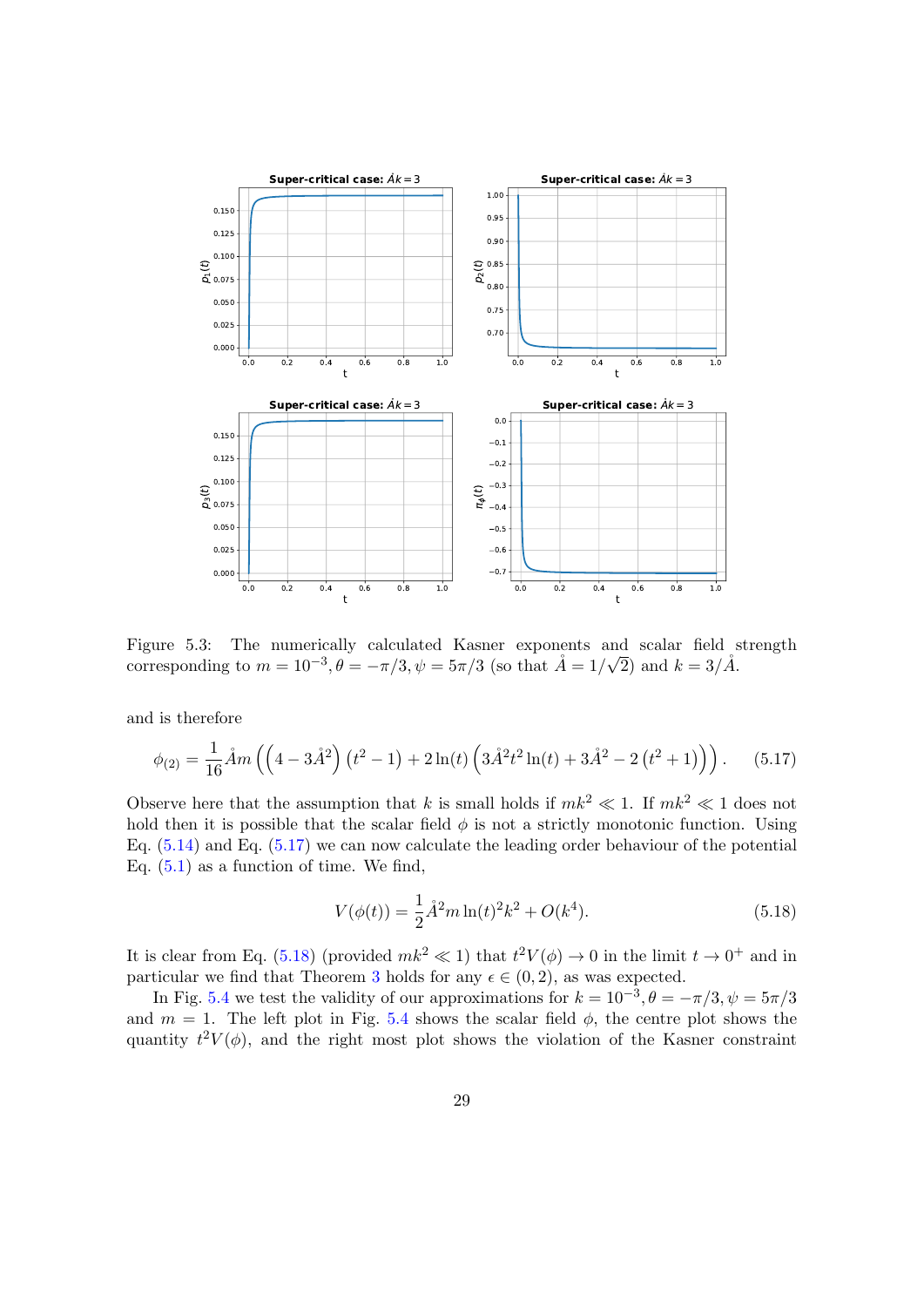

Figure 5.3: The numerically calculated Kasner exponents and scalar field strength corresponding to  $m = 10^{-3}, \theta = -\pi/3, \psi = 5\pi/3$  (so that  $\AA = 1/\sqrt{2}$ ) and  $k = 3/\AA$ .

and is therefore

$$
\phi_{(2)} = \frac{1}{16}\mathring{A}m\left(\left(4 - 3\mathring{A}^2\right)\left(t^2 - 1\right) + 2\ln(t)\left(3\mathring{A}^2t^2\ln(t) + 3\mathring{A}^2 - 2\left(t^2 + 1\right)\right)\right). \tag{5.17}
$$

Observe here that the assumption that k is small holds if  $mk^2 \ll 1$ . If  $mk^2 \ll 1$  does not hold then it is possible that the scalar field  $\phi$  is not a strictly monotonic function. Using Eq. [\(5.14\)](#page-27-0) and Eq. [\(5.17\)](#page-28-0) we can now calculate the leading order behaviour of the potential Eq.  $(5.1)$  as a function of time. We find,

<span id="page-28-1"></span><span id="page-28-0"></span>
$$
V(\phi(t)) = \frac{1}{2}\mathring{A}^2m\ln(t)^2k^2 + O(k^4).
$$
 (5.18)

It is clear from Eq. [\(5.18\)](#page-28-1) (provided  $mk^2 \ll 1$ ) that  $t^2V(\phi) \to 0$  in the limit  $t \to 0^+$  and in particular we find that Theorem [3](#page-13-4) holds for any  $\epsilon \in (0, 2)$ , as was expected.

In Fig. [5.4](#page-29-0) we test the validity of our approximations for  $k = 10^{-3}, \theta = -\pi/3, \psi = 5\pi/3$ and  $m = 1$ . The left plot in Fig. [5.4](#page-29-0) shows the scalar field  $\phi$ , the centre plot shows the quantity  $t^2V(\phi)$ , and the right most plot shows the violation of the Kasner constraint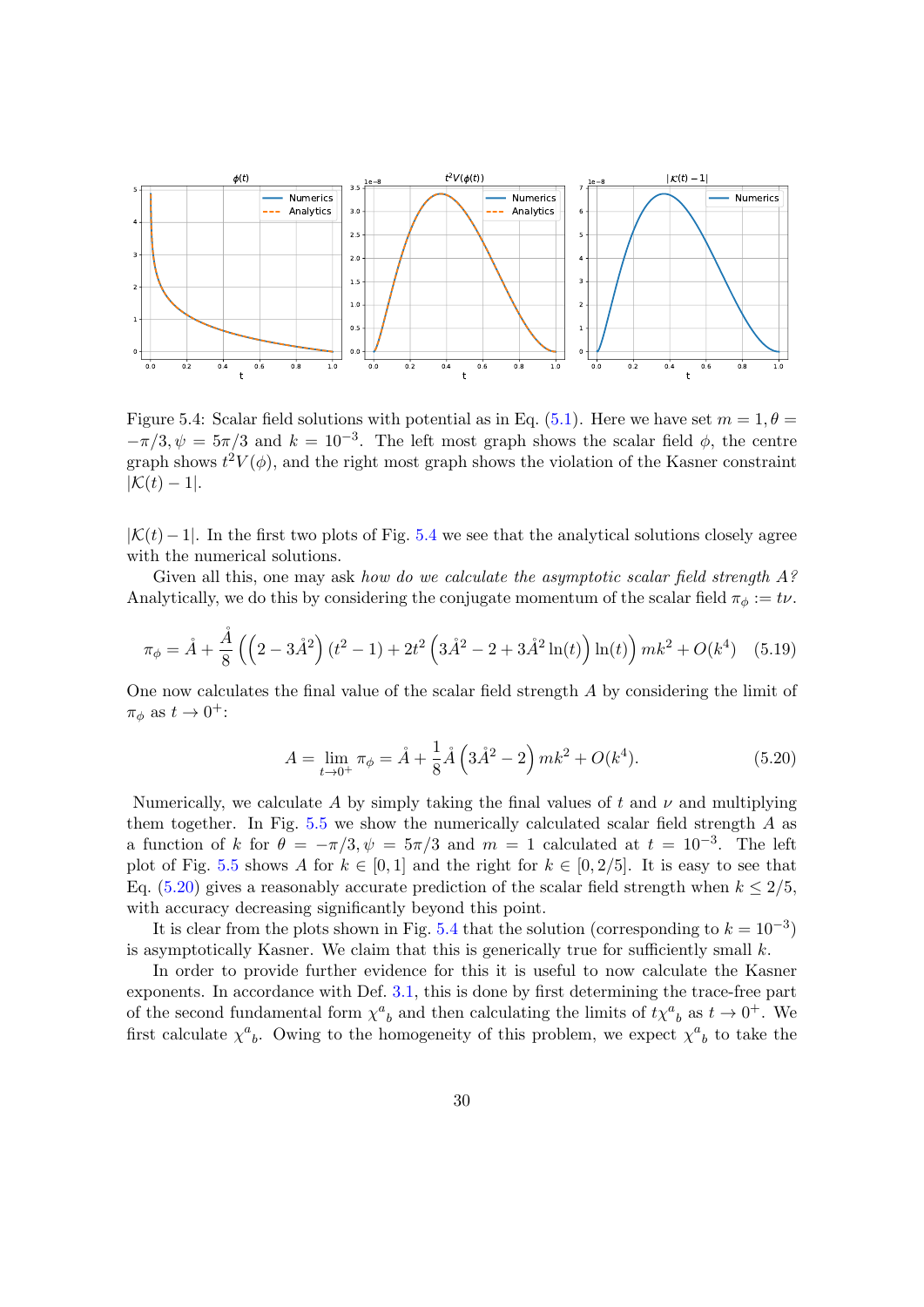

<span id="page-29-0"></span>Figure 5.4: Scalar field solutions with potential as in Eq. [\(5.1\)](#page-22-2). Here we have set  $m = 1, \theta =$  $-\pi/3, \psi = 5\pi/3$  and  $k = 10^{-3}$ . The left most graph shows the scalar field  $\phi$ , the centre graph shows  $t^2V(\phi)$ , and the right most graph shows the violation of the Kasner constraint  $|\mathcal{K}(t) - 1|$ .

 $|K(t)-1|$ . In the first two plots of Fig. [5.4](#page-29-0) we see that the analytical solutions closely agree with the numerical solutions.

Given all this, one may ask how do we calculate the asymptotic scalar field strength  $A$ ? Analytically, we do this by considering the conjugate momentum of the scalar field  $\pi_{\phi} := t\nu$ .

$$
\pi_{\phi} = \mathring{A} + \frac{\mathring{A}}{8} \left( \left( 2 - 3\mathring{A}^{2} \right) (t^{2} - 1) + 2t^{2} \left( 3\mathring{A}^{2} - 2 + 3\mathring{A}^{2} \ln(t) \right) \ln(t) \right) mk^{2} + O(k^{4}) \quad (5.19)
$$

One now calculates the final value of the scalar field strength A by considering the limit of  $\pi_{\phi}$  as  $t \to 0^+$ :

<span id="page-29-1"></span>
$$
A = \lim_{t \to 0^+} \pi_{\phi} = \mathring{A} + \frac{1}{8} \mathring{A} \left( 3\mathring{A}^2 - 2 \right) mk^2 + O(k^4).
$$
 (5.20)

Numerically, we calculate A by simply taking the final values of t and  $\nu$  and multiplying them together. In Fig. [5.5](#page-30-0) we show the numerically calculated scalar field strength A as a function of k for  $\theta = -\pi/3$ ,  $\psi = 5\pi/3$  and  $m = 1$  calculated at  $t = 10^{-3}$ . The left plot of Fig. [5.5](#page-30-0) shows A for  $k \in [0, 1]$  and the right for  $k \in [0, 2/5]$ . It is easy to see that Eq. [\(5.20\)](#page-29-1) gives a reasonably accurate prediction of the scalar field strength when  $k \leq 2/5$ , with accuracy decreasing significantly beyond this point.

It is clear from the plots shown in Fig. [5.4](#page-29-0) that the solution (corresponding to  $k = 10^{-3}$ ) is asymptotically Kasner. We claim that this is generically true for sufficiently small  $k$ .

In order to provide further evidence for this it is useful to now calculate the Kasner exponents. In accordance with Def. [3.1,](#page-13-2) this is done by first determining the trace-free part of the second fundamental form  $\chi^a{}_b$  and then calculating the limits of  $t\chi^a{}_b$  as  $t \to 0^+$ . We first calculate  $\chi^a{}_b$ . Owing to the homogeneity of this problem, we expect  $\chi^a{}_b$  to take the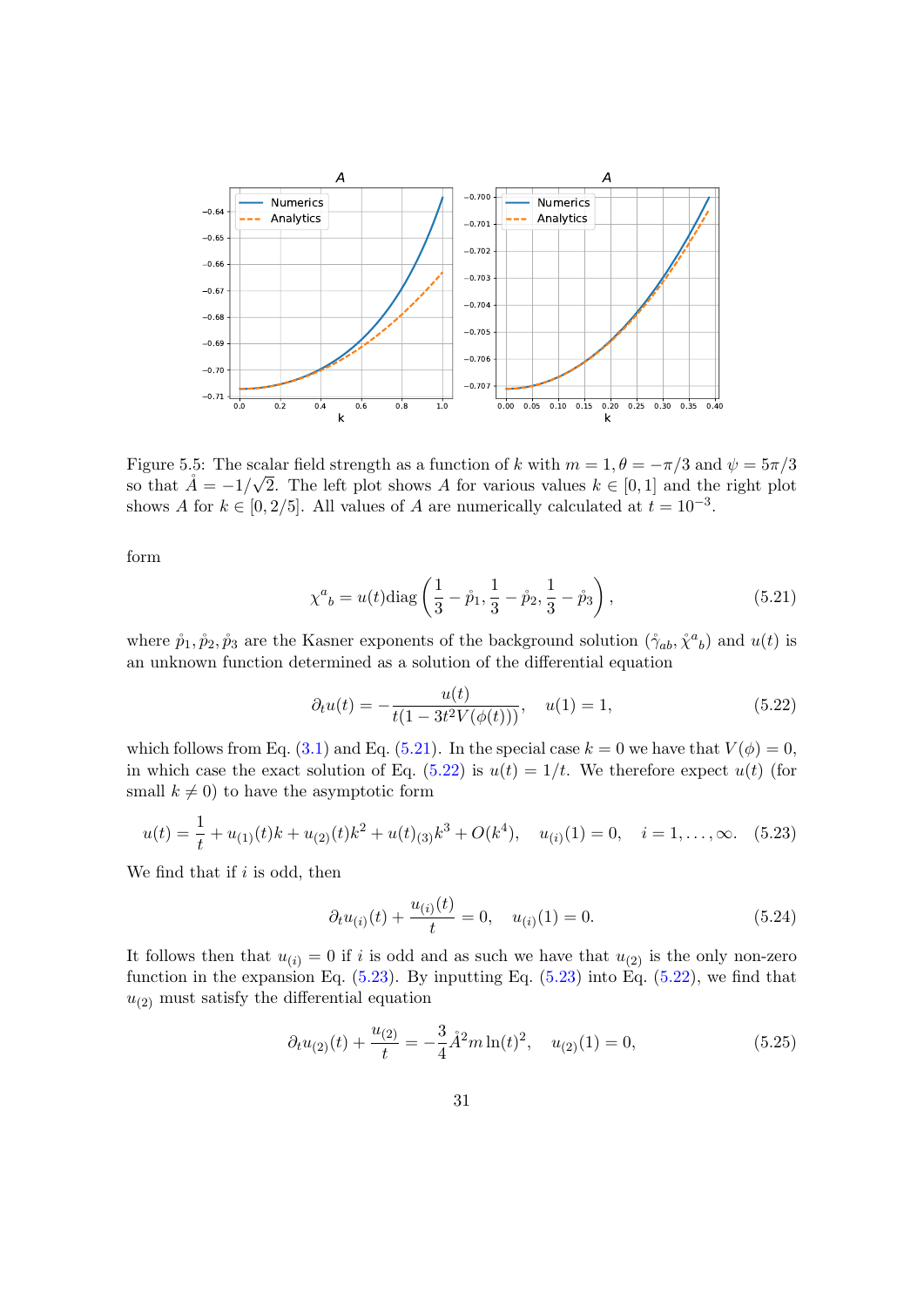

<span id="page-30-0"></span>Figure 5.5: The scalar field strength as a function of k with  $m = 1, \theta = -\pi/3$  and  $\psi = 5\pi/3$ so that  $A^{\dagger} = -1/\sqrt{2}$ . The left plot shows A for various values  $k \in [0, 1]$  and the right plot shows A for  $k \in [0, 2/5]$ . All values of A are numerically calculated at  $t = 10^{-3}$ .

form

<span id="page-30-1"></span>
$$
\chi^{a}{}_{b} = u(t) \text{diag}\left(\frac{1}{3} - \mathring{p}_{1}, \frac{1}{3} - \mathring{p}_{2}, \frac{1}{3} - \mathring{p}_{3}\right),\tag{5.21}
$$

where  $\mathring{p}_1, \mathring{p}_2, \mathring{p}_3$  are the Kasner exponents of the background solution  $(\mathring{\gamma}_{ab}, \mathring{\chi}^a{}_b)$  and  $u(t)$  is an unknown function determined as a solution of the differential equation

<span id="page-30-2"></span>
$$
\partial_t u(t) = -\frac{u(t)}{t(1 - 3t^2 V(\phi(t)))}, \quad u(1) = 1,\tag{5.22}
$$

which follows from Eq. [\(3.1\)](#page-8-1) and Eq. [\(5.21\)](#page-30-1). In the special case  $k = 0$  we have that  $V(\phi) = 0$ , in which case the exact solution of Eq.  $(5.22)$  is  $u(t) = 1/t$ . We therefore expect  $u(t)$  (for small  $k \neq 0$ ) to have the asymptotic form

$$
u(t) = \frac{1}{t} + u_{(1)}(t)k + u_{(2)}(t)k^2 + u(t)_{(3)}k^3 + O(k^4), \quad u_{(i)}(1) = 0, \quad i = 1, ..., \infty.
$$
 (5.23)

We find that if  $i$  is odd, then

<span id="page-30-3"></span>
$$
\partial_t u_{(i)}(t) + \frac{u_{(i)}(t)}{t} = 0, \quad u_{(i)}(1) = 0. \tag{5.24}
$$

It follows then that  $u_{(i)} = 0$  if i is odd and as such we have that  $u_{(2)}$  is the only non-zero function in the expansion Eq.  $(5.23)$ . By inputting Eq.  $(5.23)$  into Eq.  $(5.22)$ , we find that  $u_{(2)}$  must satisfy the differential equation

$$
\partial_t u_{(2)}(t) + \frac{u_{(2)}}{t} = -\frac{3}{4} \mathring{A}^2 m \ln(t)^2, \quad u_{(2)}(1) = 0,\tag{5.25}
$$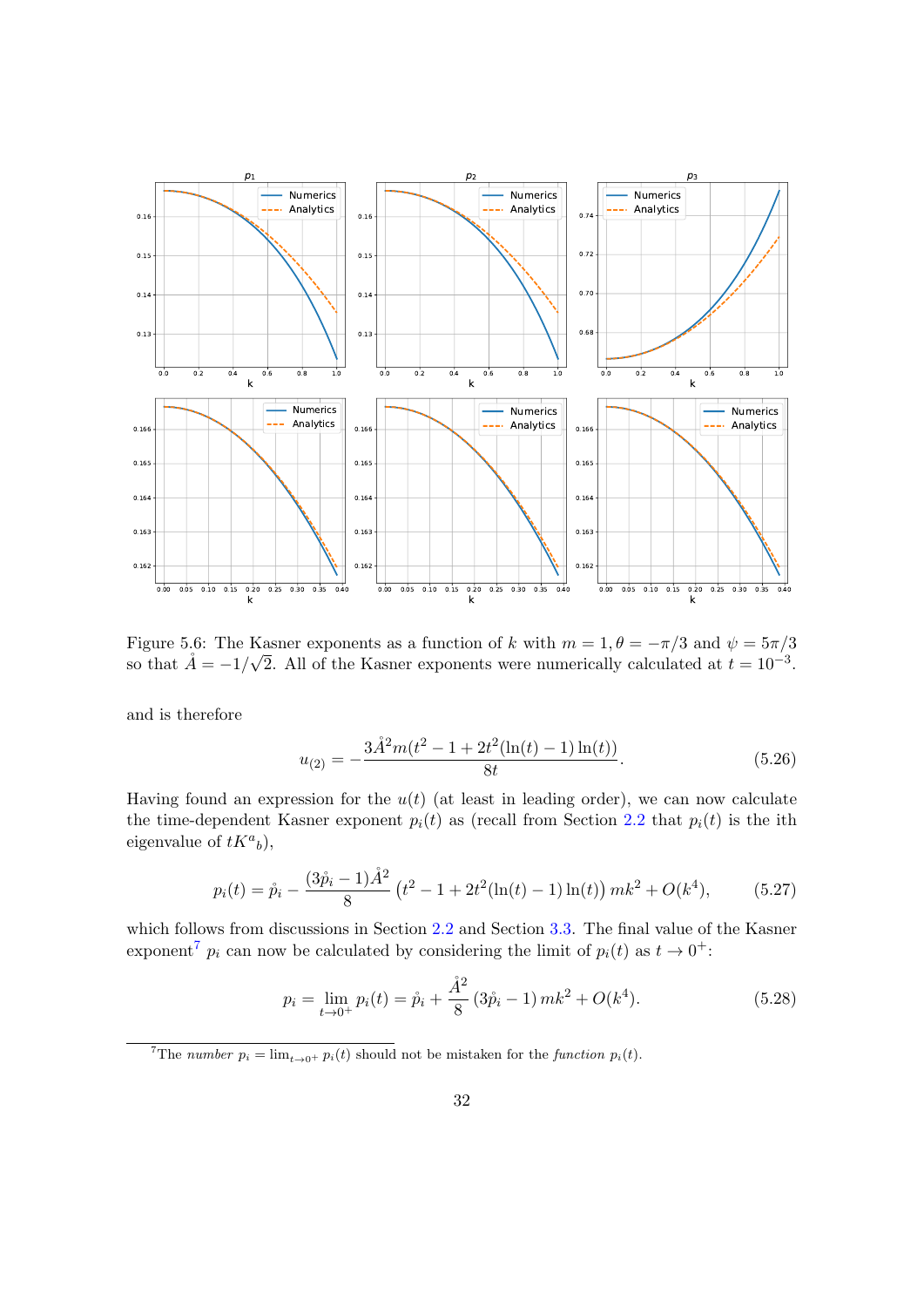

<span id="page-31-0"></span>Figure 5.6: The Kasner exponents as a function of k with  $m = 1, \theta = -\pi/3$  and  $\psi = 5\pi/3$ so that  $\AA = -1/\sqrt{2}$ . All of the Kasner exponents were numerically calculated at  $t = 10^{-3}$ .

and is therefore

$$
u_{(2)} = -\frac{3\mathring{A}^2m(t^2 - 1 + 2t^2(\ln(t) - 1)\ln(t))}{8t}.
$$
\n(5.26)

Having found an expression for the  $u(t)$  (at least in leading order), we can now calculate the time-dependent Kasner exponent  $p_i(t)$  as (recall from Section [2.2](#page-5-3) that  $p_i(t)$  is the ith eigenvalue of  $tK^a{}_b$ ),

$$
p_i(t) = \mathring{p}_i - \frac{(3\mathring{p}_i - 1)\mathring{A}^2}{8} \left(t^2 - 1 + 2t^2(\ln(t) - 1)\ln(t)\right)mk^2 + O(k^4),\tag{5.27}
$$

which follows from discussions in Section [2.2](#page-5-3) and Section [3.3.](#page-13-0) The final value of the Kasner exponent<sup>[7](#page-0-0)</sup>  $p_i$  can now be calculated by considering the limit of  $p_i(t)$  as  $t \to 0^+$ :

<span id="page-31-1"></span>
$$
p_i = \lim_{t \to 0^+} p_i(t) = \mathring{p}_i + \frac{\mathring{A}^2}{8} (3\mathring{p}_i - 1) m k^2 + O(k^4).
$$
 (5.28)

<sup>&</sup>lt;sup>7</sup>The number  $p_i = \lim_{t\to 0^+} p_i(t)$  should not be mistaken for the function  $p_i(t)$ .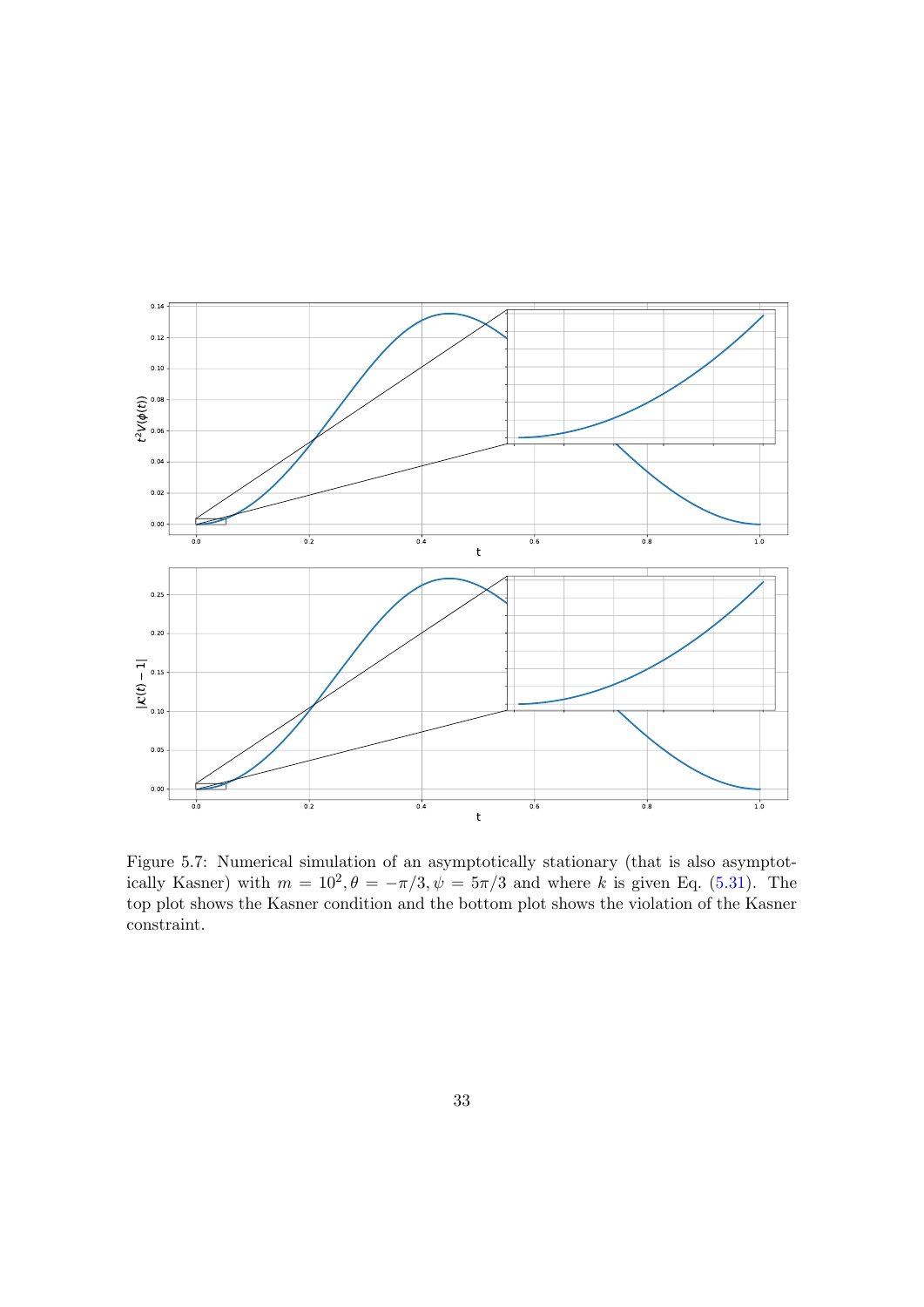

<span id="page-32-0"></span>Figure 5.7: Numerical simulation of an asymptotically stationary (that is also asymptotically Kasner) with  $m = 10^2$ ,  $\theta = -\pi/3$ ,  $\psi = 5\pi/3$  and where k is given Eq. [\(5.31\)](#page-33-0). The top plot shows the Kasner condition and the bottom plot shows the violation of the Kasner constraint.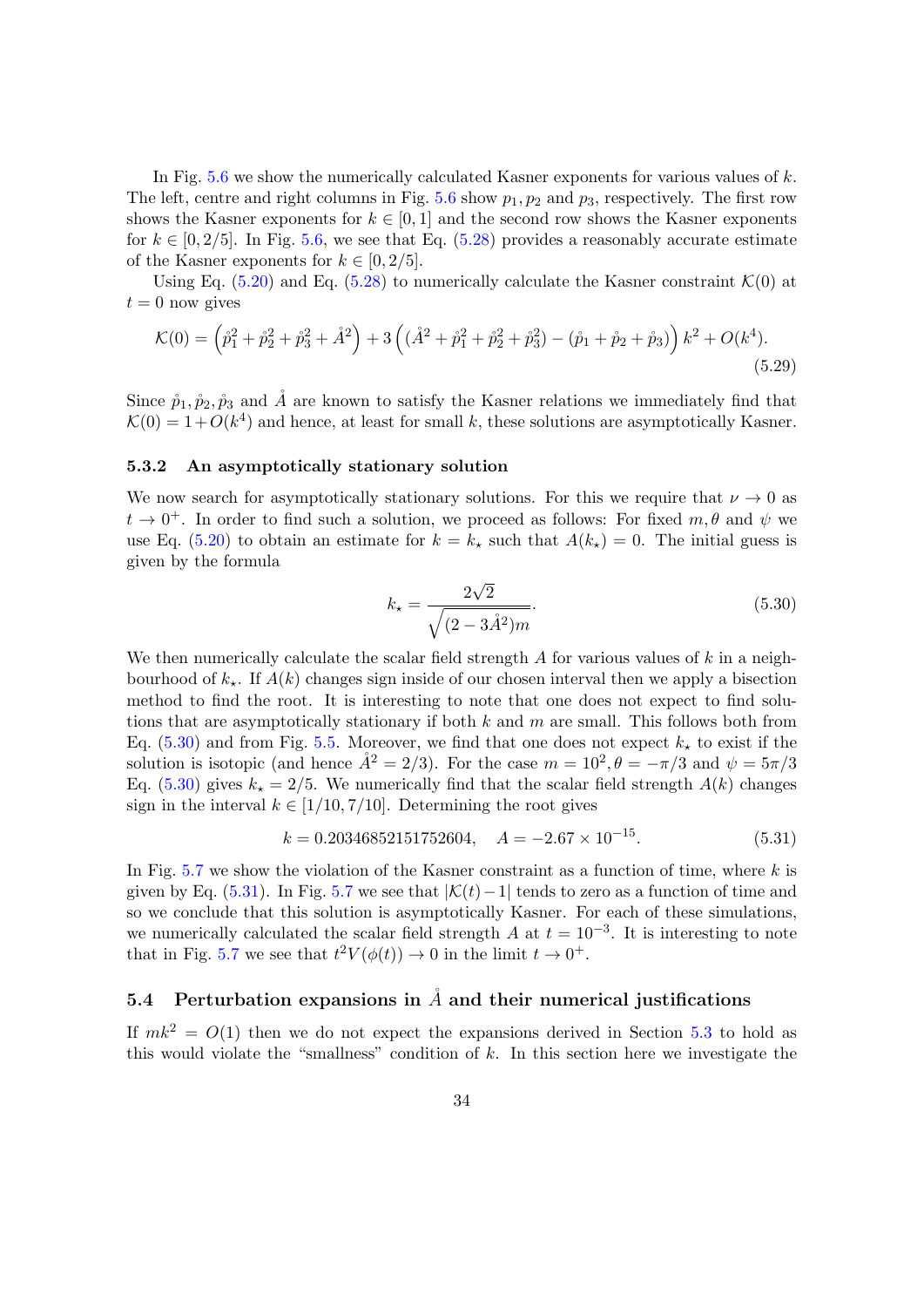In Fig. [5.6](#page-31-0) we show the numerically calculated Kasner exponents for various values of  $k$ . The left, centre and right columns in Fig.  $5.6$  show  $p_1, p_2$  and  $p_3$ , respectively. The first row shows the Kasner exponents for  $k \in [0, 1]$  and the second row shows the Kasner exponents for  $k \in [0, 2/5]$ . In Fig. [5.6,](#page-31-0) we see that Eq. [\(5.28\)](#page-31-1) provides a reasonably accurate estimate of the Kasner exponents for  $k \in [0, 2/5]$ .

Using Eq. [\(5.20\)](#page-29-1) and Eq. [\(5.28\)](#page-31-1) to numerically calculate the Kasner constraint  $\mathcal{K}(0)$  at  $t = 0$  now gives

$$
\mathcal{K}(0) = \left(\mathring{p}_1^2 + \mathring{p}_2^2 + \mathring{p}_3^2 + \mathring{A}^2\right) + 3\left((\mathring{A}^2 + \mathring{p}_1^2 + \mathring{p}_2^2 + \mathring{p}_3^2) - (\mathring{p}_1 + \mathring{p}_2 + \mathring{p}_3)\right)k^2 + O(k^4).
$$
\n(5.29)

Since  $\mathring{p}_1, \mathring{p}_2, \mathring{p}_3$  and  $\mathring{A}$  are known to satisfy the Kasner relations we immediately find that  $\mathcal{K}(0) = 1 + O(k^4)$  and hence, at least for small k, these solutions are asymptotically Kasner.

### 5.3.2 An asymptotically stationary solution

We now search for asymptotically stationary solutions. For this we require that  $\nu \to 0$  as  $t \to 0^+$ . In order to find such a solution, we proceed as follows: For fixed  $m, \theta$  and  $\psi$  we use Eq. [\(5.20\)](#page-29-1) to obtain an estimate for  $k = k_{\star}$  such that  $A(k_{\star}) = 0$ . The initial guess is given by the formula

<span id="page-33-1"></span><span id="page-33-0"></span>
$$
k_{\star} = \frac{2\sqrt{2}}{\sqrt{(2 - 3\mathring{A}^2)m}}.\tag{5.30}
$$

We then numerically calculate the scalar field strength  $A$  for various values of  $k$  in a neighbourhood of  $k_{\star}$ . If  $A(k)$  changes sign inside of our chosen interval then we apply a bisection method to find the root. It is interesting to note that one does not expect to find solutions that are asymptotically stationary if both  $k$  and  $m$  are small. This follows both from Eq. [\(5.30\)](#page-33-1) and from Fig. [5.5.](#page-30-0) Moreover, we find that one does not expect  $k_{\star}$  to exist if the solution is isotopic (and hence  $\AA^2 = 2/3$ ). For the case  $m = 10^2$ ,  $\theta = -\pi/3$  and  $\psi = 5\pi/3$ Eq. [\(5.30\)](#page-33-1) gives  $k_{\star} = 2/5$ . We numerically find that the scalar field strength  $A(k)$  changes sign in the interval  $k \in [1/10, 7/10]$ . Determining the root gives

$$
k = 0.20346852151752604, \quad A = -2.67 \times 10^{-15}.
$$
 (5.31)

In Fig.  $5.7$  we show the violation of the Kasner constraint as a function of time, where k is given by Eq. [\(5.31\)](#page-33-0). In Fig. [5.7](#page-32-0) we see that  $|K(t)-1|$  tends to zero as a function of time and so we conclude that this solution is asymptotically Kasner. For each of these simulations, we numerically calculated the scalar field strength A at  $t = 10^{-3}$ . It is interesting to note that in Fig. [5.7](#page-32-0) we see that  $t^2V(\phi(t)) \to 0$  in the limit  $t \to 0^+$ .

### 5.4 Perturbation expansions in  $\AA$  and their numerical justifications

If  $mk^2 = O(1)$  then we do not expect the expansions derived in Section [5.3](#page-25-0) to hold as this would violate the "smallness" condition of  $k$ . In this section here we investigate the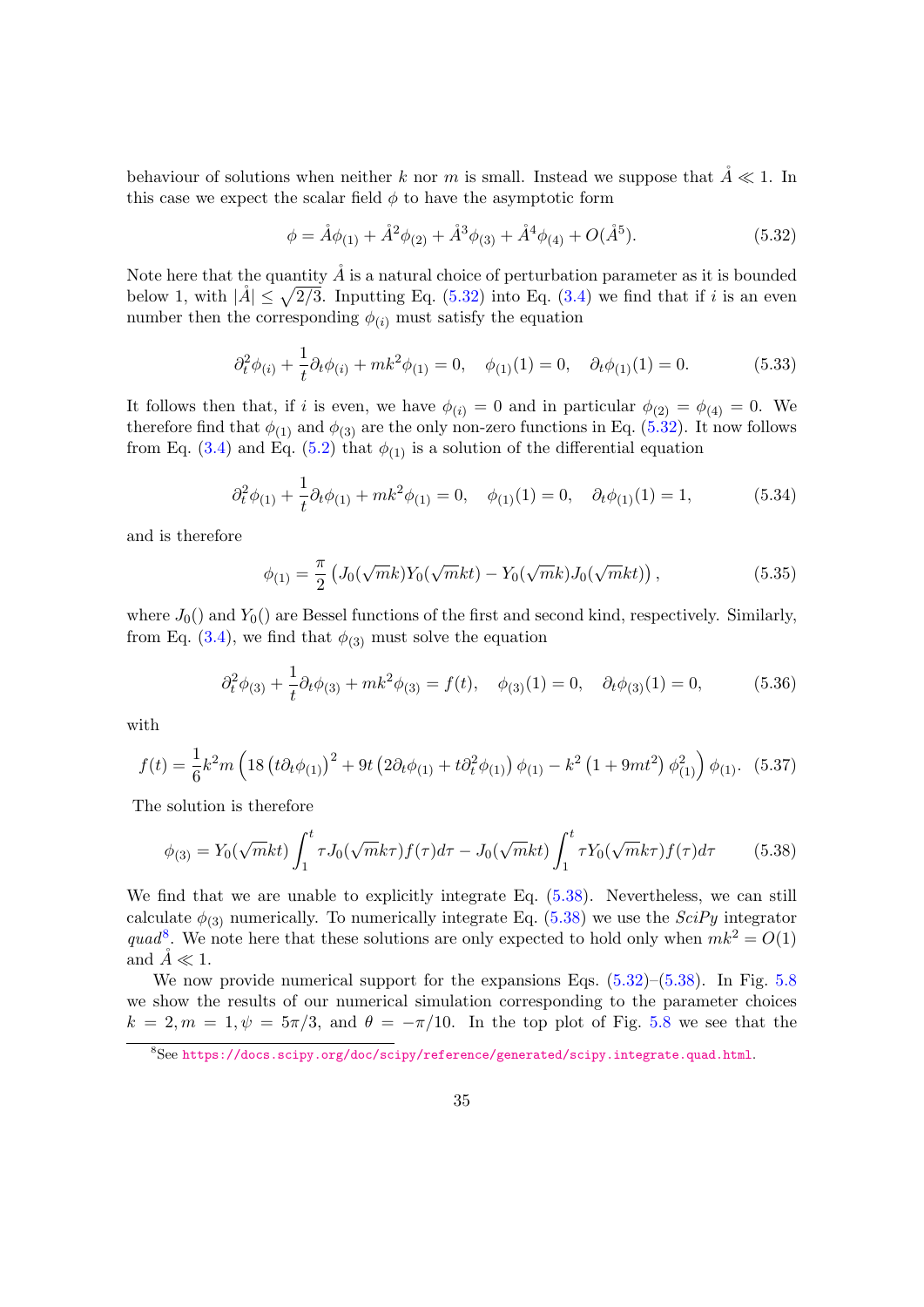behaviour of solutions when neither k nor m is small. Instead we suppose that  $A \ll 1$ . In this case we expect the scalar field  $\phi$  to have the asymptotic form

<span id="page-34-0"></span>
$$
\phi = \mathring{A}\phi_{(1)} + \mathring{A}^2\phi_{(2)} + \mathring{A}^3\phi_{(3)} + \mathring{A}^4\phi_{(4)} + O(\mathring{A}^5). \tag{5.32}
$$

Note here that the quantity  $\tilde{A}$  is a natural choice of perturbation parameter as it is bounded below 1, with  $|\AA| \leq \sqrt{2/3}$ . Inputting Eq. [\(5.32\)](#page-34-0) into Eq. [\(3.4\)](#page-8-2) we find that if i is an even number then the corresponding  $\phi_{(i)}$  must satisfy the equation

$$
\partial_t^2 \phi_{(i)} + \frac{1}{t} \partial_t \phi_{(i)} + m k^2 \phi_{(1)} = 0, \quad \phi_{(1)}(1) = 0, \quad \partial_t \phi_{(1)}(1) = 0. \tag{5.33}
$$

It follows then that, if i is even, we have  $\phi_{(i)} = 0$  and in particular  $\phi_{(2)} = \phi_{(4)} = 0$ . We therefore find that  $\phi_{(1)}$  and  $\phi_{(3)}$  are the only non-zero functions in Eq. [\(5.32\)](#page-34-0). It now follows from Eq. [\(3.4\)](#page-8-2) and Eq. [\(5.2\)](#page-22-3) that  $\phi_{(1)}$  is a solution of the differential equation

$$
\partial_t^2 \phi_{(1)} + \frac{1}{t} \partial_t \phi_{(1)} + mk^2 \phi_{(1)} = 0, \quad \phi_{(1)}(1) = 0, \quad \partial_t \phi_{(1)}(1) = 1,\tag{5.34}
$$

and is therefore

$$
\phi_{(1)} = \frac{\pi}{2} \left( J_0(\sqrt{m}k) Y_0(\sqrt{m}kt) - Y_0(\sqrt{m}k) J_0(\sqrt{m}kt) \right), \qquad (5.35)
$$

where  $J_0$ () and  $Y_0$ () are Bessel functions of the first and second kind, respectively. Similarly, from Eq. [\(3.4\)](#page-8-2), we find that  $\phi_{(3)}$  must solve the equation

<span id="page-34-1"></span>
$$
\partial_t^2 \phi_{(3)} + \frac{1}{t} \partial_t \phi_{(3)} + mk^2 \phi_{(3)} = f(t), \quad \phi_{(3)}(1) = 0, \quad \partial_t \phi_{(3)}(1) = 0,\tag{5.36}
$$

with

$$
f(t) = \frac{1}{6}k^2 m \left(18 \left(t \partial_t \phi_{(1)}\right)^2 + 9t \left(2 \partial_t \phi_{(1)} + t \partial_t^2 \phi_{(1)}\right) \phi_{(1)} - k^2 \left(1 + 9mt^2\right) \phi_{(1)}^2\right) \phi_{(1)}.
$$
 (5.37)

The solution is therefore

$$
\phi_{(3)} = Y_0(\sqrt{m}kt) \int_1^t \tau J_0(\sqrt{m}k\tau) f(\tau) d\tau - J_0(\sqrt{m}kt) \int_1^t \tau Y_0(\sqrt{m}k\tau) f(\tau) d\tau \qquad (5.38)
$$

We find that we are unable to explicitly integrate Eq.  $(5.38)$ . Nevertheless, we can still calculate  $\phi_{(3)}$  numerically. To numerically integrate Eq. [\(5.38\)](#page-34-1) we use the SciPy integrator quad<sup>[8](#page-0-0)</sup>. We note here that these solutions are only expected to hold only when  $mk^2 = O(1)$ and  $\AA \ll 1$ .

We now provide numerical support for the expansions Eqs.  $(5.32)$ – $(5.38)$ . In Fig. [5.8](#page-35-0) we show the results of our numerical simulation corresponding to the parameter choices  $k = 2, m = 1, \psi = 5\pi/3$ , and  $\theta = -\pi/10$ . In the top plot of Fig. [5.8](#page-35-0) we see that the

<sup>8</sup>See <https://docs.scipy.org/doc/scipy/reference/generated/scipy.integrate.quad.html>.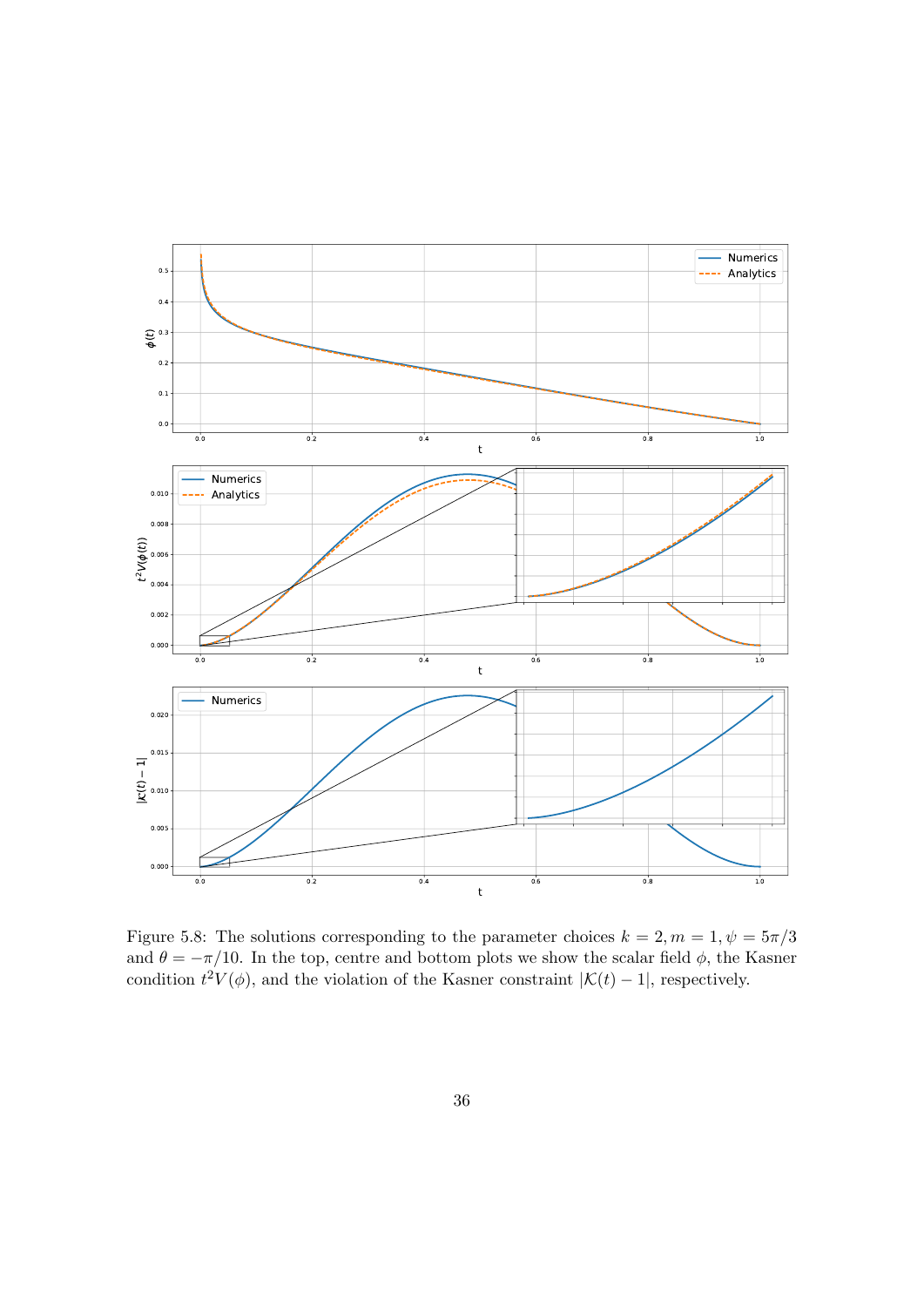

<span id="page-35-0"></span>Figure 5.8: The solutions corresponding to the parameter choices  $k = 2, m = 1, \psi = 5\pi/3$ and  $\theta = -\pi/10$ . In the top, centre and bottom plots we show the scalar field  $\phi$ , the Kasner condition  $t^2V(\phi)$ , and the violation of the Kasner constraint  $|\mathcal{K}(t)-1|$ , respectively.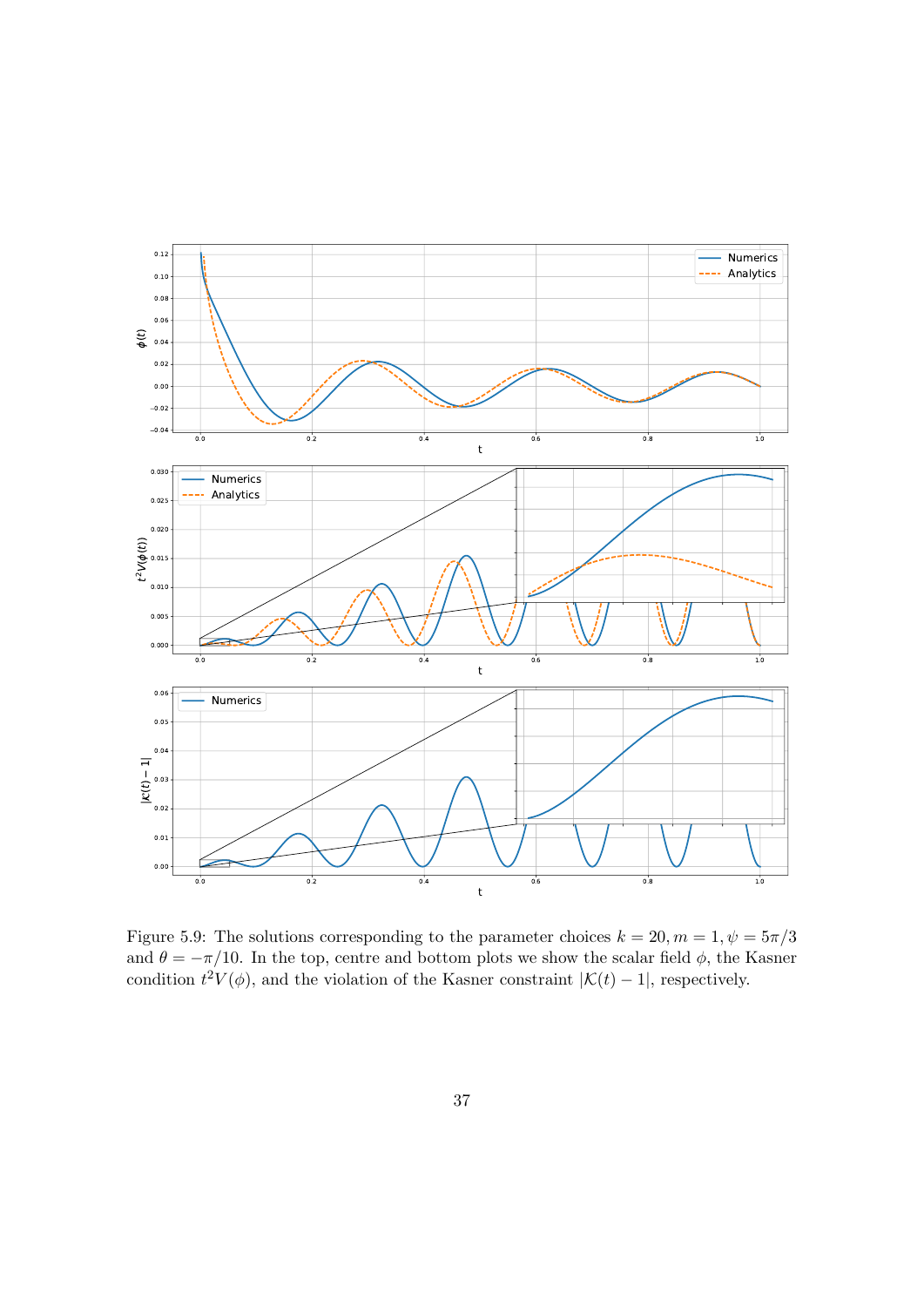

<span id="page-36-0"></span>Figure 5.9: The solutions corresponding to the parameter choices  $k = 20, m = 1, \psi = 5\pi/3$ and  $\theta = -\pi/10$ . In the top, centre and bottom plots we show the scalar field  $\phi$ , the Kasner condition  $t^2V(\phi)$ , and the violation of the Kasner constraint  $|\mathcal{K}(t)-1|$ , respectively.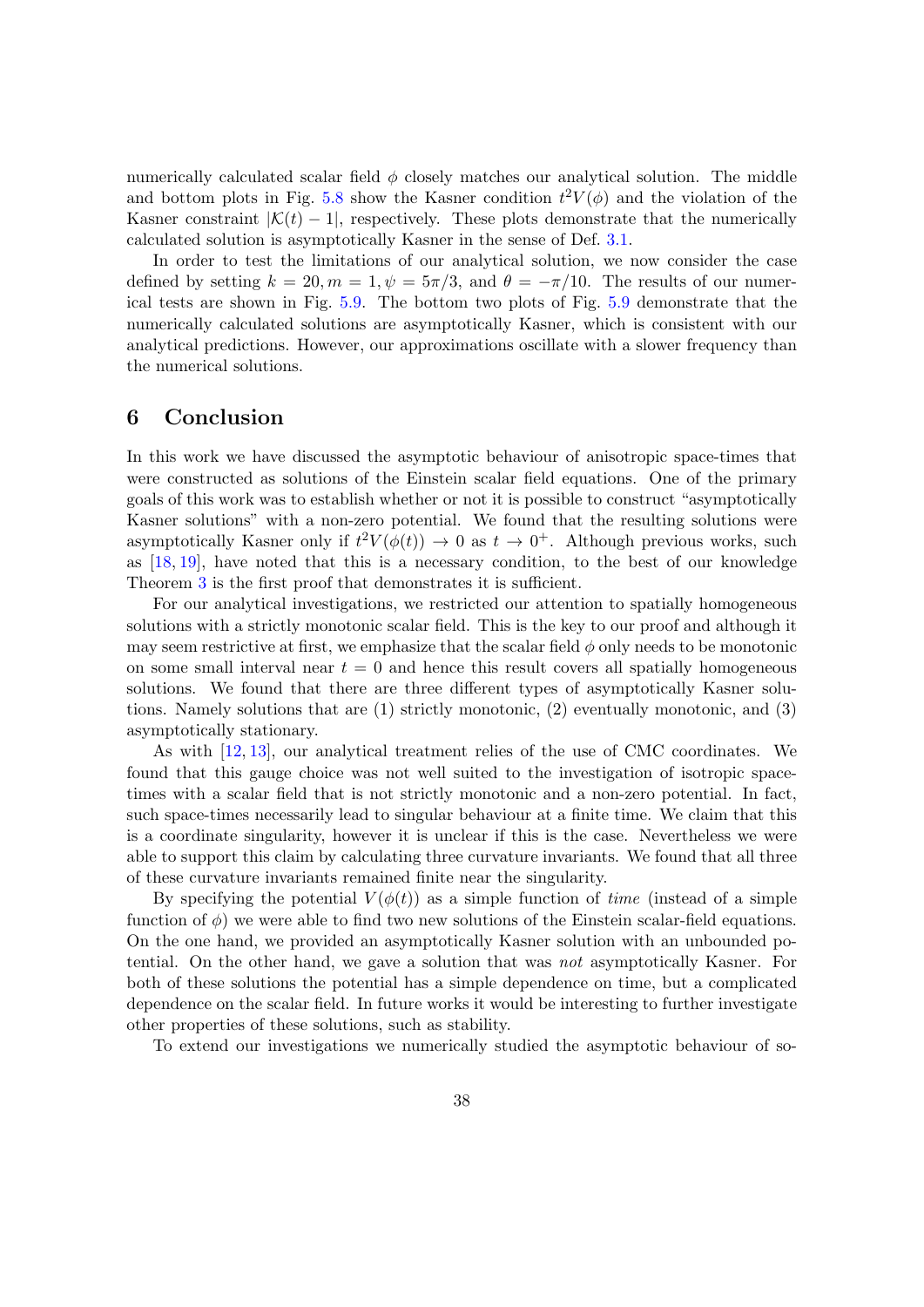numerically calculated scalar field  $\phi$  closely matches our analytical solution. The middle and bottom plots in Fig. [5.8](#page-35-0) show the Kasner condition  $t^2V(\phi)$  and the violation of the Kasner constraint  $|\mathcal{K}(t) - 1|$ , respectively. These plots demonstrate that the numerically calculated solution is asymptotically Kasner in the sense of Def. [3.1.](#page-13-2)

In order to test the limitations of our analytical solution, we now consider the case defined by setting  $k = 20, m = 1, \psi = 5\pi/3$ , and  $\theta = -\pi/10$ . The results of our numerical tests are shown in Fig. [5.9.](#page-36-0) The bottom two plots of Fig. [5.9](#page-36-0) demonstrate that the numerically calculated solutions are asymptotically Kasner, which is consistent with our analytical predictions. However, our approximations oscillate with a slower frequency than the numerical solutions.

# <span id="page-37-0"></span>6 Conclusion

In this work we have discussed the asymptotic behaviour of anisotropic space-times that were constructed as solutions of the Einstein scalar field equations. One of the primary goals of this work was to establish whether or not it is possible to construct "asymptotically Kasner solutions" with a non-zero potential. We found that the resulting solutions were asymptotically Kasner only if  $t^2V(\phi(t)) \to 0$  as  $t \to 0^+$ . Although previous works, such as  $[18, 19]$  $[18, 19]$  $[18, 19]$ , have noted that this is a necessary condition, to the best of our knowledge Theorem [3](#page-13-4) is the first proof that demonstrates it is sufficient.

For our analytical investigations, we restricted our attention to spatially homogeneous solutions with a strictly monotonic scalar field. This is the key to our proof and although it may seem restrictive at first, we emphasize that the scalar field  $\phi$  only needs to be monotonic on some small interval near  $t = 0$  and hence this result covers all spatially homogeneous solutions. We found that there are three different types of asymptotically Kasner solutions. Namely solutions that are (1) strictly monotonic, (2) eventually monotonic, and (3) asymptotically stationary.

As with [\[12,](#page-39-5) [13\]](#page-39-6), our analytical treatment relies of the use of CMC coordinates. We found that this gauge choice was not well suited to the investigation of isotropic spacetimes with a scalar field that is not strictly monotonic and a non-zero potential. In fact, such space-times necessarily lead to singular behaviour at a finite time. We claim that this is a coordinate singularity, however it is unclear if this is the case. Nevertheless we were able to support this claim by calculating three curvature invariants. We found that all three of these curvature invariants remained finite near the singularity.

By specifying the potential  $V(\phi(t))$  as a simple function of *time* (instead of a simple function of  $\phi$ ) we were able to find two new solutions of the Einstein scalar-field equations. On the one hand, we provided an asymptotically Kasner solution with an unbounded potential. On the other hand, we gave a solution that was not asymptotically Kasner. For both of these solutions the potential has a simple dependence on time, but a complicated dependence on the scalar field. In future works it would be interesting to further investigate other properties of these solutions, such as stability.

To extend our investigations we numerically studied the asymptotic behaviour of so-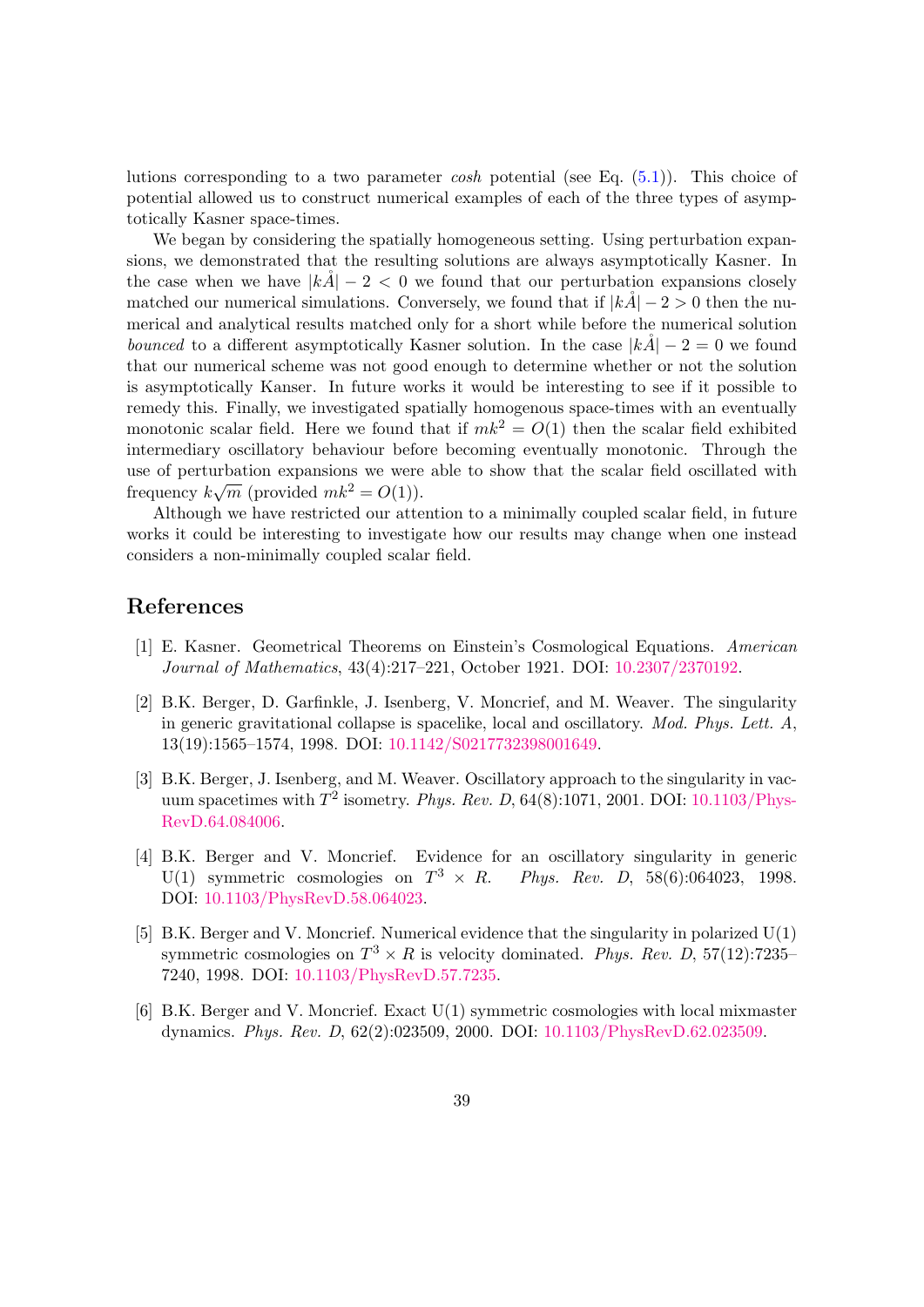lutions corresponding to a two parameter  $cosh$  potential (see Eq.  $(5.1)$ ). This choice of potential allowed us to construct numerical examples of each of the three types of asymptotically Kasner space-times.

We began by considering the spatially homogeneous setting. Using perturbation expansions, we demonstrated that the resulting solutions are always asymptotically Kasner. In the case when we have  $|kA| - 2 < 0$  we found that our perturbation expansions closely matched our numerical simulations. Conversely, we found that if  $|k\hat{A}|-2>0$  then the numerical and analytical results matched only for a short while before the numerical solution bounced to a different asymptotically Kasner solution. In the case  $|kA| - 2 = 0$  we found that our numerical scheme was not good enough to determine whether or not the solution is asymptotically Kanser. In future works it would be interesting to see if it possible to remedy this. Finally, we investigated spatially homogenous space-times with an eventually monotonic scalar field. Here we found that if  $mk^2 = O(1)$  then the scalar field exhibited intermediary oscillatory behaviour before becoming eventually monotonic. Through the use of perturbation expansions we were able to show that the scalar field oscillated with frequency  $k\sqrt{m}$  (provided  $mk^2 = O(1)$ ).

Although we have restricted our attention to a minimally coupled scalar field, in future works it could be interesting to investigate how our results may change when one instead considers a non-minimally coupled scalar field.

# References

- <span id="page-38-0"></span>[1] E. Kasner. Geometrical Theorems on Einstein's Cosmological Equations. American Journal of Mathematics, 43(4):217–221, October 1921. DOI: [10.2307/2370192.](https://doi.org/10.2307/2370192)
- <span id="page-38-1"></span>[2] B.K. Berger, D. Garfinkle, J. Isenberg, V. Moncrief, and M. Weaver. The singularity in generic gravitational collapse is spacelike, local and oscillatory. Mod. Phys. Lett. A, 13(19):1565–1574, 1998. DOI: [10.1142/S0217732398001649.](https://doi.org/10.1142/S0217732398001649)
- <span id="page-38-3"></span>[3] B.K. Berger, J. Isenberg, and M. Weaver. Oscillatory approach to the singularity in vacuum spacetimes with  $T^2$  isometry. *Phys. Rev. D*, 64(8):1071, 2001. DOI: [10.1103/Phys-](https://doi.org/10.1103/PhysRevD.64.084006)[RevD.64.084006.](https://doi.org/10.1103/PhysRevD.64.084006)
- [4] B.K. Berger and V. Moncrief. Evidence for an oscillatory singularity in generic U(1) symmetric cosmologies on  $T^3 \times R$ . Phys. Rev. D, 58(6):064023, 1998. DOI: [10.1103/PhysRevD.58.064023.](https://doi.org/10.1103/PhysRevD.58.064023)
- <span id="page-38-4"></span>[5] B.K. Berger and V. Moncrief. Numerical evidence that the singularity in polarized U(1) symmetric cosmologies on  $T^3 \times R$  is velocity dominated. Phys. Rev. D, 57(12):7235– 7240, 1998. DOI: [10.1103/PhysRevD.57.7235.](https://doi.org/10.1103/PhysRevD.57.7235)
- <span id="page-38-2"></span>[6] B.K. Berger and V. Moncrief. Exact U(1) symmetric cosmologies with local mixmaster dynamics. Phys. Rev. D, 62(2):023509, 2000. DOI: [10.1103/PhysRevD.62.023509.](https://doi.org/10.1103/PhysRevD.62.023509)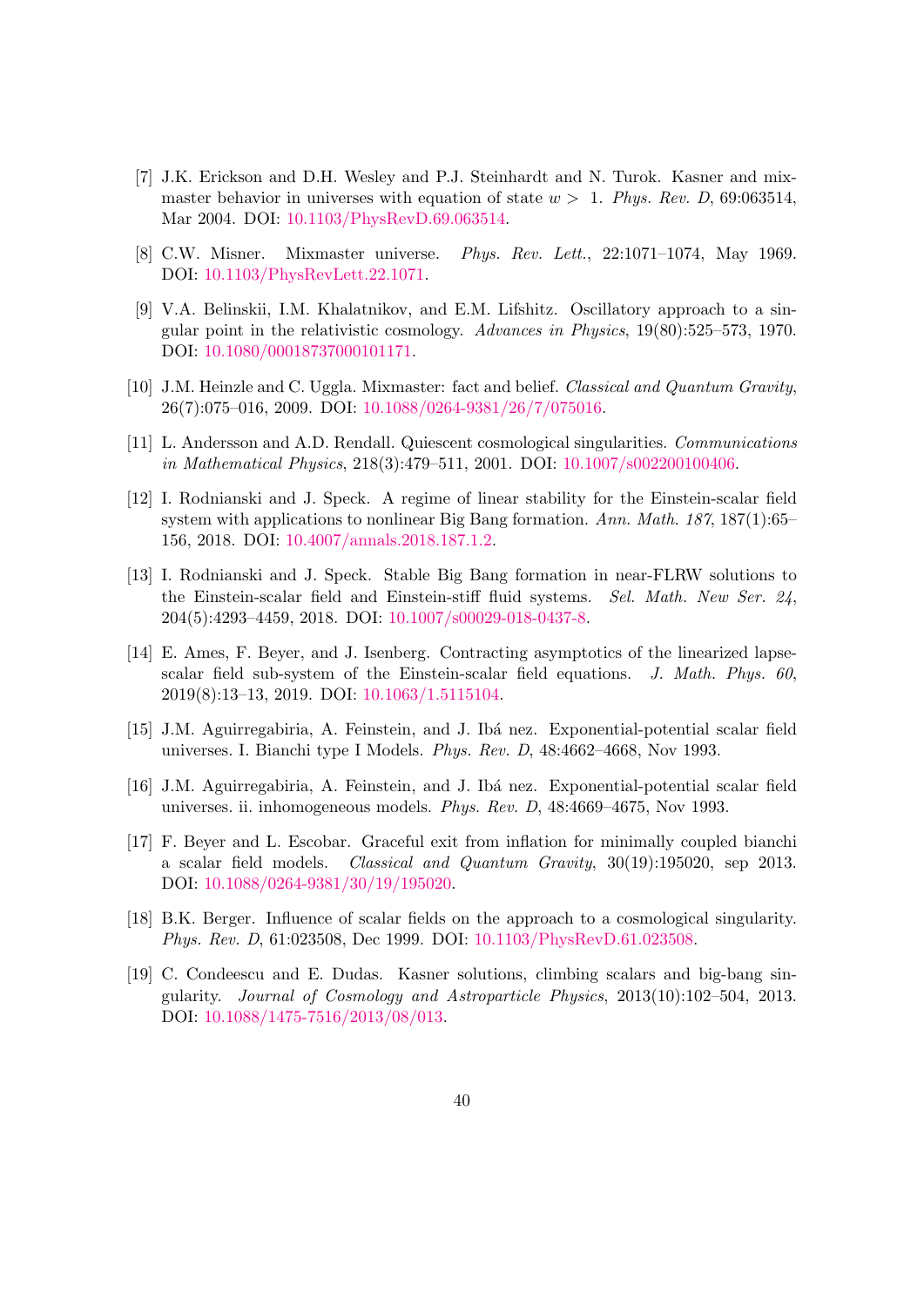- <span id="page-39-0"></span>[7] J.K. Erickson and D.H. Wesley and P.J. Steinhardt and N. Turok. Kasner and mixmaster behavior in universes with equation of state  $w > 1$ . Phys. Rev. D, 69:063514, Mar 2004. DOI: [10.1103/PhysRevD.69.063514.](https://doi.org/10.1103/PhysRevD.69.063514)
- <span id="page-39-1"></span>[8] C.W. Misner. Mixmaster universe. Phys. Rev. Lett., 22:1071–1074, May 1969. DOI: [10.1103/PhysRevLett.22.1071.](https://doi.org/10.1103/PhysRevLett.22.1071)
- <span id="page-39-2"></span>[9] V.A. Belinskii, I.M. Khalatnikov, and E.M. Lifshitz. Oscillatory approach to a singular point in the relativistic cosmology. Advances in Physics, 19(80):525–573, 1970. DOI: [10.1080/00018737000101171.](https://doi.org/10.1080/00018737000101171)
- <span id="page-39-3"></span>[10] J.M. Heinzle and C. Uggla. Mixmaster: fact and belief. Classical and Quantum Gravity, 26(7):075–016, 2009. DOI: [10.1088/0264-9381/26/7/075016.](https://doi.org/10.1088/0264-9381/26/7/075016)
- <span id="page-39-4"></span>[11] L. Andersson and A.D. Rendall. Quiescent cosmological singularities. Communications in Mathematical Physics, 218(3):479–511, 2001. DOI: [10.1007/s002200100406.](https://doi.org/10.1007/s002200100406)
- <span id="page-39-5"></span>[12] I. Rodnianski and J. Speck. A regime of linear stability for the Einstein-scalar field system with applications to nonlinear Big Bang formation. Ann. Math. 187, 187(1):65– 156, 2018. DOI: [10.4007/annals.2018.187.1.2.](https://doi.org/10.4007/annals.2018.187.1.2)
- <span id="page-39-6"></span>[13] I. Rodnianski and J. Speck. Stable Big Bang formation in near-FLRW solutions to the Einstein-scalar field and Einstein-stiff fluid systems. Sel. Math. New Ser. 24, 204(5):4293–4459, 2018. DOI: [10.1007/s00029-018-0437-8.](https://doi.org/10.1007/s00029-018-0437-8)
- <span id="page-39-7"></span>[14] E. Ames, F. Beyer, and J. Isenberg. Contracting asymptotics of the linearized lapsescalar field sub-system of the Einstein-scalar field equations. J. Math. Phys. 60, 2019(8):13–13, 2019. DOI: [10.1063/1.5115104.](https://doi.org/10.1063/1.5115104)
- <span id="page-39-8"></span>[15] J.M. Aguirregabiria, A. Feinstein, and J. Ib´a nez. Exponential-potential scalar field universes. I. Bianchi type I Models. Phys. Rev. D, 48:4662–4668, Nov 1993.
- [16] J.M. Aguirregabiria, A. Feinstein, and J. Ib´a nez. Exponential-potential scalar field universes. ii. inhomogeneous models. Phys. Rev. D, 48:4669–4675, Nov 1993.
- <span id="page-39-9"></span>[17] F. Beyer and L. Escobar. Graceful exit from inflation for minimally coupled bianchi a scalar field models. Classical and Quantum Gravity, 30(19):195020, sep 2013. DOI: [10.1088/0264-9381/30/19/195020.](https://doi.org/10.1088/0264-9381/30/19/195020)
- <span id="page-39-10"></span>[18] B.K. Berger. Influence of scalar fields on the approach to a cosmological singularity. Phys. Rev. D, 61:023508, Dec 1999. DOI: [10.1103/PhysRevD.61.023508.](https://doi.org/10.1103/PhysRevD.61.023508)
- <span id="page-39-11"></span>[19] C. Condeescu and E. Dudas. Kasner solutions, climbing scalars and big-bang singularity. Journal of Cosmology and Astroparticle Physics, 2013(10):102–504, 2013. DOI: [10.1088/1475-7516/2013/08/013.](https://doi.org/10.1088/1475-7516/2013/08/013)